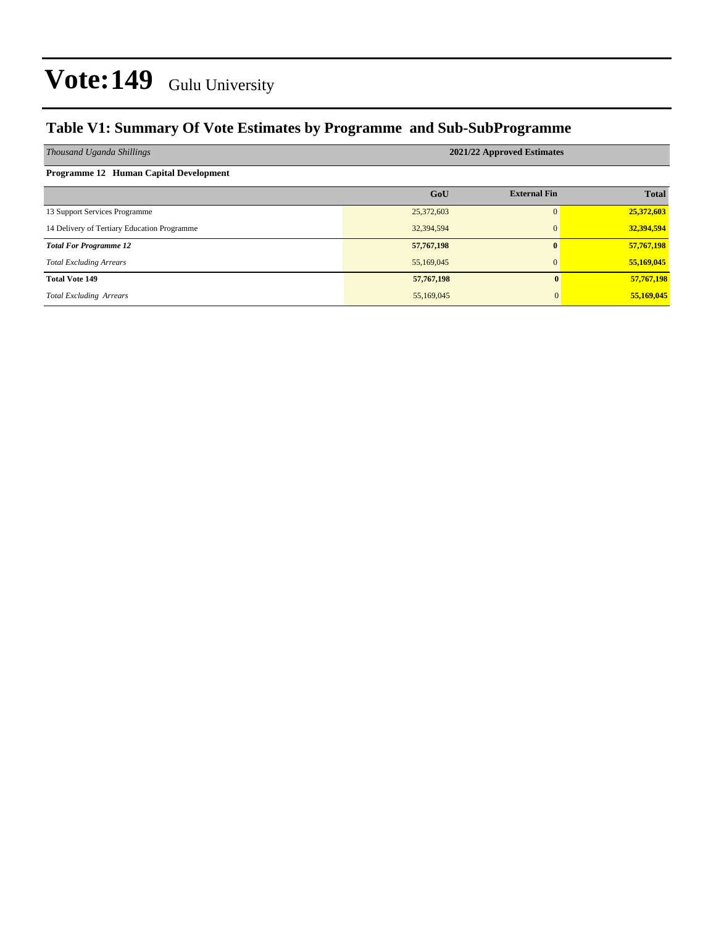### **Table V1: Summary Of Vote Estimates by Programme and Sub-SubProgramme**

| Thousand Uganda Shillings                   | 2021/22 Approved Estimates |                     |              |  |  |  |  |  |
|---------------------------------------------|----------------------------|---------------------|--------------|--|--|--|--|--|
| Programme 12 Human Capital Development      |                            |                     |              |  |  |  |  |  |
|                                             | GoU                        | <b>External Fin</b> | <b>Total</b> |  |  |  |  |  |
| 13 Support Services Programme               | 25,372,603                 | $\Omega$            | 25,372,603   |  |  |  |  |  |
| 14 Delivery of Tertiary Education Programme | 32,394,594                 | $\mathbf{0}$        | 32,394,594   |  |  |  |  |  |
| <b>Total For Programme 12</b>               | 57,767,198                 | $\mathbf{0}$        | 57,767,198   |  |  |  |  |  |
| <b>Total Excluding Arrears</b>              | 55,169,045                 | $\mathbf{0}$        | 55,169,045   |  |  |  |  |  |
| <b>Total Vote 149</b>                       | 57,767,198                 | 0                   | 57,767,198   |  |  |  |  |  |
| <b>Total Excluding Arrears</b>              | 55,169,045                 | $\mathbf{0}$        | 55,169,045   |  |  |  |  |  |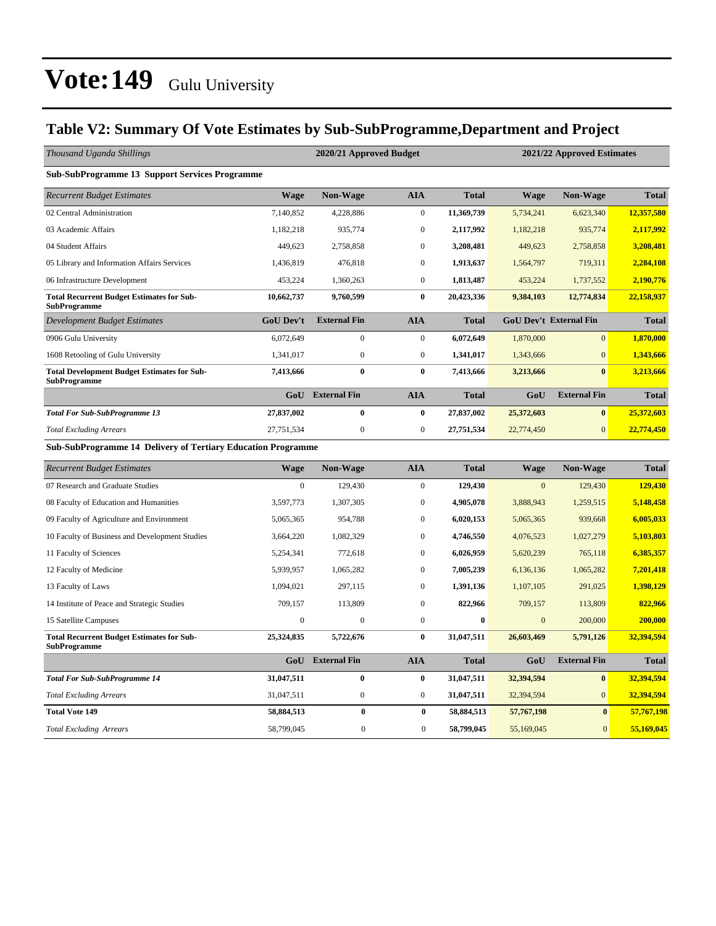### **Table V2: Summary Of Vote Estimates by Sub-SubProgramme,Department and Project**

| Thousand Uganda Shillings                                                 |                  | 2020/21 Approved Budget<br>2021/22 Approved Estimates |                  |              |              |                               |              |
|---------------------------------------------------------------------------|------------------|-------------------------------------------------------|------------------|--------------|--------------|-------------------------------|--------------|
| <b>Sub-SubProgramme 13 Support Services Programme</b>                     |                  |                                                       |                  |              |              |                               |              |
| <b>Recurrent Budget Estimates</b>                                         | <b>Wage</b>      | <b>Non-Wage</b>                                       | <b>AIA</b>       | <b>Total</b> | <b>Wage</b>  | <b>Non-Wage</b>               | <b>Total</b> |
| 02 Central Administration                                                 | 7,140,852        | 4,228,886                                             | $\boldsymbol{0}$ | 11,369,739   | 5,734,241    | 6,623,340                     | 12,357,580   |
| 03 Academic Affairs                                                       | 1,182,218        | 935,774                                               | $\boldsymbol{0}$ | 2,117,992    | 1,182,218    | 935,774                       | 2,117,992    |
| 04 Student Affairs                                                        | 449,623          | 2,758,858                                             | $\boldsymbol{0}$ | 3,208,481    | 449,623      | 2,758,858                     | 3,208,481    |
| 05 Library and Information Affairs Services                               | 1,436,819        | 476,818                                               | $\boldsymbol{0}$ | 1,913,637    | 1,564,797    | 719,311                       | 2,284,108    |
| 06 Infrastructure Development                                             | 453,224          | 1,360,263                                             | $\mathbf{0}$     | 1,813,487    | 453,224      | 1,737,552                     | 2,190,776    |
| <b>Total Recurrent Budget Estimates for Sub-</b><br><b>SubProgramme</b>   | 10,662,737       | 9,760,599                                             | $\bf{0}$         | 20,423,336   | 9,384,103    | 12,774,834                    | 22,158,937   |
| Development Budget Estimates                                              | <b>GoU Dev't</b> | <b>External Fin</b>                                   | <b>AIA</b>       | <b>Total</b> |              | <b>GoU Dev't External Fin</b> | <b>Total</b> |
| 0906 Gulu University                                                      | 6,072,649        | $\mathbf{0}$                                          | $\boldsymbol{0}$ | 6,072,649    | 1,870,000    | $\overline{0}$                | 1,870,000    |
| 1608 Retooling of Gulu University                                         | 1,341,017        | $\boldsymbol{0}$                                      | $\boldsymbol{0}$ | 1,341,017    | 1,343,666    | $\mathbf{0}$                  | 1,343,666    |
| <b>Total Development Budget Estimates for Sub-</b><br><b>SubProgramme</b> | 7,413,666        | $\bf{0}$                                              | $\bf{0}$         | 7,413,666    | 3,213,666    | $\bf{0}$                      | 3,213,666    |
|                                                                           | GoU              | <b>External Fin</b>                                   | <b>AIA</b>       | <b>Total</b> | GoU          | <b>External Fin</b>           | <b>Total</b> |
| <b>Total For Sub-SubProgramme 13</b>                                      | 27,837,002       | $\bf{0}$                                              | $\bf{0}$         | 27,837,002   | 25,372,603   | $\bf{0}$                      | 25,372,603   |
| <b>Total Excluding Arrears</b>                                            | 27,751,534       | $\boldsymbol{0}$                                      | $\boldsymbol{0}$ | 27,751,534   | 22,774,450   | $\overline{0}$                | 22,774,450   |
| <b>Sub-SubProgramme 14 Delivery of Tertiary Education Programme</b>       |                  |                                                       |                  |              |              |                               |              |
| <b>Recurrent Budget Estimates</b>                                         | <b>Wage</b>      | Non-Wage                                              | <b>AIA</b>       | <b>Total</b> | <b>Wage</b>  | Non-Wage                      | <b>Total</b> |
| 07 Research and Graduate Studies                                          | $\mathbf{0}$     | 129,430                                               | $\boldsymbol{0}$ | 129,430      | $\mathbf{0}$ | 129,430                       | 129,430      |
| 08 Faculty of Education and Humanities                                    | 3,597,773        | 1,307,305                                             | $\boldsymbol{0}$ | 4,905,078    | 3,888,943    | 1,259,515                     | 5,148,458    |
| 09 Faculty of Agriculture and Environment                                 | 5,065,365        | 954,788                                               | $\mathbf{0}$     | 6,020,153    | 5,065,365    | 939,668                       | 6,005,033    |
| 10 Faculty of Business and Development Studies                            | 3,664,220        | 1,082,329                                             | $\boldsymbol{0}$ | 4,746,550    | 4,076,523    | 1,027,279                     | 5,103,803    |
| 11 Faculty of Sciences                                                    | 5,254,341        | 772,618                                               | $\mathbf{0}$     | 6,026,959    | 5,620,239    | 765,118                       | 6,385,357    |
| 12 Faculty of Medicine                                                    | 5,939,957        | 1,065,282                                             | $\boldsymbol{0}$ | 7,005,239    | 6,136,136    | 1,065,282                     | 7,201,418    |
| 13 Faculty of Laws                                                        | 1,094,021        | 297,115                                               | $\boldsymbol{0}$ | 1,391,136    | 1,107,105    | 291,025                       | 1,398,129    |
| 14 Institute of Peace and Strategic Studies                               | 709,157          | 113,809                                               | $\mathbf{0}$     | 822,966      | 709,157      | 113,809                       | 822,966      |
| 15 Satellite Campuses                                                     | $\boldsymbol{0}$ | $\boldsymbol{0}$                                      | $\boldsymbol{0}$ | $\bf{0}$     | $\mathbf{0}$ | 200,000                       | 200,000      |
| <b>Total Recurrent Budget Estimates for Sub-</b><br><b>SubProgramme</b>   | 25,324,835       | 5,722,676                                             | $\bf{0}$         | 31,047,511   | 26,603,469   | 5,791,126                     | 32,394,594   |
|                                                                           |                  | GoU External Fin                                      | <b>AIA</b>       | <b>Total</b> | GoU          | <b>External Fin</b>           | <b>Total</b> |
| <b>Total For Sub-SubProgramme 14</b>                                      | 31,047,511       | $\bf{0}$                                              | $\bf{0}$         | 31,047,511   | 32,394,594   | $\bf{0}$                      | 32,394,594   |
| <b>Total Excluding Arrears</b>                                            | 31,047,511       | $\boldsymbol{0}$                                      | $\boldsymbol{0}$ | 31,047,511   | 32,394,594   | $\overline{0}$                | 32,394,594   |
| <b>Total Vote 149</b>                                                     | 58,884,513       | $\bf{0}$                                              | $\bf{0}$         | 58,884,513   | 57,767,198   | $\bf{0}$                      | 57,767,198   |
| <b>Total Excluding Arrears</b>                                            | 58,799,045       | $\overline{0}$                                        | $\overline{0}$   | 58,799,045   | 55,169,045   | $\mathbf{0}$                  | 55,169,045   |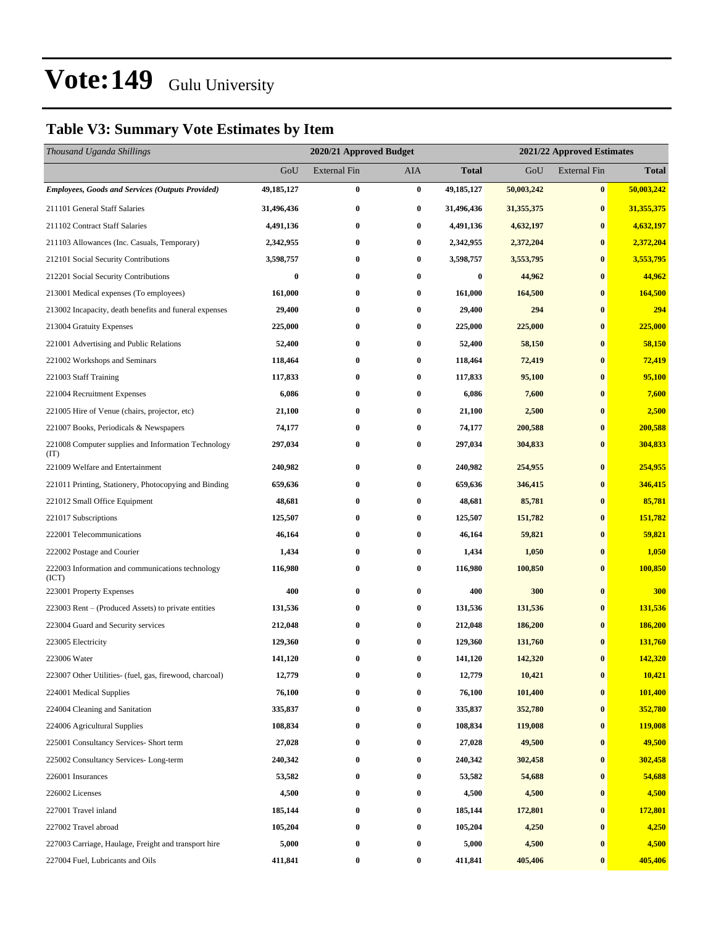### **Table V3: Summary Vote Estimates by Item**

| Thousand Uganda Shillings                                   |            | 2020/21 Approved Budget<br>2021/22 Approved Estimates |          |                  |              |                     |              |
|-------------------------------------------------------------|------------|-------------------------------------------------------|----------|------------------|--------------|---------------------|--------------|
|                                                             | GoU        | <b>External Fin</b>                                   | AIA      | Total            | GoU          | <b>External Fin</b> | <b>Total</b> |
| <b>Employees, Goods and Services (Outputs Provided)</b>     | 49,185,127 | $\bf{0}$                                              | $\bf{0}$ | 49,185,127       | 50,003,242   | $\bf{0}$            | 50,003,242   |
| 211101 General Staff Salaries                               | 31,496,436 | $\bf{0}$                                              | $\bf{0}$ | 31,496,436       | 31, 355, 375 | $\bf{0}$            | 31,355,375   |
| 211102 Contract Staff Salaries                              | 4,491,136  | 0                                                     | $\bf{0}$ | 4,491,136        | 4,632,197    | $\bf{0}$            | 4,632,197    |
| 211103 Allowances (Inc. Casuals, Temporary)                 | 2,342,955  | $\bf{0}$                                              | $\bf{0}$ | 2,342,955        | 2,372,204    | $\bf{0}$            | 2,372,204    |
| 212101 Social Security Contributions                        | 3,598,757  | 0                                                     | $\bf{0}$ | 3,598,757        | 3,553,795    | $\bf{0}$            | 3,553,795    |
| 212201 Social Security Contributions                        | $\bf{0}$   | $\bf{0}$                                              | $\bf{0}$ | $\boldsymbol{0}$ | 44,962       | $\bf{0}$            | 44,962       |
| 213001 Medical expenses (To employees)                      | 161,000    | $\bf{0}$                                              | $\bf{0}$ | 161,000          | 164,500      | $\bf{0}$            | 164,500      |
| 213002 Incapacity, death benefits and funeral expenses      | 29,400     | 0                                                     | $\bf{0}$ | 29,400           | 294          | $\bf{0}$            | 294          |
| 213004 Gratuity Expenses                                    | 225,000    | $\bf{0}$                                              | $\bf{0}$ | 225,000          | 225,000      | $\bf{0}$            | 225,000      |
| 221001 Advertising and Public Relations                     | 52,400     | 0                                                     | $\bf{0}$ | 52,400           | 58,150       | $\bf{0}$            | 58,150       |
| 221002 Workshops and Seminars                               | 118,464    | $\bf{0}$                                              | $\bf{0}$ | 118,464          | 72,419       | $\bf{0}$            | 72,419       |
| 221003 Staff Training                                       | 117,833    | $\bf{0}$                                              | $\bf{0}$ | 117,833          | 95,100       | $\bf{0}$            | 95,100       |
| 221004 Recruitment Expenses                                 | 6,086      | 0                                                     | $\bf{0}$ | 6,086            | 7,600        | $\bf{0}$            | 7,600        |
| 221005 Hire of Venue (chairs, projector, etc)               | 21,100     | $\bf{0}$                                              | $\bf{0}$ | 21,100           | 2,500        | $\bf{0}$            | 2,500        |
| 221007 Books, Periodicals & Newspapers                      | 74,177     | 0                                                     | $\bf{0}$ | 74,177           | 200,588      | $\bf{0}$            | 200,588      |
| 221008 Computer supplies and Information Technology<br>(TT) | 297,034    | $\bf{0}$                                              | $\bf{0}$ | 297,034          | 304,833      | $\bf{0}$            | 304,833      |
| 221009 Welfare and Entertainment                            | 240,982    | 0                                                     | $\bf{0}$ | 240,982          | 254,955      | $\bf{0}$            | 254,955      |
| 221011 Printing, Stationery, Photocopying and Binding       | 659,636    | $\bf{0}$                                              | $\bf{0}$ | 659,636          | 346,415      | $\bf{0}$            | 346,415      |
| 221012 Small Office Equipment                               | 48,681     | 0                                                     | $\bf{0}$ | 48,681           | 85,781       | $\bf{0}$            | 85,781       |
| 221017 Subscriptions                                        | 125,507    | $\bf{0}$                                              | $\bf{0}$ | 125,507          | 151,782      | $\bf{0}$            | 151,782      |
| 222001 Telecommunications                                   | 46,164     | 0                                                     | $\bf{0}$ | 46,164           | 59,821       | $\bf{0}$            | 59,821       |
| 222002 Postage and Courier                                  | 1,434      | 0                                                     | $\bf{0}$ | 1,434            | 1,050        | $\bf{0}$            | 1,050        |
| 222003 Information and communications technology<br>(ICT)   | 116,980    | $\bf{0}$                                              | $\bf{0}$ | 116,980          | 100,850      | $\bf{0}$            | 100,850      |
| 223001 Property Expenses                                    | 400        | $\bf{0}$                                              | $\bf{0}$ | 400              | 300          | $\bf{0}$            | 300          |
| 223003 Rent – (Produced Assets) to private entities         | 131,536    | 0                                                     | $\bf{0}$ | 131,536          | 131,536      | $\bf{0}$            | 131,536      |
| 223004 Guard and Security services                          | 212,048    | 0                                                     | $\bf{0}$ | 212,048          | 186,200      | $\bf{0}$            | 186,200      |
| 223005 Electricity                                          | 129,360    | 0                                                     | $\bf{0}$ | 129,360          | 131,760      | $\bf{0}$            | 131,760      |
| 223006 Water                                                | 141,120    | $\bf{0}$                                              | $\bf{0}$ | 141,120          | 142,320      | $\bf{0}$            | 142,320      |
| 223007 Other Utilities- (fuel, gas, firewood, charcoal)     | 12,779     | $\bf{0}$                                              | $\bf{0}$ | 12,779           | 10,421       | $\bf{0}$            | 10,421       |
| 224001 Medical Supplies                                     | 76,100     | $\bf{0}$                                              | $\bf{0}$ | 76,100           | 101,400      | $\bf{0}$            | 101,400      |
| 224004 Cleaning and Sanitation                              | 335,837    | $\bf{0}$                                              | $\bf{0}$ | 335,837          | 352,780      | $\bf{0}$            | 352,780      |
| 224006 Agricultural Supplies                                | 108,834    | $\bf{0}$                                              | $\bf{0}$ | 108,834          | 119,008      | $\bf{0}$            | 119,008      |
| 225001 Consultancy Services- Short term                     | 27,028     | $\bf{0}$                                              | $\bf{0}$ | 27,028           | 49,500       | $\bf{0}$            | 49,500       |
| 225002 Consultancy Services-Long-term                       | 240,342    | $\bf{0}$                                              | $\bf{0}$ | 240,342          | 302,458      | $\bf{0}$            | 302,458      |
| 226001 Insurances                                           | 53,582     | $\bf{0}$                                              | $\bf{0}$ | 53,582           | 54,688       | $\bf{0}$            | 54,688       |
| 226002 Licenses                                             | 4,500      | $\bf{0}$                                              | $\bf{0}$ | 4,500            | 4,500        | $\bf{0}$            | 4,500        |
| 227001 Travel inland                                        | 185,144    | 0                                                     | $\bf{0}$ | 185,144          | 172,801      | $\bf{0}$            | 172,801      |
| 227002 Travel abroad                                        | 105,204    | $\bf{0}$                                              | $\bf{0}$ | 105,204          | 4,250        | $\bf{0}$            | 4,250        |
| 227003 Carriage, Haulage, Freight and transport hire        | 5,000      | $\bf{0}$                                              | $\bf{0}$ | 5,000            | 4,500        | $\bf{0}$            | 4,500        |
| 227004 Fuel, Lubricants and Oils                            | 411,841    | $\bf{0}$                                              | $\bf{0}$ | 411,841          | 405,406      | $\bf{0}$            | 405,406      |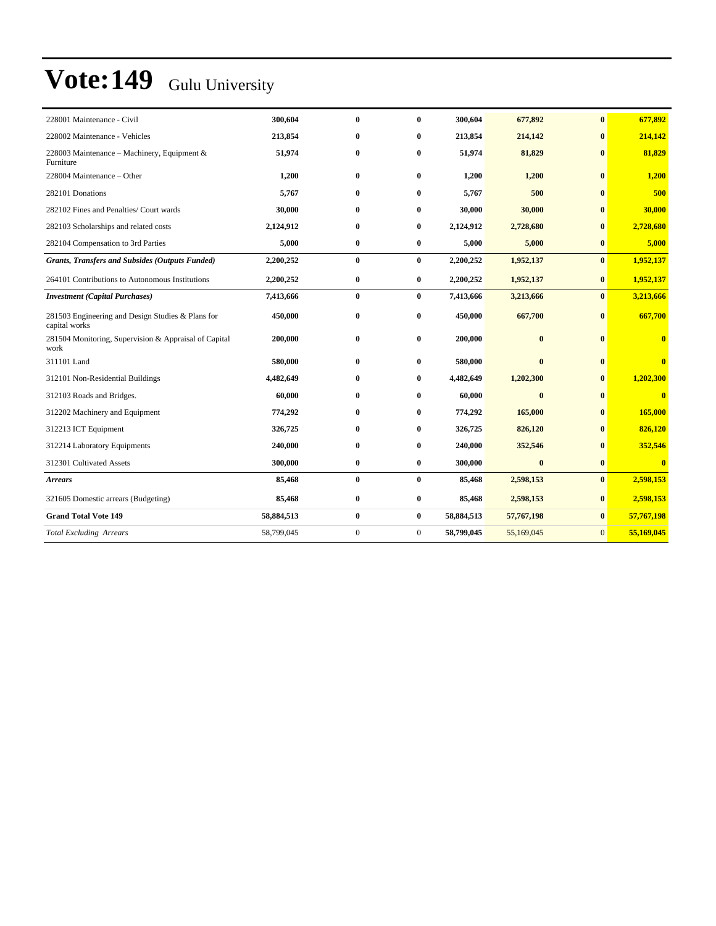| 228001 Maintenance - Civil                                         | 300,604    | $\bf{0}$         | $\mathbf{0}$   | 300,604    | 677,892      | $\bf{0}$       | 677,892                 |
|--------------------------------------------------------------------|------------|------------------|----------------|------------|--------------|----------------|-------------------------|
| 228002 Maintenance - Vehicles                                      | 213,854    | $\bf{0}$         | $\bf{0}$       | 213,854    | 214,142      | $\bf{0}$       | 214,142                 |
| 228003 Maintenance - Machinery, Equipment &<br>Furniture           | 51,974     | $\bf{0}$         | $\bf{0}$       | 51,974     | 81,829       | $\mathbf{0}$   | 81,829                  |
| 228004 Maintenance – Other                                         | 1,200      | $\bf{0}$         | $\bf{0}$       | 1,200      | 1,200        | $\mathbf{0}$   | 1,200                   |
| 282101 Donations                                                   | 5,767      | $\mathbf{0}$     | $\bf{0}$       | 5,767      | 500          | $\mathbf{0}$   | 500                     |
| 282102 Fines and Penalties/ Court wards                            | 30,000     | $\mathbf{0}$     | $\bf{0}$       | 30,000     | 30,000       | $\mathbf{0}$   | 30,000                  |
| 282103 Scholarships and related costs                              | 2,124,912  | $\bf{0}$         | $\bf{0}$       | 2,124,912  | 2,728,680    | $\bf{0}$       | 2,728,680               |
| 282104 Compensation to 3rd Parties                                 | 5,000      | $\bf{0}$         | $\bf{0}$       | 5,000      | 5,000        | $\bf{0}$       | 5,000                   |
| <b>Grants, Transfers and Subsides (Outputs Funded)</b>             | 2,200,252  | $\bf{0}$         | $\bf{0}$       | 2,200,252  | 1,952,137    | $\bf{0}$       | 1,952,137               |
| 264101 Contributions to Autonomous Institutions                    | 2,200,252  | $\bf{0}$         | $\bf{0}$       | 2,200,252  | 1,952,137    | $\bf{0}$       | 1,952,137               |
| <b>Investment</b> (Capital Purchases)                              | 7,413,666  | $\bf{0}$         | $\bf{0}$       | 7,413,666  | 3,213,666    | $\mathbf{0}$   | 3,213,666               |
| 281503 Engineering and Design Studies & Plans for<br>capital works | 450,000    | $\bf{0}$         | $\bf{0}$       | 450,000    | 667,700      | $\mathbf{0}$   | 667,700                 |
| 281504 Monitoring, Supervision & Appraisal of Capital<br>work      | 200,000    | $\bf{0}$         | $\bf{0}$       | 200,000    | $\mathbf{0}$ | $\mathbf{0}$   | $\bf{0}$                |
| 311101 Land                                                        | 580,000    | $\bf{0}$         | $\bf{0}$       | 580,000    | $\bf{0}$     | $\mathbf{0}$   | $\bf{0}$                |
| 312101 Non-Residential Buildings                                   | 4,482,649  | $\bf{0}$         | $\bf{0}$       | 4,482,649  | 1,202,300    | $\bf{0}$       | 1,202,300               |
| 312103 Roads and Bridges.                                          | 60,000     | $\bf{0}$         | $\bf{0}$       | 60,000     | $\bf{0}$     | $\mathbf{0}$   | $\overline{\mathbf{0}}$ |
| 312202 Machinery and Equipment                                     | 774,292    | $\bf{0}$         | $\bf{0}$       | 774,292    | 165,000      | $\mathbf{0}$   | 165,000                 |
| 312213 ICT Equipment                                               | 326,725    | $\bf{0}$         | $\bf{0}$       | 326,725    | 826,120      | $\mathbf{0}$   | 826,120                 |
| 312214 Laboratory Equipments                                       | 240,000    | $\bf{0}$         | 0              | 240,000    | 352,546      | $\mathbf{0}$   | 352,546                 |
| 312301 Cultivated Assets                                           | 300,000    | $\bf{0}$         | $\bf{0}$       | 300,000    | $\bf{0}$     | $\bf{0}$       | $\overline{0}$          |
| <b>Arrears</b>                                                     | 85,468     | $\bf{0}$         | $\bf{0}$       | 85,468     | 2,598,153    | $\bf{0}$       | 2,598,153               |
| 321605 Domestic arrears (Budgeting)                                | 85,468     | $\bf{0}$         | $\bf{0}$       | 85,468     | 2,598,153    | $\bf{0}$       | 2,598,153               |
| <b>Grand Total Vote 149</b>                                        | 58,884,513 | $\bf{0}$         | $\bf{0}$       | 58,884,513 | 57,767,198   | $\bf{0}$       | 57,767,198              |
| <b>Total Excluding Arrears</b>                                     | 58,799,045 | $\boldsymbol{0}$ | $\overline{0}$ | 58,799,045 | 55,169,045   | $\overline{0}$ | 55,169,045              |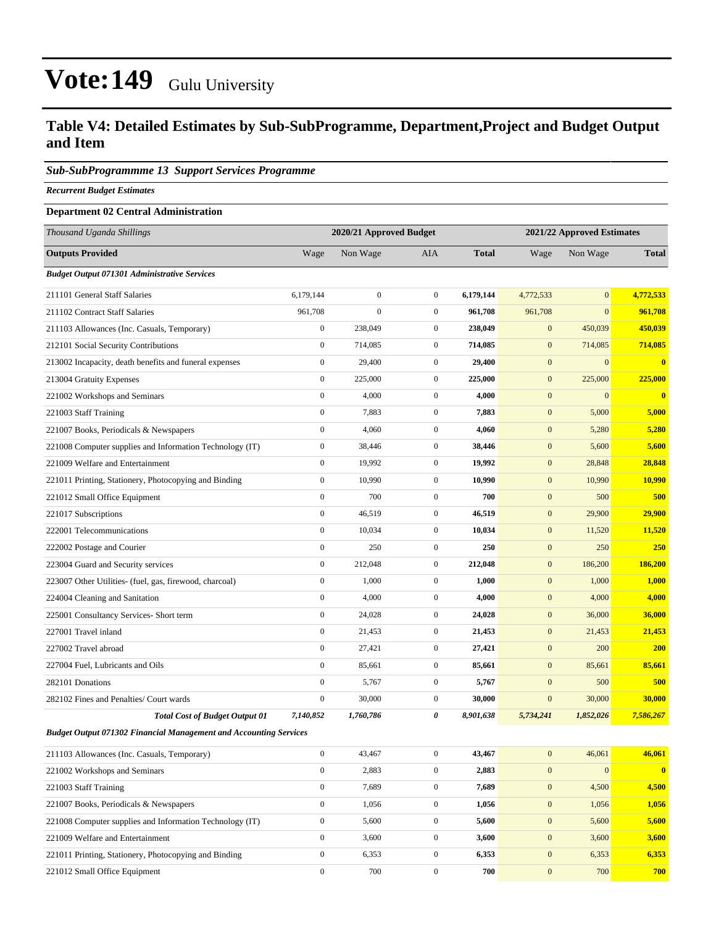### **Table V4: Detailed Estimates by Sub-SubProgramme, Department,Project and Budget Output and Item**

#### *Sub-SubProgrammme 13 Support Services Programme*

*Recurrent Budget Estimates*

#### **Department 02 Central Administration**

| Thousand Uganda Shillings                                                |                  | 2020/21 Approved Budget |                  |              | 2021/22 Approved Estimates |                  |              |
|--------------------------------------------------------------------------|------------------|-------------------------|------------------|--------------|----------------------------|------------------|--------------|
| <b>Outputs Provided</b>                                                  | Wage             | Non Wage                | AIA              | <b>Total</b> | Wage                       | Non Wage         | <b>Total</b> |
| <b>Budget Output 071301 Administrative Services</b>                      |                  |                         |                  |              |                            |                  |              |
| 211101 General Staff Salaries                                            | 6.179.144        | $\boldsymbol{0}$        | $\overline{0}$   | 6,179,144    | 4,772,533                  | $\mathbf{0}$     | 4,772,533    |
| 211102 Contract Staff Salaries                                           | 961,708          | $\boldsymbol{0}$        | $\mathbf{0}$     | 961,708      | 961,708                    | $\mathbf{0}$     | 961,708      |
| 211103 Allowances (Inc. Casuals, Temporary)                              | $\boldsymbol{0}$ | 238,049                 | $\mathbf{0}$     | 238,049      | $\mathbf{0}$               | 450,039          | 450,039      |
| 212101 Social Security Contributions                                     | $\boldsymbol{0}$ | 714,085                 | $\mathbf{0}$     | 714,085      | $\mathbf{0}$               | 714,085          | 714,085      |
| 213002 Incapacity, death benefits and funeral expenses                   | $\boldsymbol{0}$ | 29,400                  | $\mathbf{0}$     | 29,400       | $\mathbf{0}$               | $\boldsymbol{0}$ | $\bf{0}$     |
| 213004 Gratuity Expenses                                                 | $\mathbf{0}$     | 225,000                 | $\overline{0}$   | 225,000      | $\mathbf{0}$               | 225,000          | 225,000      |
| 221002 Workshops and Seminars                                            | $\boldsymbol{0}$ | 4,000                   | $\overline{0}$   | 4,000        | $\mathbf{0}$               | $\mathbf{0}$     | $\bf{0}$     |
| 221003 Staff Training                                                    | $\boldsymbol{0}$ | 7,883                   | $\mathbf{0}$     | 7,883        | $\mathbf{0}$               | 5,000            | 5,000        |
| 221007 Books, Periodicals & Newspapers                                   | $\boldsymbol{0}$ | 4,060                   | $\mathbf{0}$     | 4,060        | $\mathbf{0}$               | 5,280            | 5,280        |
| 221008 Computer supplies and Information Technology (IT)                 | $\boldsymbol{0}$ | 38,446                  | $\mathbf{0}$     | 38,446       | $\mathbf{0}$               | 5,600            | 5,600        |
| 221009 Welfare and Entertainment                                         | $\boldsymbol{0}$ | 19,992                  | $\overline{0}$   | 19,992       | $\mathbf{0}$               | 28,848           | 28,848       |
| 221011 Printing, Stationery, Photocopying and Binding                    | $\boldsymbol{0}$ | 10,990                  | $\overline{0}$   | 10,990       | $\mathbf{0}$               | 10,990           | 10,990       |
| 221012 Small Office Equipment                                            | $\boldsymbol{0}$ | 700                     | $\mathbf{0}$     | 700          | $\mathbf{0}$               | 500              | 500          |
| 221017 Subscriptions                                                     | $\boldsymbol{0}$ | 46,519                  | $\mathbf{0}$     | 46,519       | $\mathbf{0}$               | 29,900           | 29,900       |
| 222001 Telecommunications                                                | $\boldsymbol{0}$ | 10,034                  | $\mathbf{0}$     | 10,034       | $\mathbf{0}$               | 11,520           | 11,520       |
| 222002 Postage and Courier                                               | $\mathbf{0}$     | 250                     | $\overline{0}$   | 250          | $\mathbf{0}$               | 250              | 250          |
| 223004 Guard and Security services                                       | $\boldsymbol{0}$ | 212,048                 | $\mathbf{0}$     | 212,048      | $\mathbf{0}$               | 186,200          | 186,200      |
| 223007 Other Utilities- (fuel, gas, firewood, charcoal)                  | $\boldsymbol{0}$ | 1,000                   | $\mathbf{0}$     | 1,000        | $\mathbf{0}$               | 1,000            | 1,000        |
| 224004 Cleaning and Sanitation                                           | $\boldsymbol{0}$ | 4,000                   | $\overline{0}$   | 4,000        | $\mathbf{0}$               | 4,000            | 4,000        |
| 225001 Consultancy Services- Short term                                  | $\boldsymbol{0}$ | 24,028                  | $\mathbf{0}$     | 24,028       | $\mathbf{0}$               | 36,000           | 36,000       |
| 227001 Travel inland                                                     | $\boldsymbol{0}$ | 21,453                  | $\overline{0}$   | 21,453       | $\mathbf{0}$               | 21,453           | 21,453       |
| 227002 Travel abroad                                                     | $\boldsymbol{0}$ | 27,421                  | $\mathbf{0}$     | 27,421       | $\mathbf{0}$               | 200              | 200          |
| 227004 Fuel, Lubricants and Oils                                         | $\boldsymbol{0}$ | 85,661                  | $\mathbf{0}$     | 85,661       | $\mathbf{0}$               | 85,661           | 85,661       |
| 282101 Donations                                                         | $\boldsymbol{0}$ | 5,767                   | $\boldsymbol{0}$ | 5,767        | $\mathbf{0}$               | 500              | 500          |
| 282102 Fines and Penalties/ Court wards                                  | $\boldsymbol{0}$ | 30,000                  | $\mathbf{0}$     | 30,000       | $\mathbf{0}$               | 30,000           | 30,000       |
| <b>Total Cost of Budget Output 01</b>                                    | 7,140,852        | 1,760,786               | 0                | 8,901,638    | 5,734,241                  | 1,852,026        | 7,586,267    |
| <b>Budget Output 071302 Financial Management and Accounting Services</b> |                  |                         |                  |              |                            |                  |              |
| 211103 Allowances (Inc. Casuals, Temporary)                              | $\boldsymbol{0}$ | 43,467                  | $\overline{0}$   | 43,467       | $\mathbf{0}$               | 46,061           | 46,061       |
| 221002 Workshops and Seminars                                            | $\boldsymbol{0}$ | 2,883                   | $\boldsymbol{0}$ | 2,883        | $\mathbf{0}$               | $\boldsymbol{0}$ | $\bullet$    |
| 221003 Staff Training                                                    | $\mathbf{0}$     | 7,689                   | $\boldsymbol{0}$ | 7,689        | $\boldsymbol{0}$           | 4,500            | 4,500        |
| 221007 Books, Periodicals & Newspapers                                   | $\boldsymbol{0}$ | 1,056                   | $\boldsymbol{0}$ | 1,056        | $\mathbf{0}$               | 1,056            | 1,056        |
| 221008 Computer supplies and Information Technology (IT)                 | $\boldsymbol{0}$ | 5,600                   | $\boldsymbol{0}$ | 5,600        | $\mathbf{0}$               | 5,600            | 5,600        |
| 221009 Welfare and Entertainment                                         | $\boldsymbol{0}$ | 3,600                   | $\boldsymbol{0}$ | 3,600        | $\mathbf{0}$               | 3,600            | 3,600        |
| 221011 Printing, Stationery, Photocopying and Binding                    | $\boldsymbol{0}$ | 6,353                   | 0                | 6,353        | $\mathbf{0}$               | 6,353            | 6,353        |
| 221012 Small Office Equipment                                            | $\boldsymbol{0}$ | 700                     | $\boldsymbol{0}$ | 700          | $\mathbf{0}$               | 700              | 700          |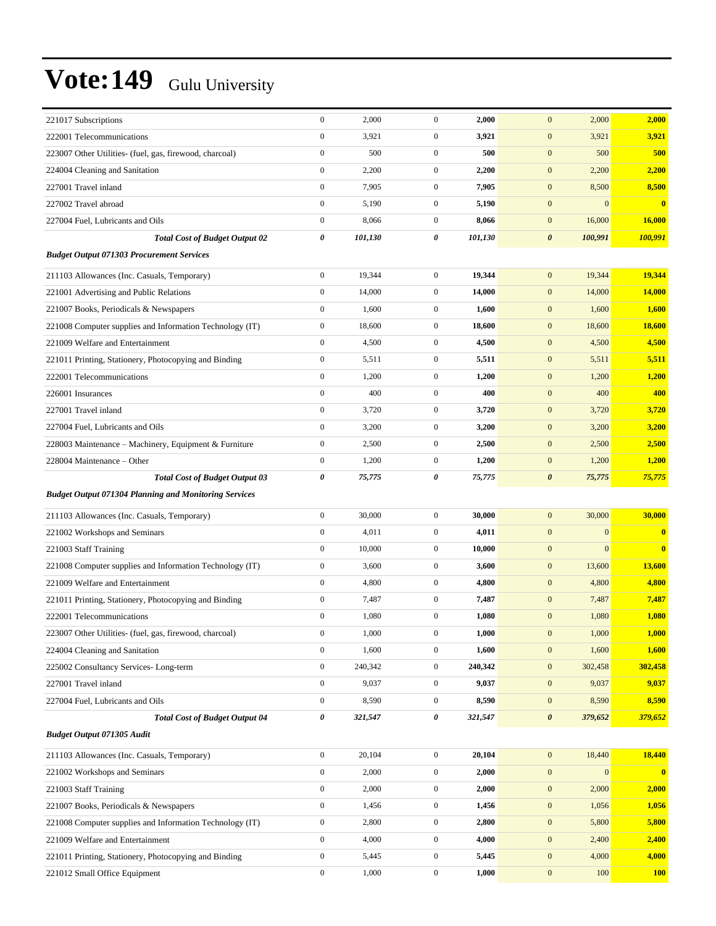| 221017 Subscriptions                                         | $\boldsymbol{0}$ | 2,000   | $\boldsymbol{0}$ | 2,000   | 2,000<br>$\mathbf{0}$            | 2,000                   |
|--------------------------------------------------------------|------------------|---------|------------------|---------|----------------------------------|-------------------------|
| 222001 Telecommunications                                    | $\mathbf{0}$     | 3,921   | $\mathbf{0}$     | 3,921   | $\mathbf{0}$<br>3,921            | 3,921                   |
| 223007 Other Utilities- (fuel, gas, firewood, charcoal)      | $\boldsymbol{0}$ | 500     | $\mathbf{0}$     | 500     | $\mathbf{0}$<br>500              | 500                     |
| 224004 Cleaning and Sanitation                               | $\boldsymbol{0}$ | 2,200   | $\boldsymbol{0}$ | 2,200   | $\mathbf{0}$<br>2,200            | 2,200                   |
| 227001 Travel inland                                         | $\mathbf{0}$     | 7,905   | $\boldsymbol{0}$ | 7,905   | $\mathbf{0}$<br>8,500            | 8,500                   |
| 227002 Travel abroad                                         | $\boldsymbol{0}$ | 5,190   | $\boldsymbol{0}$ | 5,190   | $\mathbf{0}$<br>$\mathbf{0}$     | $\overline{\mathbf{0}}$ |
| 227004 Fuel, Lubricants and Oils                             | $\boldsymbol{0}$ | 8,066   | $\mathbf{0}$     | 8,066   | $\mathbf{0}$<br>16,000           | 16,000                  |
| <b>Total Cost of Budget Output 02</b>                        | 0                | 101,130 | 0                | 101,130 | 100,991<br>$\boldsymbol{\theta}$ | 100,991                 |
| <b>Budget Output 071303 Procurement Services</b>             |                  |         |                  |         |                                  |                         |
| 211103 Allowances (Inc. Casuals, Temporary)                  | $\boldsymbol{0}$ | 19,344  | $\boldsymbol{0}$ | 19,344  | $\mathbf{0}$<br>19,344           | 19,344                  |
| 221001 Advertising and Public Relations                      | $\boldsymbol{0}$ | 14,000  | $\mathbf{0}$     | 14,000  | $\mathbf{0}$<br>14,000           | 14,000                  |
| 221007 Books, Periodicals & Newspapers                       | $\boldsymbol{0}$ | 1,600   | $\boldsymbol{0}$ | 1,600   | $\mathbf{0}$<br>1,600            | 1,600                   |
| 221008 Computer supplies and Information Technology (IT)     | $\boldsymbol{0}$ | 18,600  | $\boldsymbol{0}$ | 18,600  | $\mathbf{0}$<br>18,600           | 18,600                  |
| 221009 Welfare and Entertainment                             | $\boldsymbol{0}$ | 4,500   | $\boldsymbol{0}$ | 4,500   | $\mathbf{0}$<br>4,500            | 4,500                   |
| 221011 Printing, Stationery, Photocopying and Binding        | $\boldsymbol{0}$ | 5,511   | $\boldsymbol{0}$ | 5,511   | $\mathbf{0}$<br>5,511            | 5,511                   |
| 222001 Telecommunications                                    | $\boldsymbol{0}$ | 1,200   | $\mathbf{0}$     | 1,200   | $\mathbf{0}$<br>1,200            | 1,200                   |
| 226001 Insurances                                            | $\boldsymbol{0}$ | 400     | $\boldsymbol{0}$ | 400     | $\mathbf{0}$<br>400              | 400                     |
| 227001 Travel inland                                         | $\mathbf{0}$     | 3,720   | $\mathbf{0}$     | 3,720   | $\mathbf{0}$<br>3,720            | 3,720                   |
| 227004 Fuel, Lubricants and Oils                             | $\boldsymbol{0}$ | 3,200   | $\boldsymbol{0}$ | 3,200   | $\mathbf{0}$<br>3,200            | 3,200                   |
| 228003 Maintenance – Machinery, Equipment & Furniture        | $\boldsymbol{0}$ | 2,500   | $\boldsymbol{0}$ | 2,500   | $\mathbf{0}$<br>2,500            | 2,500                   |
| 228004 Maintenance - Other                                   | $\boldsymbol{0}$ | 1,200   | $\boldsymbol{0}$ | 1,200   | $\mathbf{0}$<br>1,200            | 1,200                   |
| <b>Total Cost of Budget Output 03</b>                        | $\pmb{\theta}$   | 75,775  | 0                | 75,775  | $\boldsymbol{\theta}$<br>75,775  | 75,775                  |
| <b>Budget Output 071304 Planning and Monitoring Services</b> |                  |         |                  |         |                                  |                         |
| 211103 Allowances (Inc. Casuals, Temporary)                  | $\boldsymbol{0}$ | 30,000  | $\boldsymbol{0}$ | 30,000  | $\boldsymbol{0}$<br>30,000       | 30,000                  |
| 221002 Workshops and Seminars                                | $\boldsymbol{0}$ | 4,011   | $\mathbf{0}$     | 4,011   | $\mathbf{0}$<br>$\mathbf{0}$     | $\bf{0}$                |
| 221003 Staff Training                                        | $\mathbf{0}$     | 10,000  | $\boldsymbol{0}$ | 10,000  | $\mathbf{0}$<br>$\mathbf{0}$     | $\bf{0}$                |
| 221008 Computer supplies and Information Technology (IT)     | $\boldsymbol{0}$ | 3,600   | $\boldsymbol{0}$ | 3,600   | $\mathbf{0}$<br>13,600           | 13,600                  |
| 221009 Welfare and Entertainment                             | $\boldsymbol{0}$ | 4,800   | $\boldsymbol{0}$ | 4,800   | $\mathbf{0}$<br>4,800            | 4,800                   |
| 221011 Printing, Stationery, Photocopying and Binding        | $\boldsymbol{0}$ | 7,487   | $\mathbf{0}$     | 7,487   | $\mathbf{0}$<br>7,487            | 7,487                   |
| 222001 Telecommunications                                    | $\boldsymbol{0}$ | 1,080   | $\boldsymbol{0}$ | 1,080   | $\mathbf{0}$<br>1,080            | 1,080                   |
| 223007 Other Utilities- (fuel, gas, firewood, charcoal)      | $\boldsymbol{0}$ | 1,000   | $\overline{0}$   | 1,000   | $\mathbf{0}$<br>1,000            | 1,000                   |
| 224004 Cleaning and Sanitation                               | $\boldsymbol{0}$ | 1,600   | $\boldsymbol{0}$ | 1,600   | $\boldsymbol{0}$<br>1,600        | 1,600                   |
| 225002 Consultancy Services-Long-term                        | $\boldsymbol{0}$ | 240,342 | $\boldsymbol{0}$ | 240,342 | $\boldsymbol{0}$<br>302,458      | 302,458                 |
| 227001 Travel inland                                         | $\boldsymbol{0}$ | 9,037   | $\boldsymbol{0}$ | 9,037   | 9,037<br>$\boldsymbol{0}$        | 9,037                   |
| 227004 Fuel, Lubricants and Oils                             | $\boldsymbol{0}$ | 8,590   | $\boldsymbol{0}$ | 8,590   | $\mathbf{0}$<br>8,590            | 8,590                   |
| <b>Total Cost of Budget Output 04</b>                        | $\pmb{\theta}$   | 321,547 | 0                | 321,547 | $\boldsymbol{\theta}$<br>379,652 | 379,652                 |
| <b>Budget Output 071305 Audit</b>                            |                  |         |                  |         |                                  |                         |
| 211103 Allowances (Inc. Casuals, Temporary)                  | $\boldsymbol{0}$ | 20,104  | $\boldsymbol{0}$ | 20,104  | $\boldsymbol{0}$<br>18,440       | 18,440                  |
| 221002 Workshops and Seminars                                | $\boldsymbol{0}$ | 2,000   | $\boldsymbol{0}$ | 2,000   | $\mathbf{0}$<br>$\mathbf{0}$     | $\mathbf{0}$            |
| 221003 Staff Training                                        | $\boldsymbol{0}$ | 2,000   | $\boldsymbol{0}$ | 2,000   | $\boldsymbol{0}$<br>2,000        | 2,000                   |
| 221007 Books, Periodicals & Newspapers                       | $\boldsymbol{0}$ | 1,456   | $\boldsymbol{0}$ | 1,456   | $\boldsymbol{0}$<br>1,056        | 1,056                   |
| 221008 Computer supplies and Information Technology (IT)     | $\boldsymbol{0}$ | 2,800   | $\boldsymbol{0}$ | 2,800   | $\boldsymbol{0}$<br>5,800        | 5,800                   |
| 221009 Welfare and Entertainment                             | $\boldsymbol{0}$ | 4,000   | $\boldsymbol{0}$ | 4,000   | $\boldsymbol{0}$<br>2,400        | 2,400                   |
| 221011 Printing, Stationery, Photocopying and Binding        | $\boldsymbol{0}$ | 5,445   | $\boldsymbol{0}$ | 5,445   | $\mathbf{0}$<br>4,000            | 4,000                   |
| 221012 Small Office Equipment                                | $\boldsymbol{0}$ | 1,000   | $\boldsymbol{0}$ | 1,000   | $\boldsymbol{0}$<br>100          | <b>100</b>              |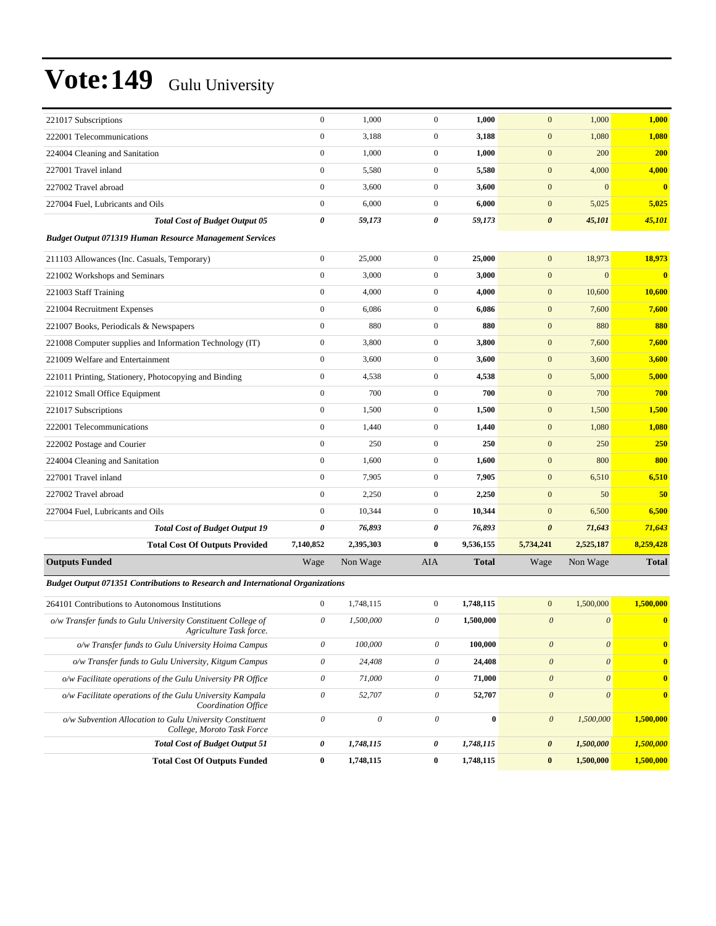| 221017 Subscriptions                                                                    | $\boldsymbol{0}$          | 1,000                     | $\boldsymbol{0}$          | 1,000            | $\mathbf{0}$              | 1,000                 | 1,000                   |
|-----------------------------------------------------------------------------------------|---------------------------|---------------------------|---------------------------|------------------|---------------------------|-----------------------|-------------------------|
| 222001 Telecommunications                                                               | $\boldsymbol{0}$          | 3,188                     | $\overline{0}$            | 3,188            | $\boldsymbol{0}$          | 1,080                 | 1,080                   |
| 224004 Cleaning and Sanitation                                                          | $\boldsymbol{0}$          | 1,000                     | $\overline{0}$            | 1,000            | $\mathbf{0}$              | 200                   | <b>200</b>              |
| 227001 Travel inland                                                                    | $\boldsymbol{0}$          | 5,580                     | $\mathbf{0}$              | 5,580            | $\mathbf{0}$              | 4,000                 | 4,000                   |
| 227002 Travel abroad                                                                    | $\boldsymbol{0}$          | 3,600                     | $\mathbf{0}$              | 3,600            | $\mathbf{0}$              | $\mathbf{0}$          | $\bf{0}$                |
| 227004 Fuel, Lubricants and Oils                                                        | $\boldsymbol{0}$          | 6,000                     | $\mathbf{0}$              | 6,000            | $\mathbf{0}$              | 5,025                 | 5,025                   |
| <b>Total Cost of Budget Output 05</b>                                                   | 0                         | 59,173                    | 0                         | 59,173           | $\pmb{\theta}$            | 45,101                | 45,101                  |
| <b>Budget Output 071319 Human Resource Management Services</b>                          |                           |                           |                           |                  |                           |                       |                         |
| 211103 Allowances (Inc. Casuals, Temporary)                                             | $\boldsymbol{0}$          | 25,000                    | $\mathbf{0}$              | 25,000           | $\mathbf{0}$              | 18,973                | 18,973                  |
| 221002 Workshops and Seminars                                                           | $\boldsymbol{0}$          | 3,000                     | $\overline{0}$            | 3,000            | $\boldsymbol{0}$          | $\mathbf{0}$          | $\overline{\mathbf{0}}$ |
| 221003 Staff Training                                                                   | $\boldsymbol{0}$          | 4,000                     | $\mathbf{0}$              | 4,000            | $\mathbf{0}$              | 10,600                | 10,600                  |
| 221004 Recruitment Expenses                                                             | $\boldsymbol{0}$          | 6,086                     | $\mathbf{0}$              | 6,086            | $\mathbf{0}$              | 7,600                 | 7,600                   |
| 221007 Books, Periodicals & Newspapers                                                  | $\overline{0}$            | 880                       | $\overline{0}$            | 880              | $\mathbf{0}$              | 880                   | 880                     |
| 221008 Computer supplies and Information Technology (IT)                                | $\boldsymbol{0}$          | 3,800                     | $\mathbf{0}$              | 3,800            | $\mathbf{0}$              | 7,600                 | 7,600                   |
| 221009 Welfare and Entertainment                                                        | $\boldsymbol{0}$          | 3,600                     | $\mathbf{0}$              | 3,600            | $\mathbf{0}$              | 3,600                 | 3,600                   |
| 221011 Printing, Stationery, Photocopying and Binding                                   | $\boldsymbol{0}$          | 4,538                     | $\mathbf{0}$              | 4,538            | $\mathbf{0}$              | 5,000                 | 5,000                   |
| 221012 Small Office Equipment                                                           | $\boldsymbol{0}$          | 700                       | $\mathbf{0}$              | 700              | $\mathbf{0}$              | 700                   | 700                     |
| 221017 Subscriptions                                                                    | $\boldsymbol{0}$          | 1,500                     | $\overline{0}$            | 1,500            | $\mathbf{0}$              | 1,500                 | 1,500                   |
| 222001 Telecommunications                                                               | $\boldsymbol{0}$          | 1,440                     | $\mathbf{0}$              | 1,440            | $\mathbf{0}$              | 1,080                 | 1,080                   |
| 222002 Postage and Courier                                                              | $\boldsymbol{0}$          | 250                       | $\overline{0}$            | 250              | $\boldsymbol{0}$          | 250                   | 250                     |
| 224004 Cleaning and Sanitation                                                          | $\boldsymbol{0}$          | 1,600                     | $\mathbf{0}$              | 1,600            | $\mathbf{0}$              | 800                   | 800                     |
| 227001 Travel inland                                                                    | $\overline{0}$            | 7,905                     | $\mathbf{0}$              | 7,905            | $\mathbf{0}$              | 6,510                 | 6,510                   |
| 227002 Travel abroad                                                                    | $\boldsymbol{0}$          | 2,250                     | $\overline{0}$            | 2,250            | $\mathbf{0}$              | 50                    | 50                      |
| 227004 Fuel, Lubricants and Oils                                                        | $\boldsymbol{0}$          | 10,344                    | $\mathbf{0}$              | 10,344           | $\mathbf{0}$              | 6,500                 | 6,500                   |
| <b>Total Cost of Budget Output 19</b>                                                   | 0                         | 76,893                    | 0                         | 76,893           | $\pmb{\theta}$            | 71,643                | 71,643                  |
| <b>Total Cost Of Outputs Provided</b>                                                   | 7,140,852                 | 2,395,303                 | $\bf{0}$                  | 9,536,155        | 5,734,241                 | 2,525,187             | 8,259,428               |
| <b>Outputs Funded</b>                                                                   | Wage                      | Non Wage                  | AIA                       | <b>Total</b>     | Wage                      | Non Wage              | <b>Total</b>            |
| Budget Output 071351 Contributions to Research and International Organizations          |                           |                           |                           |                  |                           |                       |                         |
| 264101 Contributions to Autonomous Institutions                                         | $\boldsymbol{0}$          | 1,748,115                 | $\overline{0}$            | 1,748,115        | $\mathbf{0}$              | 1,500,000             | 1,500,000               |
| o/w Transfer funds to Gulu University Constituent College of<br>Agriculture Task force. | $\theta$                  | 1,500,000                 | $\boldsymbol{\theta}$     | 1,500,000        | $\boldsymbol{\mathit{0}}$ | $\boldsymbol{\theta}$ | $\bf{0}$                |
| o/w Transfer funds to Gulu University Hoima Campus                                      | $\boldsymbol{\mathit{0}}$ | 100,000                   | $\theta$                  | 100,000          | $\boldsymbol{0}$          | $\boldsymbol{\theta}$ | $\bf{0}$                |
| o/w Transfer funds to Gulu University, Kitgum Campus                                    | $\boldsymbol{\mathit{0}}$ | 24,408                    | $\theta$                  | 24,408           | $\boldsymbol{\theta}$     | $\boldsymbol{\theta}$ | $\bf{0}$                |
| o/w Facilitate operations of the Gulu University PR Office                              | $\boldsymbol{\mathit{0}}$ | 71,000                    | $\boldsymbol{\mathit{0}}$ | 71,000           | $\boldsymbol{\theta}$     | $\boldsymbol{\theta}$ | $\bf{0}$                |
| o/w Facilitate operations of the Gulu University Kampala<br>Coordination Office         | $\boldsymbol{\mathit{0}}$ | 52,707                    | $\theta$                  | 52,707           | $\boldsymbol{0}$          | $\boldsymbol{\theta}$ | $\overline{\mathbf{0}}$ |
| o/w Subvention Allocation to Gulu University Constituent<br>College, Moroto Task Force  | $\boldsymbol{\mathit{0}}$ | $\boldsymbol{\mathit{0}}$ | $\boldsymbol{\theta}$     | $\boldsymbol{0}$ | $\boldsymbol{\theta}$     | 1,500,000             | 1,500,000               |
| <b>Total Cost of Budget Output 51</b>                                                   | $\pmb{\theta}$            | 1,748,115                 | 0                         | 1,748,115        | $\boldsymbol{\theta}$     | 1,500,000             | 1,500,000               |
| <b>Total Cost Of Outputs Funded</b>                                                     | $\bf{0}$                  | 1,748,115                 | $\bf{0}$                  | 1,748,115        | $\bf{0}$                  | 1,500,000             | 1,500,000               |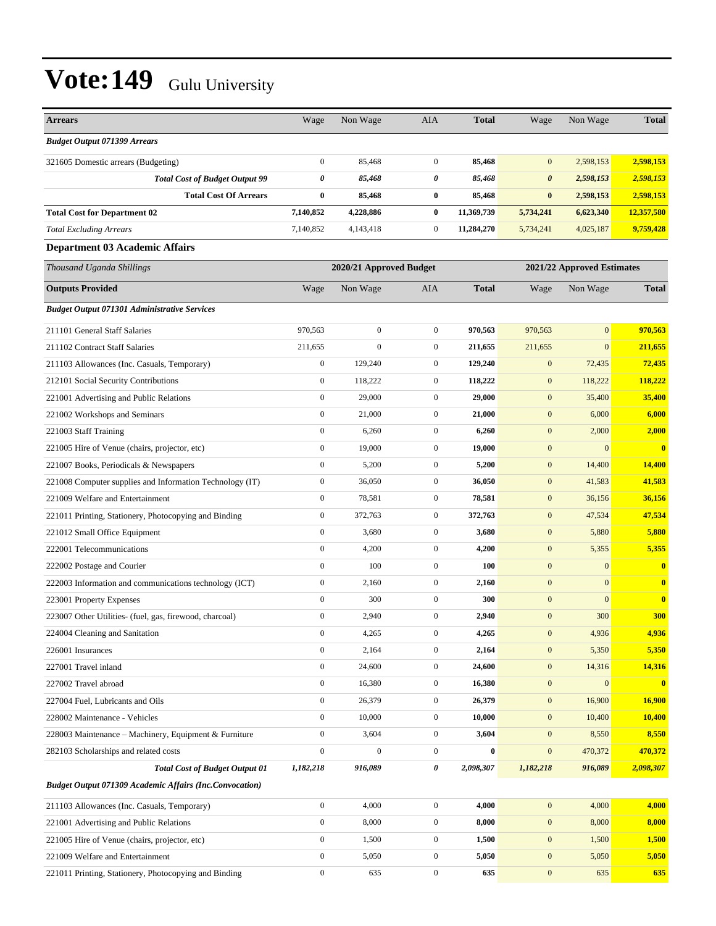| <b>Arrears</b>                                                 | Wage             | Non Wage                | AIA              | <b>Total</b> | Wage                  | Non Wage                   | <b>Total</b>  |
|----------------------------------------------------------------|------------------|-------------------------|------------------|--------------|-----------------------|----------------------------|---------------|
| <b>Budget Output 071399 Arrears</b>                            |                  |                         |                  |              |                       |                            |               |
| 321605 Domestic arrears (Budgeting)                            | $\boldsymbol{0}$ | 85,468                  | $\overline{0}$   | 85,468       | $\mathbf{0}$          | 2,598,153                  | 2,598,153     |
| <b>Total Cost of Budget Output 99</b>                          | 0                | 85,468                  | 0                | 85,468       | $\boldsymbol{\theta}$ | 2,598,153                  | 2,598,153     |
| <b>Total Cost Of Arrears</b>                                   | $\bf{0}$         | 85,468                  | $\bf{0}$         | 85,468       | $\bf{0}$              | 2,598,153                  | 2,598,153     |
| <b>Total Cost for Department 02</b>                            | 7,140,852        | 4,228,886               | $\bf{0}$         | 11,369,739   | 5,734,241             | 6,623,340                  | 12,357,580    |
| <b>Total Excluding Arrears</b>                                 | 7,140,852        | 4,143,418               | $\mathbf{0}$     | 11,284,270   | 5,734,241             | 4,025,187                  | 9,759,428     |
| <b>Department 03 Academic Affairs</b>                          |                  |                         |                  |              |                       |                            |               |
| Thousand Uganda Shillings                                      |                  | 2020/21 Approved Budget |                  |              |                       | 2021/22 Approved Estimates |               |
| <b>Outputs Provided</b>                                        | Wage             | Non Wage                | AIA              | <b>Total</b> | Wage                  | Non Wage                   | <b>Total</b>  |
| <b>Budget Output 071301 Administrative Services</b>            |                  |                         |                  |              |                       |                            |               |
| 211101 General Staff Salaries                                  | 970,563          | $\boldsymbol{0}$        | $\mathbf{0}$     | 970,563      | 970,563               | $\mathbf{0}$               | 970,563       |
| 211102 Contract Staff Salaries                                 | 211,655          | $\boldsymbol{0}$        | $\mathbf{0}$     | 211,655      | 211,655               | $\mathbf{0}$               | 211,655       |
| 211103 Allowances (Inc. Casuals, Temporary)                    | $\boldsymbol{0}$ | 129,240                 | $\mathbf{0}$     | 129,240      | $\mathbf{0}$          | 72,435                     | 72,435        |
| 212101 Social Security Contributions                           | $\boldsymbol{0}$ | 118,222                 | $\mathbf{0}$     | 118,222      | $\boldsymbol{0}$      | 118,222                    | 118,222       |
| 221001 Advertising and Public Relations                        | $\boldsymbol{0}$ | 29,000                  | $\overline{0}$   | 29,000       | $\mathbf{0}$          | 35,400                     | 35,400        |
| 221002 Workshops and Seminars                                  | $\boldsymbol{0}$ | 21,000                  | $\mathbf{0}$     | 21,000       | $\mathbf{0}$          | 6,000                      | 6,000         |
| 221003 Staff Training                                          | $\boldsymbol{0}$ | 6,260                   | $\mathbf{0}$     | 6,260        | $\mathbf{0}$          | 2,000                      | 2,000         |
| 221005 Hire of Venue (chairs, projector, etc)                  | $\boldsymbol{0}$ | 19,000                  | $\mathbf{0}$     | 19,000       | $\mathbf{0}$          | $\mathbf{0}$               | $\bf{0}$      |
| 221007 Books, Periodicals & Newspapers                         | $\boldsymbol{0}$ | 5,200                   | $\boldsymbol{0}$ | 5,200        | $\mathbf{0}$          | 14,400                     | <b>14,400</b> |
| 221008 Computer supplies and Information Technology (IT)       | $\boldsymbol{0}$ | 36,050                  | $\mathbf{0}$     | 36,050       | $\mathbf{0}$          | 41,583                     | 41,583        |
| 221009 Welfare and Entertainment                               | $\boldsymbol{0}$ | 78,581                  | $\mathbf{0}$     | 78,581       | $\mathbf{0}$          | 36,156                     | 36,156        |
| 221011 Printing, Stationery, Photocopying and Binding          | $\boldsymbol{0}$ | 372,763                 | $\mathbf{0}$     | 372,763      | $\mathbf{0}$          | 47,534                     | 47,534        |
| 221012 Small Office Equipment                                  | $\boldsymbol{0}$ | 3,680                   | $\mathbf{0}$     | 3,680        | $\mathbf{0}$          | 5,880                      | 5,880         |
| 222001 Telecommunications                                      | $\boldsymbol{0}$ | 4,200                   | $\mathbf{0}$     | 4,200        | $\mathbf{0}$          | 5,355                      | 5,355         |
| 222002 Postage and Courier                                     | $\boldsymbol{0}$ | 100                     | $\mathbf{0}$     | 100          | $\mathbf{0}$          | $\mathbf{0}$               | $\bf{0}$      |
| 222003 Information and communications technology (ICT)         | $\boldsymbol{0}$ | 2,160                   | $\mathbf{0}$     | 2,160        | $\mathbf{0}$          | $\mathbf{0}$               | $\mathbf{0}$  |
| 223001 Property Expenses                                       | $\boldsymbol{0}$ | 300                     | $\mathbf{0}$     | 300          | $\boldsymbol{0}$      | $\mathbf{0}$               | $\mathbf{0}$  |
| 223007 Other Utilities- (fuel, gas, firewood, charcoal)        | $\boldsymbol{0}$ | 2,940                   | $\mathbf{0}$     | 2,940        | $\mathbf{0}$          | 300                        | <b>300</b>    |
| 224004 Cleaning and Sanitation                                 | $\mathbf{0}$     | 4,265                   | $\Omega$         | 4,265        | $\mathbf{0}$          | 4,936                      | 4,936         |
| 226001 Insurances                                              | $\boldsymbol{0}$ | 2,164                   | $\boldsymbol{0}$ | 2,164        | $\boldsymbol{0}$      | 5,350                      | 5,350         |
| 227001 Travel inland                                           | $\boldsymbol{0}$ | 24,600                  | $\boldsymbol{0}$ | 24,600       | $\boldsymbol{0}$      | 14,316                     | 14,316        |
| 227002 Travel abroad                                           | $\boldsymbol{0}$ | 16,380                  | $\boldsymbol{0}$ | 16,380       | $\boldsymbol{0}$      | $\boldsymbol{0}$           | $\mathbf{0}$  |
| 227004 Fuel, Lubricants and Oils                               | $\boldsymbol{0}$ | 26,379                  | $\boldsymbol{0}$ | 26,379       | $\boldsymbol{0}$      | 16,900                     | 16,900        |
| 228002 Maintenance - Vehicles                                  | $\boldsymbol{0}$ | 10,000                  | $\boldsymbol{0}$ | 10,000       | $\mathbf{0}$          | 10,400                     | 10,400        |
| 228003 Maintenance – Machinery, Equipment & Furniture          | $\boldsymbol{0}$ | 3,604                   | $\boldsymbol{0}$ | 3,604        | $\boldsymbol{0}$      | 8,550                      | 8,550         |
| 282103 Scholarships and related costs                          | $\boldsymbol{0}$ | $\boldsymbol{0}$        | $\boldsymbol{0}$ | $\bf{0}$     | $\boldsymbol{0}$      | 470,372                    | 470,372       |
| <b>Total Cost of Budget Output 01</b>                          | 1,182,218        | 916,089                 | 0                | 2,098,307    | 1,182,218             | 916,089                    | 2,098,307     |
| <b>Budget Output 071309 Academic Affairs (Inc.Convocation)</b> |                  |                         |                  |              |                       |                            |               |
| 211103 Allowances (Inc. Casuals, Temporary)                    | $\boldsymbol{0}$ | 4,000                   | $\boldsymbol{0}$ | 4,000        | $\boldsymbol{0}$      | 4,000                      | 4,000         |
| 221001 Advertising and Public Relations                        | $\boldsymbol{0}$ | 8,000                   | $\boldsymbol{0}$ | 8,000        | $\boldsymbol{0}$      | 8,000                      | 8,000         |
| 221005 Hire of Venue (chairs, projector, etc)                  | $\boldsymbol{0}$ | 1,500                   | $\boldsymbol{0}$ | 1,500        | $\boldsymbol{0}$      | 1,500                      | 1,500         |
| 221009 Welfare and Entertainment                               | $\boldsymbol{0}$ | 5,050                   | $\boldsymbol{0}$ | 5,050        | $\boldsymbol{0}$      | 5,050                      | 5,050         |
| 221011 Printing, Stationery, Photocopying and Binding          | $\boldsymbol{0}$ | 635                     | $\boldsymbol{0}$ | 635          | $\boldsymbol{0}$      | 635                        | 635           |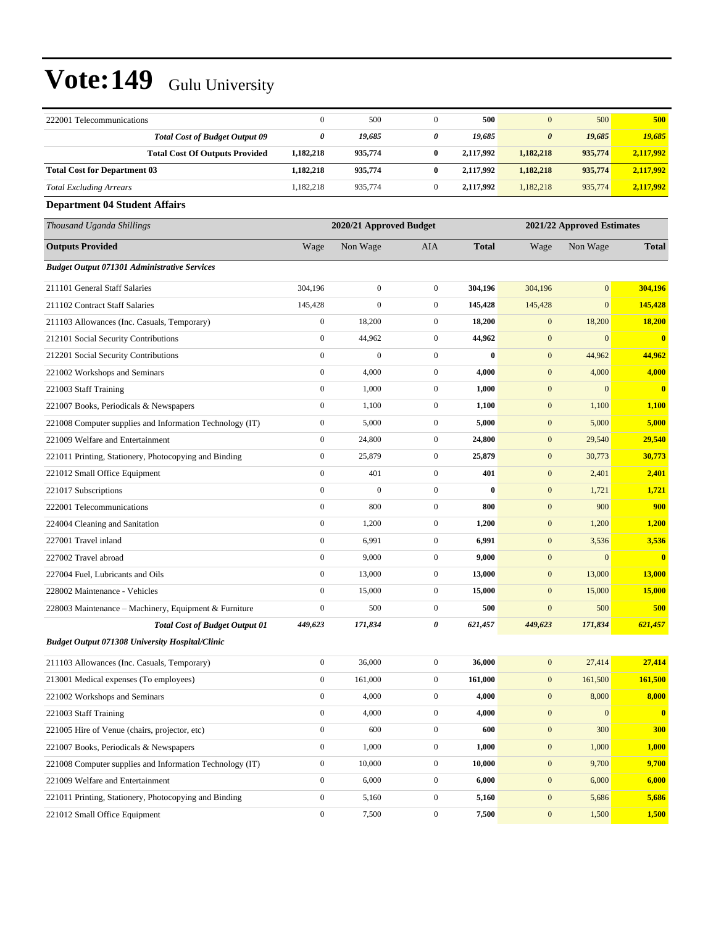| 222001 Telecommunications                                | $\mathbf{0}$     | 500                     | $\mathbf{0}$     | 500          | $\mathbf{0}$          | 500                        | 500          |
|----------------------------------------------------------|------------------|-------------------------|------------------|--------------|-----------------------|----------------------------|--------------|
| <b>Total Cost of Budget Output 09</b>                    | $\pmb{\theta}$   | 19,685                  | 0                | 19,685       | $\boldsymbol{\theta}$ | 19,685                     | 19,685       |
| <b>Total Cost Of Outputs Provided</b>                    | 1,182,218        | 935,774                 | $\bf{0}$         | 2,117,992    | 1,182,218             | 935,774                    | 2,117,992    |
| <b>Total Cost for Department 03</b>                      | 1,182,218        | 935,774                 | $\bf{0}$         | 2,117,992    | 1,182,218             | 935,774                    | 2,117,992    |
| <b>Total Excluding Arrears</b>                           | 1,182,218        | 935,774                 | $\mathbf{0}$     | 2,117,992    | 1,182,218             | 935,774                    | 2,117,992    |
| <b>Department 04 Student Affairs</b>                     |                  |                         |                  |              |                       |                            |              |
| Thousand Uganda Shillings                                |                  | 2020/21 Approved Budget |                  |              |                       | 2021/22 Approved Estimates |              |
| <b>Outputs Provided</b>                                  | Wage             | Non Wage                | AIA              | <b>Total</b> | Wage                  | Non Wage                   | <b>Total</b> |
| <b>Budget Output 071301 Administrative Services</b>      |                  |                         |                  |              |                       |                            |              |
| 211101 General Staff Salaries                            | 304,196          | $\boldsymbol{0}$        | $\mathbf{0}$     | 304,196      | 304,196               | $\overline{0}$             | 304,196      |
| 211102 Contract Staff Salaries                           | 145,428          | $\boldsymbol{0}$        | $\mathbf{0}$     | 145,428      | 145,428               | $\overline{0}$             | 145,428      |
| 211103 Allowances (Inc. Casuals, Temporary)              | $\boldsymbol{0}$ | 18,200                  | $\mathbf{0}$     | 18,200       | $\boldsymbol{0}$      | 18,200                     | 18,200       |
| 212101 Social Security Contributions                     | $\boldsymbol{0}$ | 44,962                  | $\mathbf{0}$     | 44,962       | $\boldsymbol{0}$      | $\boldsymbol{0}$           | $\bf{0}$     |
| 212201 Social Security Contributions                     | $\overline{0}$   | $\mathbf{0}$            | $\mathbf{0}$     | $\bf{0}$     | $\boldsymbol{0}$      | 44,962                     | 44,962       |
| 221002 Workshops and Seminars                            | $\boldsymbol{0}$ | 4,000                   | $\mathbf{0}$     | 4,000        | $\mathbf{0}$          | 4,000                      | 4,000        |
| 221003 Staff Training                                    | $\boldsymbol{0}$ | 1,000                   | $\mathbf{0}$     | 1,000        | $\mathbf{0}$          | $\overline{0}$             | $\bf{0}$     |
| 221007 Books, Periodicals & Newspapers                   | $\boldsymbol{0}$ | 1,100                   | $\mathbf{0}$     | 1,100        | $\boldsymbol{0}$      | 1,100                      | 1,100        |
| 221008 Computer supplies and Information Technology (IT) | $\boldsymbol{0}$ | 5,000                   | $\mathbf{0}$     | 5,000        | $\boldsymbol{0}$      | 5,000                      | 5,000        |
| 221009 Welfare and Entertainment                         | $\boldsymbol{0}$ | 24,800                  | $\mathbf{0}$     | 24,800       | $\boldsymbol{0}$      | 29,540                     | 29,540       |
| 221011 Printing, Stationery, Photocopying and Binding    | $\boldsymbol{0}$ | 25,879                  | $\mathbf{0}$     | 25,879       | $\mathbf{0}$          | 30,773                     | 30,773       |
| 221012 Small Office Equipment                            | $\mathbf{0}$     | 401                     | $\mathbf{0}$     | 401          | $\mathbf{0}$          | 2,401                      | 2,401        |
| 221017 Subscriptions                                     | $\boldsymbol{0}$ | $\boldsymbol{0}$        | $\mathbf{0}$     | $\bf{0}$     | $\boldsymbol{0}$      | 1,721                      | 1,721        |
| 222001 Telecommunications                                | $\boldsymbol{0}$ | 800                     | $\mathbf{0}$     | 800          | $\boldsymbol{0}$      | 900                        | 900          |
| 224004 Cleaning and Sanitation                           | $\boldsymbol{0}$ | 1,200                   | $\mathbf{0}$     | 1,200        | $\boldsymbol{0}$      | 1,200                      | 1,200        |
| 227001 Travel inland                                     | $\mathbf{0}$     | 6,991                   | $\mathbf{0}$     | 6,991        | $\mathbf{0}$          | 3,536                      | 3,536        |
| 227002 Travel abroad                                     | $\boldsymbol{0}$ | 9,000                   | $\mathbf{0}$     | 9,000        | $\mathbf{0}$          | $\mathbf{0}$               | $\bf{0}$     |
| 227004 Fuel, Lubricants and Oils                         | $\boldsymbol{0}$ | 13,000                  | $\mathbf{0}$     | 13,000       | $\mathbf{0}$          | 13,000                     | 13,000       |
| 228002 Maintenance - Vehicles                            | $\boldsymbol{0}$ | 15,000                  | $\mathbf{0}$     | 15,000       | $\mathbf{0}$          | 15,000                     | 15,000       |
| 228003 Maintenance – Machinery, Equipment & Furniture    | $\mathbf{0}$     | 500                     | $\mathbf{0}$     | 500          | $\mathbf{0}$          | 500                        | 500          |
| <b>Total Cost of Budget Output 01</b>                    | 449,623          | 171,834                 | 0                | 621,457      | 449,623               | 171,834                    | 621,457      |
| <b>Budget Output 071308 University Hospital/Clinic</b>   |                  |                         |                  |              |                       |                            |              |
| 211103 Allowances (Inc. Casuals, Temporary)              | $\boldsymbol{0}$ | 36,000                  | $\mathbf{0}$     | 36,000       | $\mathbf{0}$          | 27,414                     | 27,414       |
| 213001 Medical expenses (To employees)                   | $\boldsymbol{0}$ | 161,000                 | $\boldsymbol{0}$ | 161,000      | $\bf{0}$              | 161,500                    | 161,500      |
| 221002 Workshops and Seminars                            | $\boldsymbol{0}$ | 4,000                   | $\boldsymbol{0}$ | 4,000        | $\boldsymbol{0}$      | 8,000                      | 8,000        |
| 221003 Staff Training                                    | $\boldsymbol{0}$ | 4,000                   | $\boldsymbol{0}$ | 4,000        | $\boldsymbol{0}$      | $\boldsymbol{0}$           | $\bf{0}$     |
| 221005 Hire of Venue (chairs, projector, etc)            | $\boldsymbol{0}$ | 600                     | $\mathbf{0}$     | 600          | $\boldsymbol{0}$      | 300                        | 300          |
| 221007 Books, Periodicals & Newspapers                   | $\boldsymbol{0}$ | 1,000                   | $\boldsymbol{0}$ | 1,000        | $\boldsymbol{0}$      | 1,000                      | 1,000        |
| 221008 Computer supplies and Information Technology (IT) | $\boldsymbol{0}$ | 10,000                  | $\boldsymbol{0}$ | 10,000       | $\boldsymbol{0}$      | 9,700                      | 9,700        |
| 221009 Welfare and Entertainment                         | $\boldsymbol{0}$ | 6,000                   | $\boldsymbol{0}$ | 6,000        | $\boldsymbol{0}$      | 6,000                      | 6,000        |
| 221011 Printing, Stationery, Photocopying and Binding    | $\boldsymbol{0}$ | 5,160                   | $\boldsymbol{0}$ | 5,160        | $\boldsymbol{0}$      | 5,686                      | 5,686        |
| 221012 Small Office Equipment                            | $\boldsymbol{0}$ | 7,500                   | $\boldsymbol{0}$ | 7,500        | $\boldsymbol{0}$      | 1,500                      | 1,500        |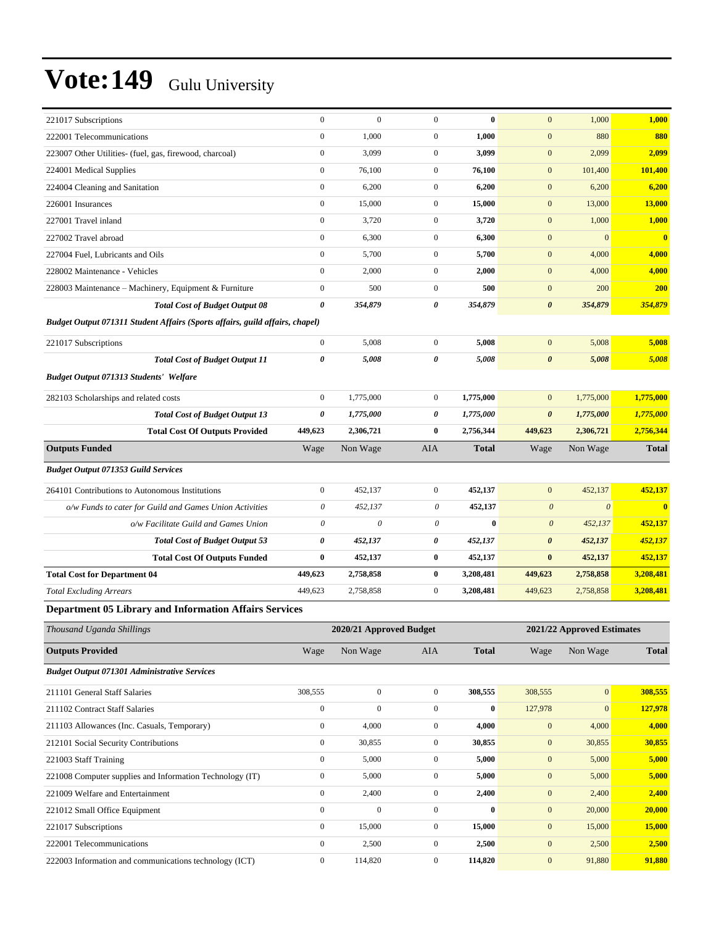| 221017 Subscriptions                                                         | $\boldsymbol{0}$          | $\boldsymbol{0}$        | $\boldsymbol{0}$ | $\bf{0}$         | $\mathbf{0}$          | 1,000                      | 1,000                   |
|------------------------------------------------------------------------------|---------------------------|-------------------------|------------------|------------------|-----------------------|----------------------------|-------------------------|
| 222001 Telecommunications                                                    | $\boldsymbol{0}$          | 1,000                   | $\boldsymbol{0}$ | 1,000            | $\boldsymbol{0}$      | 880                        | 880                     |
| 223007 Other Utilities- (fuel, gas, firewood, charcoal)                      | $\boldsymbol{0}$          | 3,099                   | $\mathbf{0}$     | 3,099            | $\boldsymbol{0}$      | 2,099                      | 2,099                   |
| 224001 Medical Supplies                                                      | $\boldsymbol{0}$          | 76,100                  | $\mathbf{0}$     | 76,100           | $\boldsymbol{0}$      | 101,400                    | <b>101,400</b>          |
| 224004 Cleaning and Sanitation                                               | $\boldsymbol{0}$          | 6,200                   | $\boldsymbol{0}$ | 6,200            | $\boldsymbol{0}$      | 6,200                      | 6,200                   |
| 226001 Insurances                                                            | $\boldsymbol{0}$          | 15,000                  | $\boldsymbol{0}$ | 15,000           | $\mathbf{0}$          | 13,000                     | 13,000                  |
| 227001 Travel inland                                                         | $\boldsymbol{0}$          | 3,720                   | $\boldsymbol{0}$ | 3,720            | $\mathbf{0}$          | 1,000                      | 1,000                   |
| 227002 Travel abroad                                                         | $\boldsymbol{0}$          | 6,300                   | $\boldsymbol{0}$ | 6,300            | $\mathbf{0}$          | $\mathbf{0}$               | $\overline{\mathbf{0}}$ |
| 227004 Fuel, Lubricants and Oils                                             | $\boldsymbol{0}$          | 5,700                   | $\mathbf{0}$     | 5,700            | $\mathbf{0}$          | 4,000                      | 4,000                   |
| 228002 Maintenance - Vehicles                                                | $\boldsymbol{0}$          | 2,000                   | $\mathbf{0}$     | 2,000            | $\boldsymbol{0}$      | 4,000                      | 4,000                   |
| 228003 Maintenance - Machinery, Equipment & Furniture                        | $\boldsymbol{0}$          | 500                     | $\boldsymbol{0}$ | 500              | $\boldsymbol{0}$      | 200                        | <b>200</b>              |
| <b>Total Cost of Budget Output 08</b>                                        | 0                         | 354,879                 | 0                | 354,879          | $\boldsymbol{\theta}$ | 354,879                    | 354,879                 |
| Budget Output 071311 Student Affairs (Sports affairs, guild affairs, chapel) |                           |                         |                  |                  |                       |                            |                         |
| 221017 Subscriptions                                                         | $\boldsymbol{0}$          | 5,008                   | $\mathbf{0}$     | 5,008            | $\mathbf{0}$          | 5,008                      | 5,008                   |
| <b>Total Cost of Budget Output 11</b>                                        | 0                         | 5,008                   | 0                | 5,008            | $\boldsymbol{\theta}$ | 5,008                      | 5,008                   |
| <b>Budget Output 071313 Students' Welfare</b>                                |                           |                         |                  |                  |                       |                            |                         |
| 282103 Scholarships and related costs                                        | $\boldsymbol{0}$          | 1,775,000               | $\mathbf{0}$     | 1,775,000        | $\mathbf{0}$          | 1,775,000                  | 1,775,000               |
| <b>Total Cost of Budget Output 13</b>                                        | 0                         | 1,775,000               | 0                | 1,775,000        | $\boldsymbol{\theta}$ | 1,775,000                  | 1,775,000               |
| <b>Total Cost Of Outputs Provided</b>                                        | 449,623                   | 2,306,721               | $\bf{0}$         | 2,756,344        | 449,623               | 2,306,721                  | 2,756,344               |
| <b>Outputs Funded</b>                                                        | Wage                      | Non Wage                | AIA              | <b>Total</b>     | Wage                  | Non Wage                   | <b>Total</b>            |
|                                                                              |                           |                         |                  |                  |                       |                            |                         |
| <b>Budget Output 071353 Guild Services</b>                                   |                           |                         |                  |                  |                       |                            |                         |
| 264101 Contributions to Autonomous Institutions                              | $\boldsymbol{0}$          | 452,137                 | $\boldsymbol{0}$ | 452,137          | $\mathbf{0}$          | 452,137                    | 452,137                 |
| o/w Funds to cater for Guild and Games Union Activities                      | 0                         | 452,137                 | 0                | 452,137          | $\boldsymbol{\theta}$ | $\theta$                   | $\bf{0}$                |
| o/w Facilitate Guild and Games Union                                         | $\boldsymbol{\mathit{0}}$ | $\theta$                | 0                | $\bf{0}$         | $\boldsymbol{\theta}$ | 452,137                    | 452,137                 |
| <b>Total Cost of Budget Output 53</b>                                        | 0                         | 452,137                 | 0                | 452,137          | $\boldsymbol{\theta}$ | 452,137                    | 452,137                 |
| <b>Total Cost Of Outputs Funded</b>                                          | $\bf{0}$                  | 452,137                 | $\bf{0}$         | 452,137          | $\bf{0}$              | 452,137                    | 452,137                 |
| <b>Total Cost for Department 04</b>                                          | 449,623                   | 2,758,858               | $\bf{0}$         | 3,208,481        | 449,623               | 2,758,858                  | 3,208,481               |
| <b>Total Excluding Arrears</b>                                               | 449,623                   | 2,758,858               | $\mathbf{0}$     | 3,208,481        | 449,623               | 2,758,858                  | 3,208,481               |
| <b>Department 05 Library and Information Affairs Services</b>                |                           |                         |                  |                  |                       |                            |                         |
| Thousand Uganda Shillings                                                    |                           | 2020/21 Approved Budget |                  |                  |                       | 2021/22 Approved Estimates |                         |
| <b>Outputs Provided</b>                                                      | Wage                      | Non Wage                | AIA              | <b>Total</b>     | Wage                  | Non Wage                   | <b>Total</b>            |
| <b>Budget Output 071301 Administrative Services</b>                          |                           |                         |                  |                  |                       |                            |                         |
| 211101 General Staff Salaries                                                | 308,555                   | $\boldsymbol{0}$        | $\boldsymbol{0}$ | 308,555          | 308,555               | $\boldsymbol{0}$           | 308,555                 |
| 211102 Contract Staff Salaries                                               | $\boldsymbol{0}$          | $\boldsymbol{0}$        | $\boldsymbol{0}$ | $\pmb{0}$        | 127,978               | $\boldsymbol{0}$           | 127,978                 |
| 211103 Allowances (Inc. Casuals, Temporary)                                  | $\boldsymbol{0}$          | 4,000                   | $\boldsymbol{0}$ | 4,000            | $\boldsymbol{0}$      | 4,000                      | 4,000                   |
| 212101 Social Security Contributions                                         | $\boldsymbol{0}$          | 30,855                  | $\boldsymbol{0}$ | 30,855           | $\boldsymbol{0}$      | 30,855                     | 30,855                  |
| 221003 Staff Training                                                        | $\boldsymbol{0}$          | 5,000                   | $\boldsymbol{0}$ | 5,000            | $\bf{0}$              | 5,000                      | 5,000                   |
| 221008 Computer supplies and Information Technology (IT)                     | $\boldsymbol{0}$          | 5,000                   | $\boldsymbol{0}$ | 5,000            | $\boldsymbol{0}$      | 5,000                      | 5,000                   |
| 221009 Welfare and Entertainment                                             | $\boldsymbol{0}$          | 2,400                   | $\boldsymbol{0}$ | 2,400            | $\bf{0}$              | 2,400                      | 2,400                   |
| 221012 Small Office Equipment                                                | $\boldsymbol{0}$          | $\boldsymbol{0}$        | $\boldsymbol{0}$ | $\boldsymbol{0}$ | $\boldsymbol{0}$      | 20,000                     | 20,000                  |

221017 Subscriptions 0 15,000 0 **15,000** 0 15,000 **15,000** 222001 Telecommunications 0 2,500 0 **2,500** 0 2,500 **2,500**

222003 Information and communications technology (ICT) 0 114,820 0 **114,820** 0 91,880 **91,880**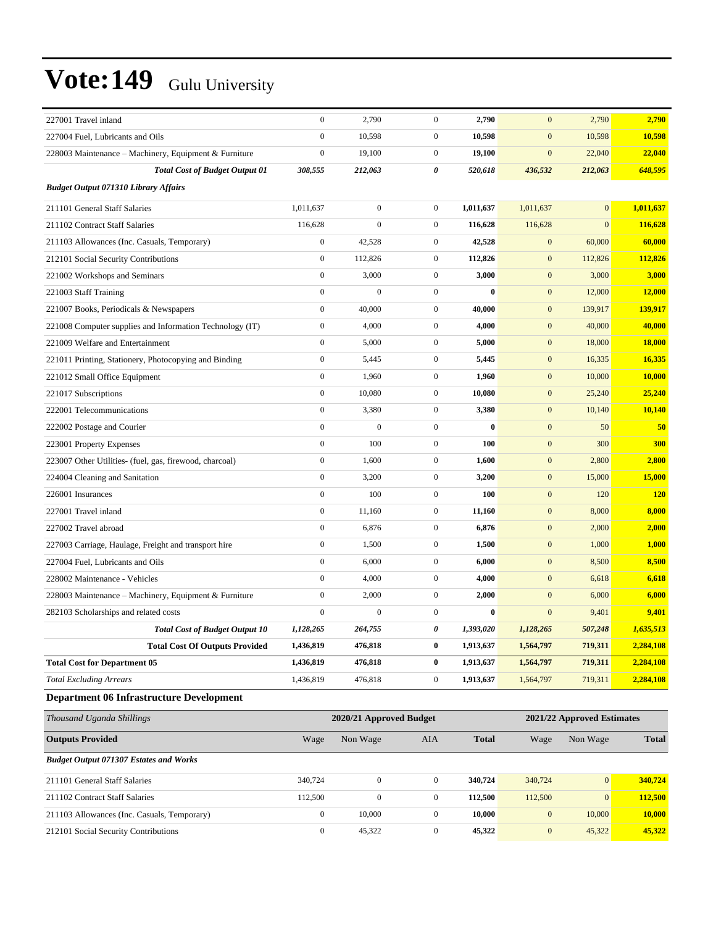| 227001 Travel inland                                     | $\boldsymbol{0}$                                      | 2,790            | $\mathbf{0}$     | 2,790     | $\mathbf{0}$     | 2,790        | 2,790         |
|----------------------------------------------------------|-------------------------------------------------------|------------------|------------------|-----------|------------------|--------------|---------------|
| 227004 Fuel, Lubricants and Oils                         | $\boldsymbol{0}$                                      | 10,598           | $\mathbf{0}$     | 10,598    | $\mathbf{0}$     | 10,598       | 10,598        |
| 228003 Maintenance - Machinery, Equipment & Furniture    | $\boldsymbol{0}$                                      | 19,100           | $\boldsymbol{0}$ | 19,100    | $\boldsymbol{0}$ | 22,040       | 22,040        |
| <b>Total Cost of Budget Output 01</b>                    | 308,555                                               | 212,063          | 0                | 520,618   | 436,532          | 212,063      | 648,595       |
| <b>Budget Output 071310 Library Affairs</b>              |                                                       |                  |                  |           |                  |              |               |
| 211101 General Staff Salaries                            | 1,011,637                                             | $\boldsymbol{0}$ | $\mathbf{0}$     | 1,011,637 | 1,011,637        | $\mathbf{0}$ | 1,011,637     |
| 211102 Contract Staff Salaries                           | 116,628                                               | $\overline{0}$   | $\boldsymbol{0}$ | 116,628   | 116,628          | $\mathbf{0}$ | 116,628       |
| 211103 Allowances (Inc. Casuals, Temporary)              | $\boldsymbol{0}$                                      | 42,528           | $\boldsymbol{0}$ | 42,528    | $\mathbf{0}$     | 60,000       | 60,000        |
| 212101 Social Security Contributions                     | $\boldsymbol{0}$                                      | 112,826          | $\boldsymbol{0}$ | 112,826   | $\mathbf{0}$     | 112,826      | 112,826       |
| 221002 Workshops and Seminars                            | $\boldsymbol{0}$                                      | 3,000            | $\mathbf{0}$     | 3,000     | $\mathbf{0}$     | 3,000        | 3,000         |
| 221003 Staff Training                                    | $\boldsymbol{0}$                                      | $\boldsymbol{0}$ | $\boldsymbol{0}$ | $\bf{0}$  | $\mathbf{0}$     | 12,000       | 12,000        |
| 221007 Books, Periodicals & Newspapers                   | $\mathbf{0}$                                          | 40,000           | $\boldsymbol{0}$ | 40,000    | $\mathbf{0}$     | 139,917      | 139,917       |
| 221008 Computer supplies and Information Technology (IT) | $\boldsymbol{0}$                                      | 4,000            | $\boldsymbol{0}$ | 4,000     | $\mathbf{0}$     | 40,000       | 40,000        |
| 221009 Welfare and Entertainment                         | $\boldsymbol{0}$                                      | 5,000            | $\boldsymbol{0}$ | 5,000     | $\mathbf{0}$     | 18,000       | <b>18,000</b> |
| 221011 Printing, Stationery, Photocopying and Binding    | $\boldsymbol{0}$                                      | 5,445            | $\mathbf{0}$     | 5,445     | $\mathbf{0}$     | 16,335       | 16,335        |
| 221012 Small Office Equipment                            | $\boldsymbol{0}$                                      | 1,960            | $\boldsymbol{0}$ | 1,960     | $\mathbf{0}$     | 10,000       | 10,000        |
| 221017 Subscriptions                                     | $\boldsymbol{0}$                                      | 10,080           | $\boldsymbol{0}$ | 10,080    | $\mathbf{0}$     | 25,240       | 25,240        |
| 222001 Telecommunications                                | $\boldsymbol{0}$                                      | 3,380            | $\boldsymbol{0}$ | 3,380     | $\mathbf{0}$     | 10,140       | 10,140        |
| 222002 Postage and Courier                               | $\mathbf{0}$                                          | $\overline{0}$   | $\boldsymbol{0}$ | $\bf{0}$  | $\mathbf{0}$     | 50           | 50            |
| 223001 Property Expenses                                 | $\boldsymbol{0}$                                      | 100              | $\boldsymbol{0}$ | 100       | $\mathbf{0}$     | 300          | 300           |
| 223007 Other Utilities- (fuel, gas, firewood, charcoal)  | $\boldsymbol{0}$                                      | 1,600            | $\boldsymbol{0}$ | 1,600     | $\mathbf{0}$     | 2,800        | 2,800         |
| 224004 Cleaning and Sanitation                           | $\mathbf{0}$                                          | 3,200            | $\boldsymbol{0}$ | 3,200     | $\mathbf{0}$     | 15,000       | 15,000        |
| 226001 Insurances                                        | $\mathbf{0}$                                          | 100              | $\boldsymbol{0}$ | 100       | $\mathbf{0}$     | 120          | <b>120</b>    |
| 227001 Travel inland                                     | $\boldsymbol{0}$                                      | 11,160           | $\boldsymbol{0}$ | 11,160    | $\mathbf{0}$     | 8,000        | 8,000         |
| 227002 Travel abroad                                     | $\boldsymbol{0}$                                      | 6,876            | $\mathbf{0}$     | 6,876     | $\mathbf{0}$     | 2,000        | 2,000         |
| 227003 Carriage, Haulage, Freight and transport hire     | $\boldsymbol{0}$                                      | 1,500            | $\boldsymbol{0}$ | 1,500     | $\mathbf{0}$     | 1,000        | 1,000         |
| 227004 Fuel, Lubricants and Oils                         | $\mathbf{0}$                                          | 6,000            | $\boldsymbol{0}$ | 6,000     | $\mathbf{0}$     | 8,500        | 8,500         |
| 228002 Maintenance - Vehicles                            | $\boldsymbol{0}$                                      | 4,000            | $\boldsymbol{0}$ | 4,000     | $\mathbf{0}$     | 6,618        | 6,618         |
| 228003 Maintenance – Machinery, Equipment & Furniture    | $\boldsymbol{0}$                                      | 2,000            | $\boldsymbol{0}$ | 2,000     | $\mathbf{0}$     | 6,000        | 6,000         |
| 282103 Scholarships and related costs                    | $\mathbf{0}$                                          | $\boldsymbol{0}$ | $\boldsymbol{0}$ | $\bf{0}$  | $\mathbf{0}$     | 9,401        | 9,401         |
| <b>Total Cost of Budget Output 10</b>                    | 1,128,265                                             | 264,755          | 0                | 1,393,020 | 1,128,265        | 507,248      | 1,635,513     |
| <b>Total Cost Of Outputs Provided</b>                    | 1,436,819                                             | 476,818          | $\bf{0}$         | 1,913,637 | 1,564,797        | 719,311      | 2,284,108     |
| <b>Total Cost for Department 05</b>                      | 1,436,819                                             | 476,818          | 0                | 1,913,637 | 1,564,797        | 719,311      | 2,284,108     |
| <b>Total Excluding Arrears</b>                           | 1,436,819                                             | 476,818          | $\boldsymbol{0}$ | 1,913,637 | 1,564,797        | 719,311      | 2,284,108     |
| <b>Department 06 Infrastructure Development</b>          |                                                       |                  |                  |           |                  |              |               |
| Thousand Uganda Shillings                                | 2020/21 Approved Budget<br>2021/22 Approved Estimates |                  |                  |           |                  |              |               |

| Thousand Uganda Shillings                     |              | 2020/21 Approved Budget | 2021/22 Approved Estimates |              |              |                 |              |
|-----------------------------------------------|--------------|-------------------------|----------------------------|--------------|--------------|-----------------|--------------|
| <b>Outputs Provided</b>                       | Wage         | Non Wage                | AIA                        | <b>Total</b> | Wage         | Non Wage        | <b>Total</b> |
| <b>Budget Output 071307 Estates and Works</b> |              |                         |                            |              |              |                 |              |
| 211101 General Staff Salaries                 | 340,724      | $\mathbf{0}$            | $\mathbf{0}$               | 340,724      | 340,724      | $\vert 0 \vert$ | 340,724      |
| 211102 Contract Staff Salaries                | 112,500      | 0                       | $\mathbf{0}$               | 112,500      | 112,500      | $\overline{0}$  | 112,500      |
| 211103 Allowances (Inc. Casuals, Temporary)   | $\mathbf{0}$ | 10.000                  | $\mathbf{0}$               | 10.000       | $\mathbf{0}$ | 10,000          | 10.000       |
| 212101 Social Security Contributions          | $\Omega$     | 45.322                  | $\mathbf{0}$               | 45.322       | $\mathbf{0}$ | 45,322          | 45,322       |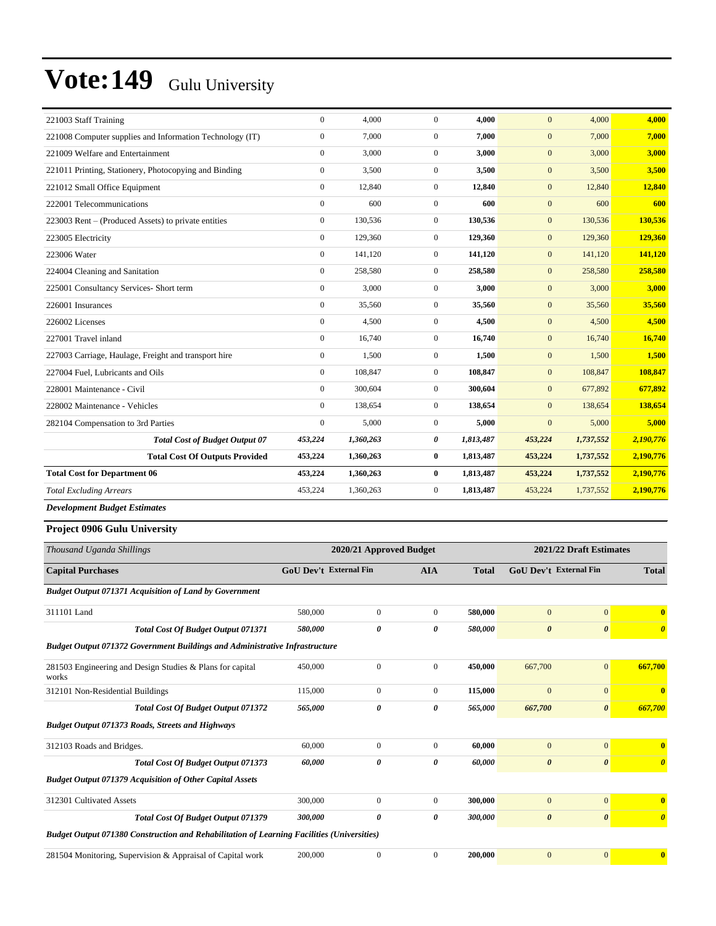| 221003 Staff Training                                    | $\mathbf{0}$     | 4,000     | $\overline{0}$   | 4,000     | $\mathbf{0}$ | 4,000     | 4,000     |
|----------------------------------------------------------|------------------|-----------|------------------|-----------|--------------|-----------|-----------|
| 221008 Computer supplies and Information Technology (IT) | $\mathbf{0}$     | 7,000     | $\overline{0}$   | 7,000     | $\mathbf{0}$ | 7,000     | 7,000     |
| 221009 Welfare and Entertainment                         | $\mathbf{0}$     | 3,000     | $\boldsymbol{0}$ | 3,000     | $\mathbf{0}$ | 3,000     | 3,000     |
| 221011 Printing, Stationery, Photocopying and Binding    | $\mathbf{0}$     | 3,500     | $\overline{0}$   | 3,500     | $\mathbf{0}$ | 3,500     | 3,500     |
| 221012 Small Office Equipment                            | $\mathbf{0}$     | 12,840    | $\overline{0}$   | 12,840    | $\mathbf{0}$ | 12,840    | 12,840    |
| 222001 Telecommunications                                | $\Omega$         | 600       | $\overline{0}$   | 600       | $\mathbf{0}$ | 600       | 600       |
| 223003 Rent – (Produced Assets) to private entities      | $\mathbf{0}$     | 130,536   | $\overline{0}$   | 130,536   | $\mathbf{0}$ | 130,536   | 130,536   |
| 223005 Electricity                                       | $\mathbf{0}$     | 129,360   | $\boldsymbol{0}$ | 129,360   | $\mathbf{0}$ | 129,360   | 129,360   |
| 223006 Water                                             | $\mathbf{0}$     | 141,120   | $\overline{0}$   | 141,120   | $\mathbf{0}$ | 141,120   | 141,120   |
| 224004 Cleaning and Sanitation                           | $\boldsymbol{0}$ | 258,580   | $\boldsymbol{0}$ | 258,580   | $\mathbf{0}$ | 258,580   | 258,580   |
| 225001 Consultancy Services- Short term                  | $\mathbf{0}$     | 3,000     | $\overline{0}$   | 3,000     | $\mathbf{0}$ | 3,000     | 3,000     |
| 226001 Insurances                                        | $\mathbf{0}$     | 35,560    | $\overline{0}$   | 35,560    | $\mathbf{0}$ | 35,560    | 35,560    |
| 226002 Licenses                                          | $\mathbf{0}$     | 4,500     | $\overline{0}$   | 4,500     | $\mathbf{0}$ | 4,500     | 4,500     |
| 227001 Travel inland                                     | $\mathbf{0}$     | 16.740    | $\overline{0}$   | 16.740    | $\mathbf{0}$ | 16,740    | 16,740    |
| 227003 Carriage, Haulage, Freight and transport hire     | $\boldsymbol{0}$ | 1,500     | $\overline{0}$   | 1,500     | $\mathbf{0}$ | 1,500     | 1,500     |
| 227004 Fuel, Lubricants and Oils                         | $\Omega$         | 108,847   | $\overline{0}$   | 108,847   | $\mathbf{0}$ | 108,847   | 108,847   |
| 228001 Maintenance - Civil                               | $\mathbf{0}$     | 300,604   | $\overline{0}$   | 300,604   | $\mathbf{0}$ | 677,892   | 677,892   |
| 228002 Maintenance - Vehicles                            | $\Omega$         | 138,654   | $\overline{0}$   | 138,654   | $\mathbf{0}$ | 138,654   | 138,654   |
| 282104 Compensation to 3rd Parties                       | $\boldsymbol{0}$ | 5,000     | $\boldsymbol{0}$ | 5,000     | $\mathbf{0}$ | 5,000     | 5,000     |
| <b>Total Cost of Budget Output 07</b>                    | 453,224          | 1,360,263 | 0                | 1,813,487 | 453,224      | 1,737,552 | 2,190,776 |
| <b>Total Cost Of Outputs Provided</b>                    | 453,224          | 1,360,263 | $\bf{0}$         | 1,813,487 | 453,224      | 1,737,552 | 2,190,776 |
| <b>Total Cost for Department 06</b>                      | 453,224          | 1,360,263 | 0                | 1,813,487 | 453,224      | 1,737,552 | 2,190,776 |
| <b>Total Excluding Arrears</b>                           | 453,224          | 1,360,263 | $\boldsymbol{0}$ | 1,813,487 | 453,224      | 1,737,552 | 2,190,776 |
| <b>Development Budget Estimates</b>                      |                  |           |                  |           |              |           |           |

#### **Project 0906 Gulu University**

| Thousand Uganda Shillings                                                                         |                               | 2020/21 Approved Budget | 2021/22 Draft Estimates |              |                               |                       |                                  |
|---------------------------------------------------------------------------------------------------|-------------------------------|-------------------------|-------------------------|--------------|-------------------------------|-----------------------|----------------------------------|
| <b>Capital Purchases</b>                                                                          | <b>GoU Dev't External Fin</b> |                         | <b>AIA</b>              | <b>Total</b> | <b>GoU Dev't External Fin</b> |                       | <b>Total</b>                     |
| <b>Budget Output 071371 Acquisition of Land by Government</b>                                     |                               |                         |                         |              |                               |                       |                                  |
| 311101 Land                                                                                       | 580,000                       | $\mathbf{0}$            | $\theta$                | 580,000      | $\mathbf{0}$                  | $\overline{0}$        | $\mathbf{0}$                     |
| <b>Total Cost Of Budget Output 071371</b>                                                         | 580,000                       | 0                       | 0                       | 580,000      | $\boldsymbol{\theta}$         | $\boldsymbol{\theta}$ | $\boldsymbol{\theta}$            |
| <b>Budget Output 071372 Government Buildings and Administrative Infrastructure</b>                |                               |                         |                         |              |                               |                       |                                  |
| 281503 Engineering and Design Studies & Plans for capital<br>works                                | 450,000                       | $\mathbf{0}$            | $\overline{0}$          | 450,000      | 667,700                       | $\mathbf{0}$          | 667,700                          |
| 312101 Non-Residential Buildings                                                                  | 115,000                       | $\mathbf{0}$            | $\Omega$                | 115,000      | $\mathbf{0}$                  | $\overline{0}$        | $\mathbf{0}$                     |
| Total Cost Of Budget Output 071372                                                                | 565,000                       | 0                       | 0                       | 565,000      | 667,700                       | $\boldsymbol{\theta}$ | 667,700                          |
| <b>Budget Output 071373 Roads, Streets and Highways</b>                                           |                               |                         |                         |              |                               |                       |                                  |
| 312103 Roads and Bridges.                                                                         | 60,000                        | $\mathbf{0}$            | $\overline{0}$          | 60,000       | $\mathbf{0}$                  | $\mathbf{0}$          | $\bf{0}$                         |
| <b>Total Cost Of Budget Output 071373</b>                                                         | 60,000                        | 0                       | 0                       | 60,000       | $\boldsymbol{\theta}$         | $\boldsymbol{\theta}$ | $\overline{\boldsymbol{\theta}}$ |
| <b>Budget Output 071379 Acquisition of Other Capital Assets</b>                                   |                               |                         |                         |              |                               |                       |                                  |
| 312301 Cultivated Assets                                                                          | 300,000                       | $\mathbf{0}$            | $\theta$                | 300,000      | $\mathbf{0}$                  | $\overline{0}$        | $\mathbf{0}$                     |
| <b>Total Cost Of Budget Output 071379</b>                                                         | 300,000                       | 0                       | 0                       | 300,000      | $\boldsymbol{\theta}$         | $\boldsymbol{\theta}$ | $\boldsymbol{\theta}$            |
| <b>Budget Output 071380 Construction and Rehabilitation of Learning Facilities (Universities)</b> |                               |                         |                         |              |                               |                       |                                  |
| 281504 Monitoring, Supervision & Appraisal of Capital work                                        | 200,000                       | $\mathbf{0}$            | $\Omega$                | 200,000      | $\mathbf{0}$                  | $\overline{0}$        | $\mathbf{0}$                     |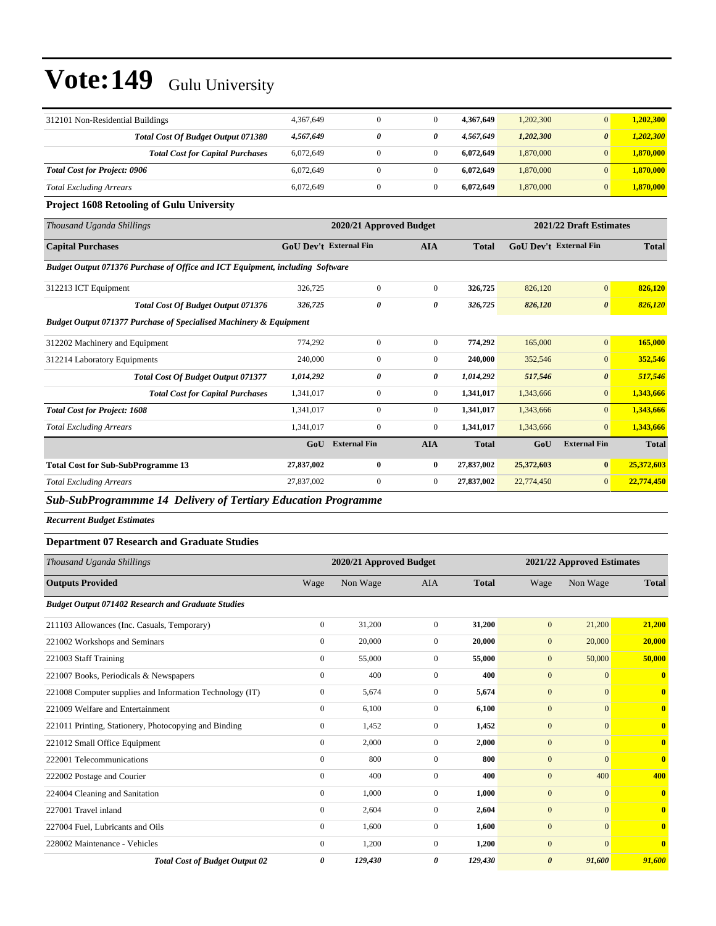| 312101 Non-Residential Buildings                                              | 4.367.649                     | $\overline{0}$      | $\Omega$       | 4,367,649               | 1,202,300                     | $\overline{0}$        | 1,202,300    |
|-------------------------------------------------------------------------------|-------------------------------|---------------------|----------------|-------------------------|-------------------------------|-----------------------|--------------|
| Total Cost Of Budget Output 071380                                            | 4,567,649                     | 0                   | 0              | 4,567,649               | 1,202,300                     | $\boldsymbol{\theta}$ | 1,202,300    |
| <b>Total Cost for Capital Purchases</b>                                       | 6,072,649                     | $\mathbf{0}$        | $\overline{0}$ | 6,072,649               | 1,870,000                     | $\overline{0}$        | 1,870,000    |
| <b>Total Cost for Project: 0906</b>                                           | 6,072,649                     | $\mathbf{0}$        | $\overline{0}$ | 6,072,649               | 1,870,000                     | $\overline{0}$        | 1,870,000    |
| <b>Total Excluding Arrears</b>                                                | 6,072,649                     | $\boldsymbol{0}$    | $\overline{0}$ | 6,072,649               | 1,870,000                     | $\overline{0}$        | 1,870,000    |
| <b>Project 1608 Retooling of Gulu University</b>                              |                               |                     |                |                         |                               |                       |              |
| Thousand Uganda Shillings                                                     | 2020/21 Approved Budget       |                     |                | 2021/22 Draft Estimates |                               |                       |              |
| <b>Capital Purchases</b>                                                      | <b>GoU Dev't External Fin</b> |                     | <b>AIA</b>     | <b>Total</b>            | <b>GoU Dev't External Fin</b> |                       | <b>Total</b> |
| Budget Output 071376 Purchase of Office and ICT Equipment, including Software |                               |                     |                |                         |                               |                       |              |
| 312213 ICT Equipment                                                          | 326,725                       | $\mathbf{0}$        | $\Omega$       | 326,725                 | 826,120                       | $\overline{0}$        | 826,120      |
| <b>Total Cost Of Budget Output 071376</b>                                     | 326,725                       | 0                   | 0              | 326,725                 | 826,120                       | $\boldsymbol{\theta}$ | 826,120      |
| <b>Budget Output 071377 Purchase of Specialised Machinery &amp; Equipment</b> |                               |                     |                |                         |                               |                       |              |
| 312202 Machinery and Equipment                                                | 774,292                       | $\boldsymbol{0}$    | $\overline{0}$ | 774,292                 | 165,000                       | $\overline{0}$        | 165,000      |
| 312214 Laboratory Equipments                                                  | 240,000                       | $\mathbf{0}$        | $\overline{0}$ | 240,000                 | 352,546                       | $\overline{0}$        | 352,546      |
| <b>Total Cost Of Budget Output 071377</b>                                     | 1,014,292                     | 0                   | 0              | 1,014,292               | 517,546                       | $\boldsymbol{\theta}$ | 517,546      |
| <b>Total Cost for Capital Purchases</b>                                       | 1,341,017                     | $\mathbf{0}$        | $\overline{0}$ | 1,341,017               | 1,343,666                     | $\overline{0}$        | 1,343,666    |
| <b>Total Cost for Project: 1608</b>                                           | 1,341,017                     | $\overline{0}$      | $\overline{0}$ | 1,341,017               | 1,343,666                     | $\overline{0}$        | 1,343,666    |
| <b>Total Excluding Arrears</b>                                                | 1,341,017                     | $\overline{0}$      | $\Omega$       | 1,341,017               | 1,343,666                     | $\Omega$              | 1,343,666    |
|                                                                               | GoU                           | <b>External Fin</b> | <b>AIA</b>     | <b>Total</b>            | GoU                           | <b>External Fin</b>   | <b>Total</b> |
| <b>Total Cost for Sub-SubProgramme 13</b>                                     | 27,837,002                    | $\bf{0}$            | $\bf{0}$       | 27,837,002              | 25,372,603                    | $\bf{0}$              | 25,372,603   |
| <b>Total Excluding Arrears</b>                                                | 27,837,002                    | $\overline{0}$      | $\overline{0}$ | 27,837,002              | 22,774,450                    | $\overline{0}$        | 22,774,450   |
|                                                                               |                               |                     |                |                         |                               |                       |              |

*Sub-SubProgrammme 14 Delivery of Tertiary Education Programme*

*Recurrent Budget Estimates*

#### **Department 07 Research and Graduate Studies**

| Thousand Uganda Shillings                                 | 2020/21 Approved Budget |          |                |              | 2021/22 Approved Estimates |              |                         |
|-----------------------------------------------------------|-------------------------|----------|----------------|--------------|----------------------------|--------------|-------------------------|
| <b>Outputs Provided</b>                                   | Wage                    | Non Wage | <b>AIA</b>     | <b>Total</b> | Wage                       | Non Wage     | <b>Total</b>            |
| <b>Budget Output 071402 Research and Graduate Studies</b> |                         |          |                |              |                            |              |                         |
| 211103 Allowances (Inc. Casuals, Temporary)               | $\overline{0}$          | 31,200   | $\overline{0}$ | 31,200       | $\mathbf{0}$               | 21,200       | 21,200                  |
| 221002 Workshops and Seminars                             | $\boldsymbol{0}$        | 20,000   | $\overline{0}$ | 20,000       | $\boldsymbol{0}$           | 20,000       | 20,000                  |
| 221003 Staff Training                                     | $\overline{0}$          | 55,000   | $\overline{0}$ | 55,000       | $\mathbf{0}$               | 50,000       | 50,000                  |
| 221007 Books, Periodicals & Newspapers                    | $\mathbf{0}$            | 400      | $\overline{0}$ | 400          | $\mathbf{0}$               | $\mathbf{0}$ | $\overline{\mathbf{0}}$ |
| 221008 Computer supplies and Information Technology (IT)  | $\overline{0}$          | 5,674    | $\overline{0}$ | 5,674        | $\mathbf{0}$               | $\mathbf{0}$ | $\bf{0}$                |
| 221009 Welfare and Entertainment                          | $\overline{0}$          | 6,100    | $\overline{0}$ | 6,100        | $\mathbf{0}$               | $\mathbf{0}$ | $\bf{0}$                |
| 221011 Printing, Stationery, Photocopying and Binding     | $\overline{0}$          | 1,452    | $\overline{0}$ | 1,452        | $\mathbf{0}$               | $\mathbf{0}$ | $\bf{0}$                |
| 221012 Small Office Equipment                             | $\overline{0}$          | 2,000    | $\overline{0}$ | 2,000        | $\mathbf{0}$               | $\mathbf{0}$ | $\bf{0}$                |
| 222001 Telecommunications                                 | $\mathbf{0}$            | 800      | $\overline{0}$ | 800          | $\mathbf{0}$               | $\mathbf{0}$ | $\overline{0}$          |
| 222002 Postage and Courier                                | $\overline{0}$          | 400      | $\overline{0}$ | 400          | $\mathbf{0}$               | 400          | 400                     |
| 224004 Cleaning and Sanitation                            | $\overline{0}$          | 1,000    | $\overline{0}$ | 1,000        | $\mathbf{0}$               | $\mathbf{0}$ | $\overline{0}$          |
| 227001 Travel inland                                      | $\overline{0}$          | 2,604    | $\overline{0}$ | 2,604        | $\mathbf{0}$               | $\mathbf{0}$ | $\bf{0}$                |
| 227004 Fuel, Lubricants and Oils                          | $\overline{0}$          | 1,600    | $\overline{0}$ | 1,600        | $\mathbf{0}$               | $\mathbf{0}$ | $\overline{\mathbf{0}}$ |
| 228002 Maintenance - Vehicles                             | $\overline{0}$          | 1,200    | $\overline{0}$ | 1,200        | $\mathbf{0}$               | $\mathbf{0}$ | $\overline{\mathbf{0}}$ |
| <b>Total Cost of Budget Output 02</b>                     | 0                       | 129,430  | 0              | 129,430      | $\boldsymbol{\theta}$      | 91,600       | 91,600                  |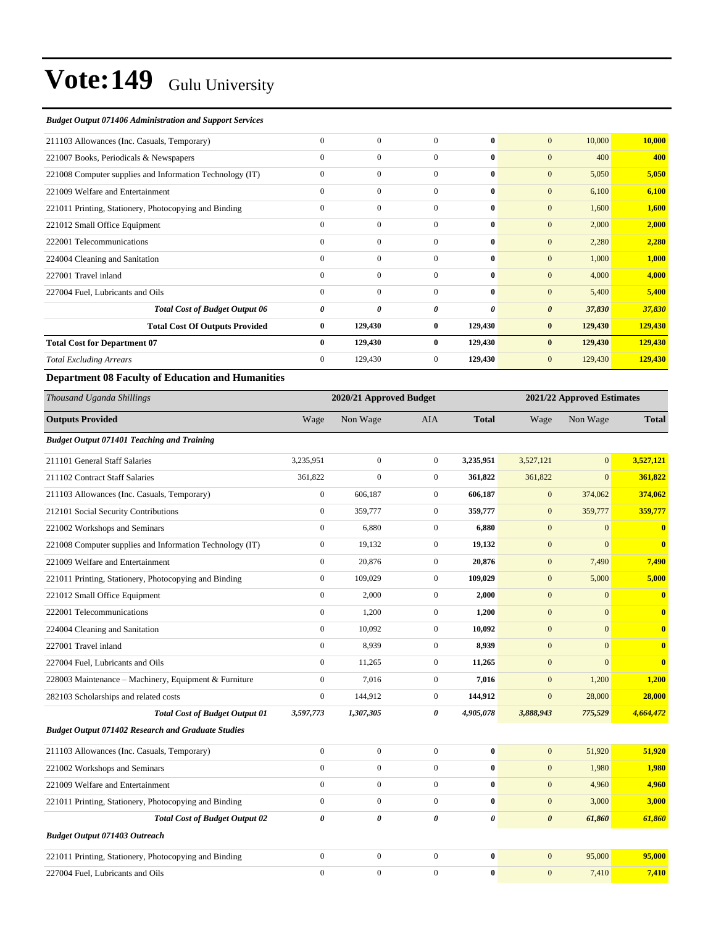#### *Budget Output 071406 Administration and Support Services*

| 211103 Allowances (Inc. Casuals, Temporary)              | $\mathbf{0}$ | $\mathbf{0}$ | $\Omega$       | $\bf{0}$     | $\mathbf{0}$<br>10,000          | 10,000  |
|----------------------------------------------------------|--------------|--------------|----------------|--------------|---------------------------------|---------|
| 221007 Books, Periodicals & Newspapers                   | $\mathbf{0}$ | $\mathbf{0}$ | $\Omega$       | 0            | $\mathbf{0}$<br>400             | 400     |
| 221008 Computer supplies and Information Technology (IT) | $\mathbf{0}$ | $\mathbf{0}$ | $\mathbf{0}$   | $\bf{0}$     | $\mathbf{0}$<br>5,050           | 5,050   |
| 221009 Welfare and Entertainment                         | $\mathbf{0}$ | $\mathbf{0}$ | $\Omega$       | $\mathbf{0}$ | $\mathbf{0}$<br>6,100           | 6,100   |
| 221011 Printing, Stationery, Photocopying and Binding    | $\mathbf{0}$ | $\mathbf{0}$ | $\Omega$       | $\bf{0}$     | $\mathbf{0}$<br>1,600           | 1,600   |
| 221012 Small Office Equipment                            | $\mathbf{0}$ | $\mathbf{0}$ | $\mathbf{0}$   | $\bf{0}$     | $\mathbf{0}$<br>2,000           | 2,000   |
| 222001 Telecommunications                                | $\mathbf{0}$ | $\Omega$     | $\Omega$       | $\mathbf{0}$ | $\mathbf{0}$<br>2,280           | 2,280   |
| 224004 Cleaning and Sanitation                           | $\mathbf{0}$ | $\mathbf{0}$ | $\Omega$       | $\mathbf{0}$ | $\mathbf{0}$<br>1,000           | 1,000   |
| 227001 Travel inland                                     | $\Omega$     | $\Omega$     | $\Omega$       | $\mathbf{0}$ | $\mathbf{0}$<br>4,000           | 4,000   |
| 227004 Fuel, Lubricants and Oils                         | $\Omega$     | $\Omega$     | $\Omega$       | $\bf{0}$     | $\mathbf{0}$<br>5,400           | 5,400   |
| <b>Total Cost of Budget Output 06</b>                    | 0            | 0            | 0              | 0            | $\boldsymbol{\theta}$<br>37,830 | 37,830  |
| <b>Total Cost Of Outputs Provided</b>                    | $\bf{0}$     | 129,430      | $\mathbf{0}$   | 129,430      | $\bf{0}$<br>129,430             | 129,430 |
| <b>Total Cost for Department 07</b>                      | $\bf{0}$     | 129,430      | $\bf{0}$       | 129,430      | $\bf{0}$<br>129,430             | 129,430 |
| <b>Total Excluding Arrears</b>                           | $\mathbf{0}$ | 129,430      | $\overline{0}$ | 129,430      | $\mathbf{0}$<br>129,430         | 129,430 |
|                                                          |              |              |                |              |                                 |         |

#### **Department 08 Faculty of Education and Humanities**

| Thousand Uganda Shillings                                 |                       | 2020/21 Approved Budget |                |              |                       | 2021/22 Approved Estimates |                         |
|-----------------------------------------------------------|-----------------------|-------------------------|----------------|--------------|-----------------------|----------------------------|-------------------------|
| <b>Outputs Provided</b>                                   | Wage                  | Non Wage                | AIA            | <b>Total</b> | Wage                  | Non Wage                   | <b>Total</b>            |
| <b>Budget Output 071401 Teaching and Training</b>         |                       |                         |                |              |                       |                            |                         |
| 211101 General Staff Salaries                             | 3.235.951             | $\overline{0}$          | $\overline{0}$ | 3,235,951    | 3,527,121             | $\mathbf{0}$               | 3.527,121               |
| 211102 Contract Staff Salaries                            | 361,822               | $\overline{0}$          | $\overline{0}$ | 361,822      | 361,822               | $\Omega$                   | 361,822                 |
| 211103 Allowances (Inc. Casuals, Temporary)               | $\mathbf{0}$          | 606,187                 | $\overline{0}$ | 606,187      | $\mathbf{0}$          | 374,062                    | 374,062                 |
| 212101 Social Security Contributions                      | $\mathbf{0}$          | 359,777                 | $\mathbf{0}$   | 359,777      | $\mathbf{0}$          | 359,777                    | 359,777                 |
| 221002 Workshops and Seminars                             | $\mathbf{0}$          | 6,880                   | $\overline{0}$ | 6,880        | $\mathbf{0}$          | $\mathbf{0}$               | $\overline{\mathbf{0}}$ |
| 221008 Computer supplies and Information Technology (IT)  | $\boldsymbol{0}$      | 19,132                  | $\overline{0}$ | 19,132       | $\mathbf{0}$          | $\mathbf{0}$               | $\bf{0}$                |
| 221009 Welfare and Entertainment                          | $\mathbf{0}$          | 20,876                  | $\overline{0}$ | 20,876       | $\mathbf{0}$          | 7,490                      | 7,490                   |
| 221011 Printing, Stationery, Photocopying and Binding     | $\boldsymbol{0}$      | 109,029                 | $\overline{0}$ | 109,029      | $\mathbf{0}$          | 5,000                      | 5,000                   |
| 221012 Small Office Equipment                             | $\mathbf{0}$          | 2,000                   | $\overline{0}$ | 2,000        | $\mathbf{0}$          | $\mathbf{0}$               | $\mathbf{0}$            |
| 222001 Telecommunications                                 | $\boldsymbol{0}$      | 1,200                   | $\mathbf{0}$   | 1,200        | $\mathbf{0}$          | $\mathbf{0}$               | $\bf{0}$                |
| 224004 Cleaning and Sanitation                            | $\mathbf{0}$          | 10,092                  | $\overline{0}$ | 10,092       | $\mathbf{0}$          | $\mathbf{0}$               | $\mathbf{0}$            |
| 227001 Travel inland                                      | $\mathbf{0}$          | 8,939                   | $\overline{0}$ | 8,939        | $\mathbf{0}$          | $\mathbf{0}$               | $\bf{0}$                |
| 227004 Fuel, Lubricants and Oils                          | $\mathbf{0}$          | 11,265                  | $\overline{0}$ | 11,265       | $\mathbf{0}$          | $\Omega$                   | $\bf{0}$                |
| 228003 Maintenance - Machinery, Equipment & Furniture     | $\boldsymbol{0}$      | 7,016                   | $\overline{0}$ | 7,016        | $\mathbf{0}$          | 1,200                      | 1,200                   |
| 282103 Scholarships and related costs                     | $\mathbf{0}$          | 144,912                 | $\overline{0}$ | 144,912      | $\mathbf{0}$          | 28,000                     | 28,000                  |
| <b>Total Cost of Budget Output 01</b>                     | 3,597,773             | 1,307,305               | 0              | 4,905,078    | 3,888,943             | 775,529                    | 4,664,472               |
| <b>Budget Output 071402 Research and Graduate Studies</b> |                       |                         |                |              |                       |                            |                         |
| 211103 Allowances (Inc. Casuals, Temporary)               | $\boldsymbol{0}$      | $\boldsymbol{0}$        | $\overline{0}$ | $\bf{0}$     | $\mathbf{0}$          | 51,920                     | 51,920                  |
| 221002 Workshops and Seminars                             | $\mathbf{0}$          | $\overline{0}$          | $\overline{0}$ | $\bf{0}$     | $\mathbf{0}$          | 1,980                      | 1,980                   |
| 221009 Welfare and Entertainment                          | $\theta$              | $\overline{0}$          | $\overline{0}$ | $\bf{0}$     | $\mathbf{0}$          | 4,960                      | 4,960                   |
| 221011 Printing, Stationery, Photocopying and Binding     | $\mathbf{0}$          | $\overline{0}$          | $\overline{0}$ | $\bf{0}$     | $\mathbf{0}$          | 3,000                      | 3,000                   |
| <b>Total Cost of Budget Output 02</b>                     | $\boldsymbol{\theta}$ | 0                       | 0              | 0            | $\boldsymbol{\theta}$ | 61,860                     | 61,860                  |
| <b>Budget Output 071403 Outreach</b>                      |                       |                         |                |              |                       |                            |                         |
| 221011 Printing, Stationery, Photocopying and Binding     | $\mathbf{0}$          | $\boldsymbol{0}$        | $\overline{0}$ | $\bf{0}$     | $\mathbf{0}$          | 95,000                     | 95,000                  |
| 227004 Fuel, Lubricants and Oils                          | $\mathbf{0}$          | $\boldsymbol{0}$        | $\mathbf{0}$   | $\bf{0}$     | $\mathbf{0}$          | 7,410                      | 7,410                   |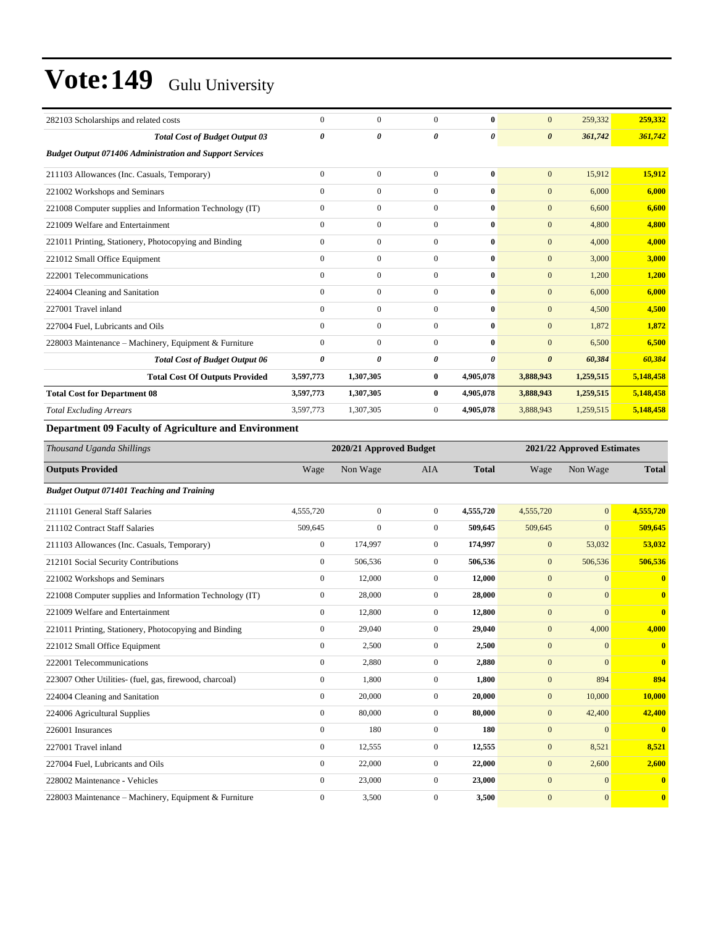| 282103 Scholarships and related costs                           | $\mathbf{0}$ | $\mathbf{0}$   | $\overline{0}$ | $\bf{0}$     | $\overline{0}$        | 259,332   | 259,332   |
|-----------------------------------------------------------------|--------------|----------------|----------------|--------------|-----------------------|-----------|-----------|
| <b>Total Cost of Budget Output 03</b>                           | 0            | 0              | 0              | 0            | $\boldsymbol{\theta}$ | 361,742   | 361,742   |
| <b>Budget Output 071406 Administration and Support Services</b> |              |                |                |              |                       |           |           |
| 211103 Allowances (Inc. Casuals, Temporary)                     | $\mathbf{0}$ | $\overline{0}$ | $\overline{0}$ | $\bf{0}$     | $\overline{0}$        | 15,912    | 15,912    |
| 221002 Workshops and Seminars                                   | $\mathbf{0}$ | $\mathbf{0}$   | $\mathbf{0}$   | $\mathbf{0}$ | $\overline{0}$        | 6,000     | 6.000     |
| 221008 Computer supplies and Information Technology (IT)        | $\mathbf{0}$ | $\mathbf{0}$   | $\mathbf{0}$   | $\mathbf{0}$ | $\overline{0}$        | 6,600     | 6,600     |
| 221009 Welfare and Entertainment                                | $\mathbf{0}$ | $\mathbf{0}$   | $\mathbf{0}$   | $\mathbf{0}$ | $\overline{0}$        | 4,800     | 4,800     |
| 221011 Printing, Stationery, Photocopying and Binding           | $\mathbf{0}$ | $\mathbf{0}$   | $\mathbf{0}$   | $\mathbf{0}$ | $\overline{0}$        | 4,000     | 4,000     |
| 221012 Small Office Equipment                                   | $\Omega$     | $\mathbf{0}$   | $\Omega$       | $\mathbf{0}$ | $\mathbf{0}$          | 3,000     | 3,000     |
| 222001 Telecommunications                                       | $\mathbf{0}$ | $\mathbf{0}$   | $\mathbf{0}$   | $\mathbf{0}$ | $\mathbf{0}$          | 1,200     | 1,200     |
| 224004 Cleaning and Sanitation                                  | $\mathbf{0}$ | $\mathbf{0}$   | $\Omega$       | $\mathbf{0}$ | $\mathbf{0}$          | 6,000     | 6,000     |
| 227001 Travel inland                                            | $\mathbf{0}$ | $\mathbf{0}$   | $\mathbf{0}$   | $\mathbf{0}$ | $\mathbf{0}$          | 4,500     | 4,500     |
| 227004 Fuel, Lubricants and Oils                                | $\mathbf{0}$ | $\mathbf{0}$   | $\overline{0}$ | $\mathbf{0}$ | $\mathbf{0}$          | 1,872     | 1,872     |
| 228003 Maintenance – Machinery, Equipment & Furniture           | $\mathbf{0}$ | $\mathbf{0}$   | $\overline{0}$ | $\mathbf{0}$ | $\overline{0}$        | 6,500     | 6,500     |
| <b>Total Cost of Budget Output 06</b>                           | 0            | 0              | 0              | 0            | $\boldsymbol{\theta}$ | 60,384    | 60,384    |
| <b>Total Cost Of Outputs Provided</b>                           | 3,597,773    | 1,307,305      | $\bf{0}$       | 4,905,078    | 3,888,943             | 1,259,515 | 5,148,458 |
| <b>Total Cost for Department 08</b>                             | 3,597,773    | 1,307,305      | $\mathbf{0}$   | 4,905,078    | 3,888,943             | 1,259,515 | 5,148,458 |
| <b>Total Excluding Arrears</b>                                  | 3,597,773    | 1,307,305      | $\mathbf{0}$   | 4,905,078    | 3,888,943             | 1,259,515 | 5,148,458 |
| $\sim$ 0.0 $-$<br>$\cdots$<br>$\sim$ $\sim$                     |              |                |                |              |                       |           |           |

#### **Department 09 Faculty of Agriculture and Environment**

| Thousand Uganda Shillings                                |                  | 2020/21 Approved Budget | 2021/22 Approved Estimates |              |              |                |                         |
|----------------------------------------------------------|------------------|-------------------------|----------------------------|--------------|--------------|----------------|-------------------------|
| <b>Outputs Provided</b>                                  | Wage             | Non Wage                | <b>AIA</b>                 | <b>Total</b> | Wage         | Non Wage       | <b>Total</b>            |
| <b>Budget Output 071401 Teaching and Training</b>        |                  |                         |                            |              |              |                |                         |
| 211101 General Staff Salaries                            | 4,555,720        | $\mathbf{0}$            | $\overline{0}$             | 4,555,720    | 4,555,720    | $\overline{0}$ | 4,555,720               |
| 211102 Contract Staff Salaries                           | 509,645          | $\mathbf{0}$            | $\overline{0}$             | 509,645      | 509,645      | $\mathbf{0}$   | 509,645                 |
| 211103 Allowances (Inc. Casuals, Temporary)              | $\overline{0}$   | 174,997                 | $\overline{0}$             | 174,997      | $\mathbf{0}$ | 53,032         | 53,032                  |
| 212101 Social Security Contributions                     | $\mathbf{0}$     | 506,536                 | $\overline{0}$             | 506,536      | $\mathbf{0}$ | 506,536        | 506,536                 |
| 221002 Workshops and Seminars                            | $\overline{0}$   | 12,000                  | $\overline{0}$             | 12,000       | $\mathbf{0}$ | $\mathbf{0}$   | $\mathbf{0}$            |
| 221008 Computer supplies and Information Technology (IT) | $\boldsymbol{0}$ | 28,000                  | $\mathbf{0}$               | 28,000       | $\mathbf{0}$ | $\overline{0}$ | $\mathbf{0}$            |
| 221009 Welfare and Entertainment                         | $\overline{0}$   | 12,800                  | $\overline{0}$             | 12,800       | $\mathbf{0}$ | $\mathbf{0}$   | $\overline{\mathbf{0}}$ |
| 221011 Printing, Stationery, Photocopying and Binding    | $\Omega$         | 29,040                  | $\Omega$                   | 29,040       | $\mathbf{0}$ | 4,000          | 4,000                   |
| 221012 Small Office Equipment                            | $\overline{0}$   | 2,500                   | $\mathbf{0}$               | 2,500        | $\mathbf{0}$ | $\mathbf{0}$   | $\mathbf{0}$            |
| 222001 Telecommunications                                | $\overline{0}$   | 2,880                   | $\overline{0}$             | 2,880        | $\mathbf{0}$ | $\mathbf{0}$   | $\overline{\mathbf{0}}$ |
| 223007 Other Utilities- (fuel, gas, firewood, charcoal)  | $\mathbf{0}$     | 1,800                   | $\overline{0}$             | 1,800        | $\mathbf{0}$ | 894            | 894                     |
| 224004 Cleaning and Sanitation                           | $\mathbf{0}$     | 20,000                  | $\overline{0}$             | 20,000       | $\mathbf{0}$ | 10,000         | 10,000                  |
| 224006 Agricultural Supplies                             | $\mathbf{0}$     | 80,000                  | $\mathbf{0}$               | 80,000       | $\mathbf{0}$ | 42,400         | 42,400                  |
| 226001 Insurances                                        | $\overline{0}$   | 180                     | $\overline{0}$             | 180          | $\mathbf{0}$ | $\mathbf{0}$   | $\overline{\mathbf{0}}$ |
| 227001 Travel inland                                     | $\mathbf{0}$     | 12,555                  | $\overline{0}$             | 12,555       | $\mathbf{0}$ | 8,521          | 8,521                   |
| 227004 Fuel, Lubricants and Oils                         | $\overline{0}$   | 22,000                  | $\overline{0}$             | 22,000       | $\mathbf{0}$ | 2,600          | 2,600                   |
| 228002 Maintenance - Vehicles                            | $\mathbf{0}$     | 23,000                  | $\boldsymbol{0}$           | 23,000       | $\mathbf{0}$ | $\mathbf{0}$   | $\bf{0}$                |
| 228003 Maintenance – Machinery, Equipment & Furniture    | $\mathbf{0}$     | 3,500                   | $\mathbf{0}$               | 3,500        | $\mathbf{0}$ | $\mathbf{0}$   | $\mathbf{0}$            |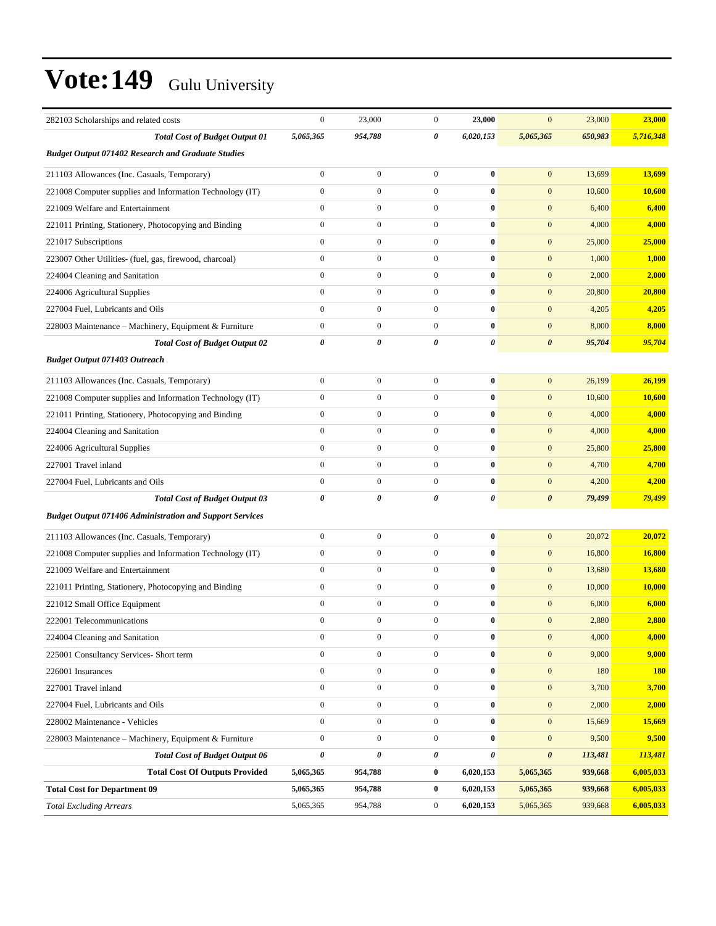| 282103 Scholarships and related costs                           | $\boldsymbol{0}$ | 23,000                | $\mathbf{0}$     | 23,000    | $\mathbf{0}$          | 23,000  | 23,000     |
|-----------------------------------------------------------------|------------------|-----------------------|------------------|-----------|-----------------------|---------|------------|
| <b>Total Cost of Budget Output 01</b>                           | 5,065,365        | 954,788               | 0                | 6,020,153 | 5,065,365             | 650,983 | 5,716,348  |
| <b>Budget Output 071402 Research and Graduate Studies</b>       |                  |                       |                  |           |                       |         |            |
| 211103 Allowances (Inc. Casuals, Temporary)                     | $\boldsymbol{0}$ | $\boldsymbol{0}$      | $\mathbf{0}$     | $\bf{0}$  | $\mathbf{0}$          | 13,699  | 13,699     |
| 221008 Computer supplies and Information Technology (IT)        | $\boldsymbol{0}$ | $\boldsymbol{0}$      | $\boldsymbol{0}$ | $\bf{0}$  | $\mathbf{0}$          | 10,600  | 10,600     |
| 221009 Welfare and Entertainment                                | $\overline{0}$   | $\boldsymbol{0}$      | $\mathbf{0}$     | $\bf{0}$  | $\mathbf{0}$          | 6,400   | 6,400      |
| 221011 Printing, Stationery, Photocopying and Binding           | $\overline{0}$   | $\boldsymbol{0}$      | $\mathbf{0}$     | $\bf{0}$  | $\mathbf{0}$          | 4,000   | 4,000      |
| 221017 Subscriptions                                            | $\overline{0}$   | $\boldsymbol{0}$      | $\mathbf{0}$     | $\bf{0}$  | $\boldsymbol{0}$      | 25,000  | 25,000     |
| 223007 Other Utilities- (fuel, gas, firewood, charcoal)         | $\overline{0}$   | $\boldsymbol{0}$      | $\mathbf{0}$     | $\bf{0}$  | $\mathbf{0}$          | 1,000   | 1,000      |
| 224004 Cleaning and Sanitation                                  | $\overline{0}$   | $\boldsymbol{0}$      | $\boldsymbol{0}$ | $\bf{0}$  | $\mathbf{0}$          | 2,000   | 2,000      |
| 224006 Agricultural Supplies                                    | $\boldsymbol{0}$ | $\boldsymbol{0}$      | $\mathbf{0}$     | $\bf{0}$  | $\mathbf{0}$          | 20,800  | 20,800     |
| 227004 Fuel, Lubricants and Oils                                | $\overline{0}$   | $\boldsymbol{0}$      | $\mathbf{0}$     | $\bf{0}$  | $\mathbf{0}$          | 4,205   | 4,205      |
| 228003 Maintenance - Machinery, Equipment & Furniture           | $\boldsymbol{0}$ | $\boldsymbol{0}$      | $\mathbf{0}$     | $\bf{0}$  | $\mathbf{0}$          | 8,000   | 8,000      |
| <b>Total Cost of Budget Output 02</b>                           | 0                | $\boldsymbol{\theta}$ | 0                | 0         | $\boldsymbol{\theta}$ | 95,704  | 95,704     |
| <b>Budget Output 071403 Outreach</b>                            |                  |                       |                  |           |                       |         |            |
| 211103 Allowances (Inc. Casuals, Temporary)                     | $\boldsymbol{0}$ | $\boldsymbol{0}$      | $\boldsymbol{0}$ | $\bf{0}$  | $\mathbf{0}$          | 26,199  | 26,199     |
| 221008 Computer supplies and Information Technology (IT)        | $\boldsymbol{0}$ | $\boldsymbol{0}$      | $\mathbf{0}$     | $\bf{0}$  | $\mathbf{0}$          | 10,600  | 10,600     |
| 221011 Printing, Stationery, Photocopying and Binding           | $\boldsymbol{0}$ | $\boldsymbol{0}$      | $\mathbf{0}$     | $\bf{0}$  | $\mathbf{0}$          | 4,000   | 4,000      |
| 224004 Cleaning and Sanitation                                  | $\overline{0}$   | $\boldsymbol{0}$      | $\mathbf{0}$     | $\bf{0}$  | $\mathbf{0}$          | 4,000   | 4,000      |
| 224006 Agricultural Supplies                                    | $\boldsymbol{0}$ | $\boldsymbol{0}$      | $\mathbf{0}$     | $\bf{0}$  | $\mathbf{0}$          | 25,800  | 25,800     |
| 227001 Travel inland                                            | $\overline{0}$   | $\boldsymbol{0}$      | $\boldsymbol{0}$ | $\bf{0}$  | $\mathbf{0}$          | 4,700   | 4,700      |
| 227004 Fuel, Lubricants and Oils                                | $\boldsymbol{0}$ | $\boldsymbol{0}$      | $\mathbf{0}$     | $\bf{0}$  | $\mathbf{0}$          | 4,200   | 4,200      |
| <b>Total Cost of Budget Output 03</b>                           | 0                | 0                     | 0                | 0         | $\boldsymbol{\theta}$ | 79,499  | 79,499     |
| <b>Budget Output 071406 Administration and Support Services</b> |                  |                       |                  |           |                       |         |            |
| 211103 Allowances (Inc. Casuals, Temporary)                     | $\boldsymbol{0}$ | $\boldsymbol{0}$      | $\mathbf{0}$     | $\bf{0}$  | $\mathbf{0}$          | 20,072  | 20,072     |
| 221008 Computer supplies and Information Technology (IT)        | $\boldsymbol{0}$ | $\boldsymbol{0}$      | $\mathbf{0}$     | $\bf{0}$  | $\mathbf{0}$          | 16,800  | 16,800     |
| 221009 Welfare and Entertainment                                | $\overline{0}$   | $\boldsymbol{0}$      | $\boldsymbol{0}$ | $\bf{0}$  | $\mathbf{0}$          | 13,680  | 13,680     |
| 221011 Printing, Stationery, Photocopying and Binding           | $\boldsymbol{0}$ | $\boldsymbol{0}$      | $\mathbf{0}$     | $\bf{0}$  | $\mathbf{0}$          | 10,000  | 10,000     |
| 221012 Small Office Equipment                                   | $\boldsymbol{0}$ | $\boldsymbol{0}$      | $\mathbf{0}$     | $\bf{0}$  | $\mathbf{0}$          | 6,000   | 6,000      |
| 222001 Telecommunications                                       | $\boldsymbol{0}$ | $\boldsymbol{0}$      | $\mathbf{0}$     | $\bf{0}$  | $\mathbf{0}$          | 2,880   | 2,880      |
| 224004 Cleaning and Sanitation                                  | $\boldsymbol{0}$ | $\boldsymbol{0}$      | $\boldsymbol{0}$ | $\pmb{0}$ | $\boldsymbol{0}$      | 4,000   | 4,000      |
| 225001 Consultancy Services- Short term                         | $\boldsymbol{0}$ | $\boldsymbol{0}$      | $\mathbf{0}$     | $\bf{0}$  | $\mathbf{0}$          | 9,000   | 9,000      |
| 226001 Insurances                                               | $\overline{0}$   | $\boldsymbol{0}$      | $\mathbf{0}$     | $\bf{0}$  | $\boldsymbol{0}$      | 180     | <b>180</b> |
| 227001 Travel inland                                            | $\boldsymbol{0}$ | $\boldsymbol{0}$      | $\mathbf{0}$     | $\bf{0}$  | $\boldsymbol{0}$      | 3,700   | 3,700      |
| 227004 Fuel, Lubricants and Oils                                | $\boldsymbol{0}$ | $\boldsymbol{0}$      | $\boldsymbol{0}$ | $\bf{0}$  | $\boldsymbol{0}$      | 2,000   | 2,000      |
| 228002 Maintenance - Vehicles                                   | $\boldsymbol{0}$ | $\boldsymbol{0}$      | $\boldsymbol{0}$ | $\bf{0}$  | $\boldsymbol{0}$      | 15,669  | 15,669     |
| 228003 Maintenance - Machinery, Equipment & Furniture           | $\boldsymbol{0}$ | $\boldsymbol{0}$      | $\mathbf{0}$     | $\bf{0}$  | $\boldsymbol{0}$      | 9,500   | 9,500      |
| <b>Total Cost of Budget Output 06</b>                           | 0                | 0                     | 0                | 0         | $\boldsymbol{\theta}$ | 113,481 | 113,481    |
| <b>Total Cost Of Outputs Provided</b>                           | 5,065,365        | 954,788               | $\bf{0}$         | 6,020,153 | 5,065,365             | 939,668 | 6,005,033  |
| <b>Total Cost for Department 09</b>                             | 5,065,365        | 954,788               | $\bf{0}$         | 6,020,153 | 5,065,365             | 939,668 | 6,005,033  |
| <b>Total Excluding Arrears</b>                                  | 5,065,365        | 954,788               | $\boldsymbol{0}$ | 6,020,153 | 5,065,365             | 939,668 | 6,005,033  |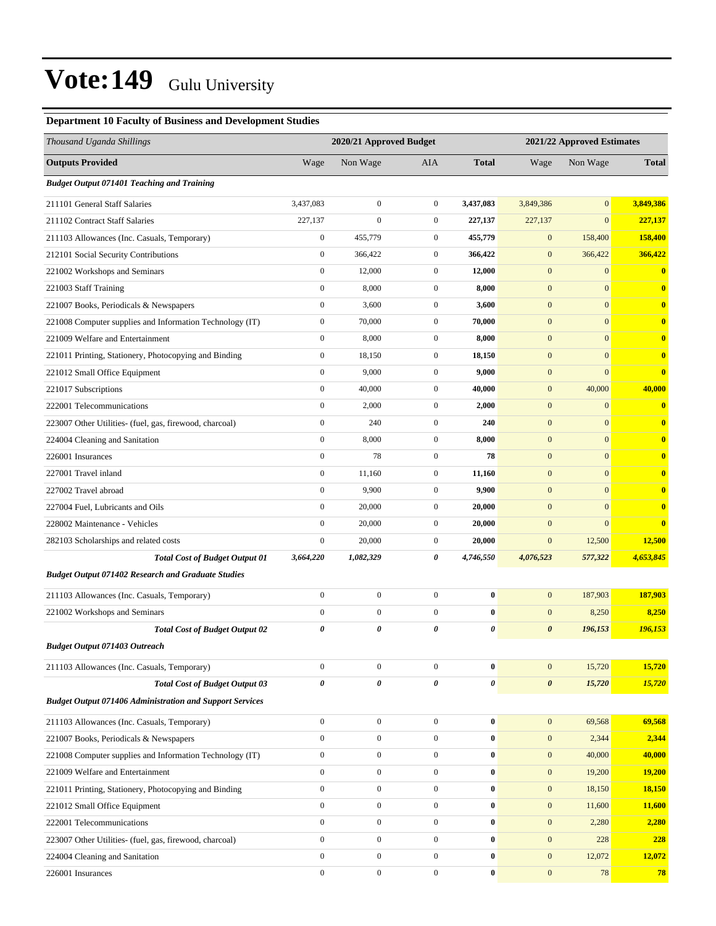#### **Department 10 Faculty of Business and Development Studies**

| Thousand Uganda Shillings                                       |                       | 2020/21 Approved Budget |                  | 2021/22 Approved Estimates |                       |                  |              |
|-----------------------------------------------------------------|-----------------------|-------------------------|------------------|----------------------------|-----------------------|------------------|--------------|
| <b>Outputs Provided</b>                                         | Wage                  | Non Wage                | AIA              | <b>Total</b>               | Wage                  | Non Wage         | <b>Total</b> |
| <b>Budget Output 071401 Teaching and Training</b>               |                       |                         |                  |                            |                       |                  |              |
| 211101 General Staff Salaries                                   | 3,437,083             | $\boldsymbol{0}$        | $\mathbf{0}$     | 3,437,083                  | 3,849,386             | $\mathbf{0}$     | 3,849,386    |
| 211102 Contract Staff Salaries                                  | 227,137               | $\boldsymbol{0}$        | $\boldsymbol{0}$ | 227,137                    | 227,137               | $\mathbf{0}$     | 227,137      |
| 211103 Allowances (Inc. Casuals, Temporary)                     | $\boldsymbol{0}$      | 455,779                 | $\mathbf{0}$     | 455,779                    | $\mathbf{0}$          | 158,400          | 158,400      |
| 212101 Social Security Contributions                            | $\boldsymbol{0}$      | 366,422                 | $\mathbf{0}$     | 366,422                    | $\mathbf{0}$          | 366,422          | 366,422      |
| 221002 Workshops and Seminars                                   | $\boldsymbol{0}$      | 12,000                  | $\boldsymbol{0}$ | 12,000                     | $\mathbf{0}$          | $\mathbf{0}$     | $\bf{0}$     |
| 221003 Staff Training                                           | $\boldsymbol{0}$      | 8,000                   | $\boldsymbol{0}$ | 8,000                      | $\mathbf{0}$          | $\mathbf{0}$     | $\bf{0}$     |
| 221007 Books, Periodicals & Newspapers                          | $\boldsymbol{0}$      | 3,600                   | $\boldsymbol{0}$ | 3,600                      | $\mathbf{0}$          | $\mathbf{0}$     | $\bf{0}$     |
| 221008 Computer supplies and Information Technology (IT)        | $\boldsymbol{0}$      | 70,000                  | $\boldsymbol{0}$ | 70,000                     | $\mathbf{0}$          | $\mathbf{0}$     | $\bf{0}$     |
| 221009 Welfare and Entertainment                                | $\boldsymbol{0}$      | 8,000                   | $\boldsymbol{0}$ | 8,000                      | $\mathbf{0}$          | $\mathbf{0}$     | $\bf{0}$     |
| 221011 Printing, Stationery, Photocopying and Binding           | $\boldsymbol{0}$      | 18,150                  | $\boldsymbol{0}$ | 18,150                     | $\mathbf{0}$          | $\mathbf{0}$     | $\bf{0}$     |
| 221012 Small Office Equipment                                   | $\mathbf{0}$          | 9,000                   | $\boldsymbol{0}$ | 9,000                      | $\mathbf{0}$          | $\mathbf{0}$     | $\bf{0}$     |
| 221017 Subscriptions                                            | $\boldsymbol{0}$      | 40,000                  | $\boldsymbol{0}$ | 40,000                     | $\mathbf{0}$          | 40,000           | 40,000       |
| 222001 Telecommunications                                       | $\boldsymbol{0}$      | 2,000                   | $\mathbf{0}$     | 2,000                      | $\mathbf{0}$          | $\boldsymbol{0}$ | $\bf{0}$     |
| 223007 Other Utilities- (fuel, gas, firewood, charcoal)         | $\boldsymbol{0}$      | 240                     | $\mathbf{0}$     | 240                        | $\mathbf{0}$          | $\mathbf{0}$     | $\bf{0}$     |
| 224004 Cleaning and Sanitation                                  | $\mathbf{0}$          | 8,000                   | $\boldsymbol{0}$ | 8,000                      | $\mathbf{0}$          | $\mathbf{0}$     | $\bf{0}$     |
| 226001 Insurances                                               | $\mathbf{0}$          | 78                      | $\boldsymbol{0}$ | 78                         | $\mathbf{0}$          | $\mathbf{0}$     | $\bf{0}$     |
| 227001 Travel inland                                            | $\boldsymbol{0}$      | 11,160                  | $\boldsymbol{0}$ | 11,160                     | $\mathbf{0}$          | $\mathbf{0}$     | $\bf{0}$     |
| 227002 Travel abroad                                            | $\boldsymbol{0}$      | 9,900                   | $\mathbf{0}$     | 9,900                      | $\mathbf{0}$          | $\mathbf{0}$     | $\bf{0}$     |
| 227004 Fuel, Lubricants and Oils                                | $\boldsymbol{0}$      | 20,000                  | $\boldsymbol{0}$ | 20,000                     | $\mathbf{0}$          | $\mathbf{0}$     | $\bf{0}$     |
| 228002 Maintenance - Vehicles                                   | $\boldsymbol{0}$      | 20,000                  | $\boldsymbol{0}$ | 20,000                     | $\mathbf{0}$          | $\mathbf{0}$     | $\bf{0}$     |
| 282103 Scholarships and related costs                           | $\boldsymbol{0}$      | 20,000                  | $\boldsymbol{0}$ | 20,000                     | $\boldsymbol{0}$      | 12,500           | 12,500       |
| <b>Total Cost of Budget Output 01</b>                           | 3,664,220             | 1,082,329               | 0                | 4,746,550                  | 4,076,523             | 577,322          | 4,653,845    |
| <b>Budget Output 071402 Research and Graduate Studies</b>       |                       |                         |                  |                            |                       |                  |              |
| 211103 Allowances (Inc. Casuals, Temporary)                     | $\boldsymbol{0}$      | $\boldsymbol{0}$        | $\mathbf{0}$     | $\bf{0}$                   | $\mathbf{0}$          | 187,903          | 187,903      |
| 221002 Workshops and Seminars                                   | $\boldsymbol{0}$      | $\boldsymbol{0}$        | $\mathbf{0}$     | $\bf{0}$                   | $\mathbf{0}$          | 8,250            | 8,250        |
| <b>Total Cost of Budget Output 02</b>                           | $\pmb{\theta}$        | 0                       | 0                | 0                          | $\boldsymbol{\theta}$ | 196,153          | 196,153      |
| <b>Budget Output 071403 Outreach</b>                            |                       |                         |                  |                            |                       |                  |              |
| 211103 Allowances (Inc. Casuals, Temporary)                     | $\boldsymbol{0}$      | $\boldsymbol{0}$        | $\overline{0}$   | $\bf{0}$                   | $\mathbf{0}$          | 15,720           | 15,720       |
| <b>Total Cost of Budget Output 03</b>                           | $\boldsymbol{\theta}$ | 0                       | 0                | 0                          | $\boldsymbol{\theta}$ | 15,720           | 15,720       |
| <b>Budget Output 071406 Administration and Support Services</b> |                       |                         |                  |                            |                       |                  |              |
| 211103 Allowances (Inc. Casuals, Temporary)                     | $\boldsymbol{0}$      | $\boldsymbol{0}$        | $\mathbf{0}$     | $\bf{0}$                   | $\mathbf{0}$          | 69,568           | 69,568       |
| 221007 Books, Periodicals & Newspapers                          | $\boldsymbol{0}$      | $\overline{0}$          | $\mathbf{0}$     | $\bf{0}$                   | $\boldsymbol{0}$      | 2,344            | 2,344        |
| 221008 Computer supplies and Information Technology (IT)        | $\boldsymbol{0}$      | $\boldsymbol{0}$        | $\boldsymbol{0}$ | $\bf{0}$                   | $\mathbf{0}$          | 40,000           | 40,000       |
| 221009 Welfare and Entertainment                                | $\boldsymbol{0}$      | $\boldsymbol{0}$        | $\mathbf{0}$     | $\bf{0}$                   | $\mathbf{0}$          | 19,200           | 19,200       |
| 221011 Printing, Stationery, Photocopying and Binding           | $\boldsymbol{0}$      | $\boldsymbol{0}$        | $\boldsymbol{0}$ | $\bf{0}$                   | $\mathbf{0}$          | 18,150           | 18,150       |
| 221012 Small Office Equipment                                   | $\boldsymbol{0}$      | $\boldsymbol{0}$        | $\mathbf{0}$     | $\bf{0}$                   | $\mathbf{0}$          | 11,600           | 11,600       |
| 222001 Telecommunications                                       | $\boldsymbol{0}$      | $\overline{0}$          | $\mathbf{0}$     | $\bf{0}$                   | $\boldsymbol{0}$      | 2,280            | 2,280        |
| 223007 Other Utilities- (fuel, gas, firewood, charcoal)         | $\boldsymbol{0}$      | $\boldsymbol{0}$        | $\boldsymbol{0}$ | $\bf{0}$                   | $\mathbf{0}$          | 228              | 228          |
| 224004 Cleaning and Sanitation                                  | $\boldsymbol{0}$      | $\boldsymbol{0}$        | $\mathbf{0}$     | $\bf{0}$                   | $\mathbf{0}$          | 12,072           | 12,072       |
| 226001 Insurances                                               | $\boldsymbol{0}$      | $\boldsymbol{0}$        | $\boldsymbol{0}$ | $\bf{0}$                   | $\boldsymbol{0}$      | 78               | 78           |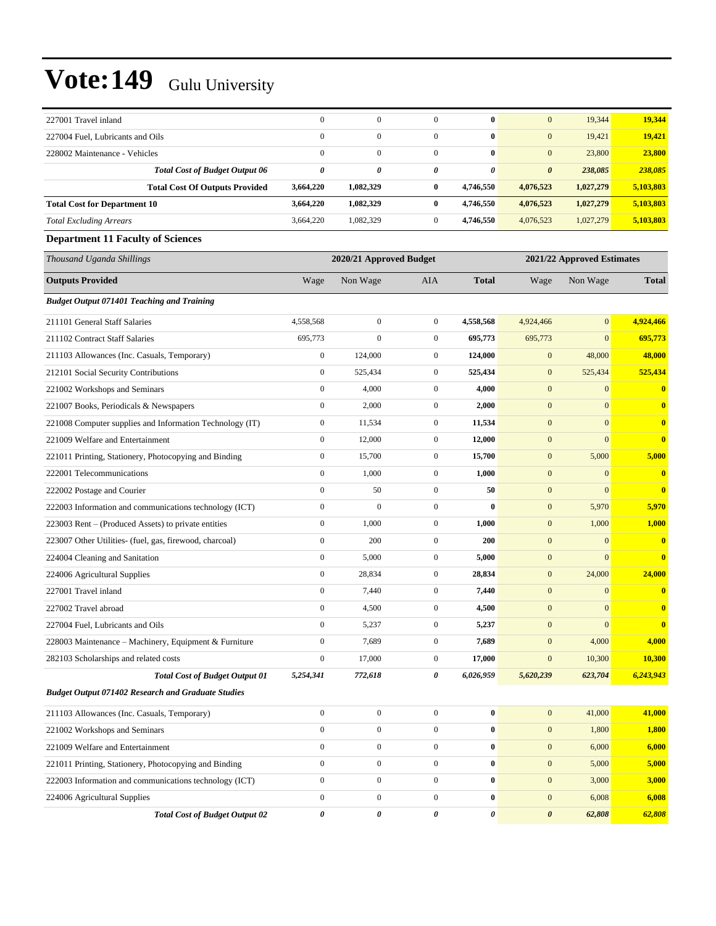| 227001 Travel inland                                      | $\boldsymbol{0}$ | $\boldsymbol{0}$        | $\mathbf{0}$     | $\bf{0}$         | $\mathbf{0}$          | 19,344                     | 19,344       |
|-----------------------------------------------------------|------------------|-------------------------|------------------|------------------|-----------------------|----------------------------|--------------|
| 227004 Fuel, Lubricants and Oils                          | $\overline{0}$   | $\mathbf{0}$            | $\mathbf{0}$     | $\bf{0}$         | $\mathbf{0}$          | 19,421                     | 19,421       |
| 228002 Maintenance - Vehicles                             | $\mathbf{0}$     | $\overline{0}$          | $\mathbf{0}$     | $\bf{0}$         | $\mathbf{0}$          | 23,800                     | 23,800       |
| <b>Total Cost of Budget Output 06</b>                     | 0                | 0                       | 0                | 0                | $\boldsymbol{\theta}$ | 238,085                    | 238,085      |
| <b>Total Cost Of Outputs Provided</b>                     | 3,664,220        | 1,082,329               | $\bf{0}$         | 4,746,550        | 4,076,523             | 1,027,279                  | 5,103,803    |
| <b>Total Cost for Department 10</b>                       | 3,664,220        | 1,082,329               | $\bf{0}$         | 4,746,550        | 4,076,523             | 1,027,279                  | 5,103,803    |
| <b>Total Excluding Arrears</b>                            | 3,664,220        | 1,082,329               | $\boldsymbol{0}$ | 4,746,550        | 4,076,523             | 1,027,279                  | 5,103,803    |
| <b>Department 11 Faculty of Sciences</b>                  |                  |                         |                  |                  |                       |                            |              |
| Thousand Uganda Shillings                                 |                  | 2020/21 Approved Budget |                  |                  |                       | 2021/22 Approved Estimates |              |
| <b>Outputs Provided</b>                                   | Wage             | Non Wage                | <b>AIA</b>       | <b>Total</b>     | Wage                  | Non Wage                   | <b>Total</b> |
| <b>Budget Output 071401 Teaching and Training</b>         |                  |                         |                  |                  |                       |                            |              |
| 211101 General Staff Salaries                             | 4,558,568        | $\boldsymbol{0}$        | $\boldsymbol{0}$ | 4,558,568        | 4,924,466             | $\boldsymbol{0}$           | 4,924,466    |
| 211102 Contract Staff Salaries                            | 695,773          | $\mathbf{0}$            | $\boldsymbol{0}$ | 695,773          | 695,773               | $\mathbf{0}$               | 695,773      |
| 211103 Allowances (Inc. Casuals, Temporary)               | $\boldsymbol{0}$ | 124,000                 | $\mathbf{0}$     | 124,000          | $\boldsymbol{0}$      | 48,000                     | 48,000       |
| 212101 Social Security Contributions                      | $\boldsymbol{0}$ | 525,434                 | $\boldsymbol{0}$ | 525,434          | $\mathbf{0}$          | 525,434                    | 525,434      |
| 221002 Workshops and Seminars                             | $\mathbf{0}$     | 4,000                   | $\boldsymbol{0}$ | 4,000            | $\boldsymbol{0}$      | $\mathbf{0}$               | $\mathbf{0}$ |
| 221007 Books, Periodicals & Newspapers                    | $\boldsymbol{0}$ | 2,000                   | $\boldsymbol{0}$ | 2,000            | $\mathbf{0}$          | $\mathbf{0}$               | $\bf{0}$     |
| 221008 Computer supplies and Information Technology (IT)  | $\boldsymbol{0}$ | 11,534                  | $\boldsymbol{0}$ | 11,534           | $\mathbf{0}$          | $\mathbf{0}$               | $\bf{0}$     |
| 221009 Welfare and Entertainment                          | $\boldsymbol{0}$ | 12,000                  | $\boldsymbol{0}$ | 12,000           | $\mathbf{0}$          | $\mathbf{0}$               | $\bf{0}$     |
| 221011 Printing, Stationery, Photocopying and Binding     | $\boldsymbol{0}$ | 15,700                  | $\boldsymbol{0}$ | 15,700           | $\mathbf{0}$          | 5,000                      | 5,000        |
| 222001 Telecommunications                                 | $\overline{0}$   | 1,000                   | $\boldsymbol{0}$ | 1,000            | $\mathbf{0}$          | $\mathbf{0}$               | $\bf{0}$     |
| 222002 Postage and Courier                                | $\boldsymbol{0}$ | 50                      | $\mathbf{0}$     | 50               | $\mathbf{0}$          | $\boldsymbol{0}$           | $\mathbf{0}$ |
| 222003 Information and communications technology (ICT)    | $\boldsymbol{0}$ | $\mathbf{0}$            | $\boldsymbol{0}$ | $\bf{0}$         | $\mathbf{0}$          | 5,970                      | 5,970        |
| 223003 Rent - (Produced Assets) to private entities       | $\boldsymbol{0}$ | 1,000                   | $\boldsymbol{0}$ | 1,000            | $\boldsymbol{0}$      | 1,000                      | 1,000        |
| 223007 Other Utilities- (fuel, gas, firewood, charcoal)   | $\boldsymbol{0}$ | 200                     | $\boldsymbol{0}$ | 200              | $\mathbf{0}$          | $\mathbf{0}$               | $\bf{0}$     |
| 224004 Cleaning and Sanitation                            | $\boldsymbol{0}$ | 5,000                   | $\boldsymbol{0}$ | 5,000            | $\boldsymbol{0}$      | $\mathbf{0}$               | $\mathbf{0}$ |
| 224006 Agricultural Supplies                              | $\boldsymbol{0}$ | 28,834                  | $\boldsymbol{0}$ | 28,834           | $\mathbf{0}$          | 24,000                     | 24,000       |
| 227001 Travel inland                                      | $\boldsymbol{0}$ | 7,440                   | $\boldsymbol{0}$ | 7,440            | $\mathbf{0}$          | $\boldsymbol{0}$           | $\bf{0}$     |
| 227002 Travel abroad                                      | $\boldsymbol{0}$ | 4,500                   | $\boldsymbol{0}$ | 4,500            | $\boldsymbol{0}$      | $\mathbf{0}$               | $\bf{0}$     |
| 227004 Fuel, Lubricants and Oils                          | $\boldsymbol{0}$ | 5,237                   | $\boldsymbol{0}$ | 5,237            | $\boldsymbol{0}$      | $\boldsymbol{0}$           | $\bf{0}$     |
| 228003 Maintenance – Machinery, Equipment & Furniture     | 0                | 7,689                   | $\bf{0}$         | 7,689            | $\mathbf{0}$          | 4,000                      | <u>4,000</u> |
| 282103 Scholarships and related costs                     | $\boldsymbol{0}$ | 17,000                  | $\mathbf{0}$     | 17,000           | $\overline{0}$        | 10,300                     | 10,300       |
| <b>Total Cost of Budget Output 01</b>                     | 5,254,341        | 772,618                 | 0                | 6,026,959        | 5,620,239             | 623,704                    | 6,243,943    |
| <b>Budget Output 071402 Research and Graduate Studies</b> |                  |                         |                  |                  |                       |                            |              |
| 211103 Allowances (Inc. Casuals, Temporary)               | $\boldsymbol{0}$ | $\boldsymbol{0}$        | $\boldsymbol{0}$ | $\bf{0}$         | $\mathbf{0}$          | 41,000                     | 41,000       |
| 221002 Workshops and Seminars                             | $\boldsymbol{0}$ | $\boldsymbol{0}$        | $\boldsymbol{0}$ | $\boldsymbol{0}$ | $\mathbf{0}$          | 1,800                      | 1,800        |
| 221009 Welfare and Entertainment                          | $\boldsymbol{0}$ | $\boldsymbol{0}$        | $\boldsymbol{0}$ | 0                | $\boldsymbol{0}$      | 6,000                      | 6,000        |
| 221011 Printing, Stationery, Photocopying and Binding     | $\boldsymbol{0}$ | $\boldsymbol{0}$        | $\mathbf{0}$     | $\bf{0}$         | $\mathbf{0}$          | 5,000                      | 5,000        |
| 222003 Information and communications technology (ICT)    | $\boldsymbol{0}$ | $\boldsymbol{0}$        | $\mathbf{0}$     | $\boldsymbol{0}$ | $\mathbf{0}$          | 3,000                      | 3,000        |
| 224006 Agricultural Supplies                              | $\boldsymbol{0}$ | $\boldsymbol{0}$        | $\boldsymbol{0}$ | $\boldsymbol{0}$ | $\mathbf{0}$          | 6,008                      | 6,008        |
| <b>Total Cost of Budget Output 02</b>                     | $\pmb{\theta}$   | 0                       | $\pmb{\theta}$   | 0                | $\boldsymbol{\theta}$ | 62,808                     | 62,808       |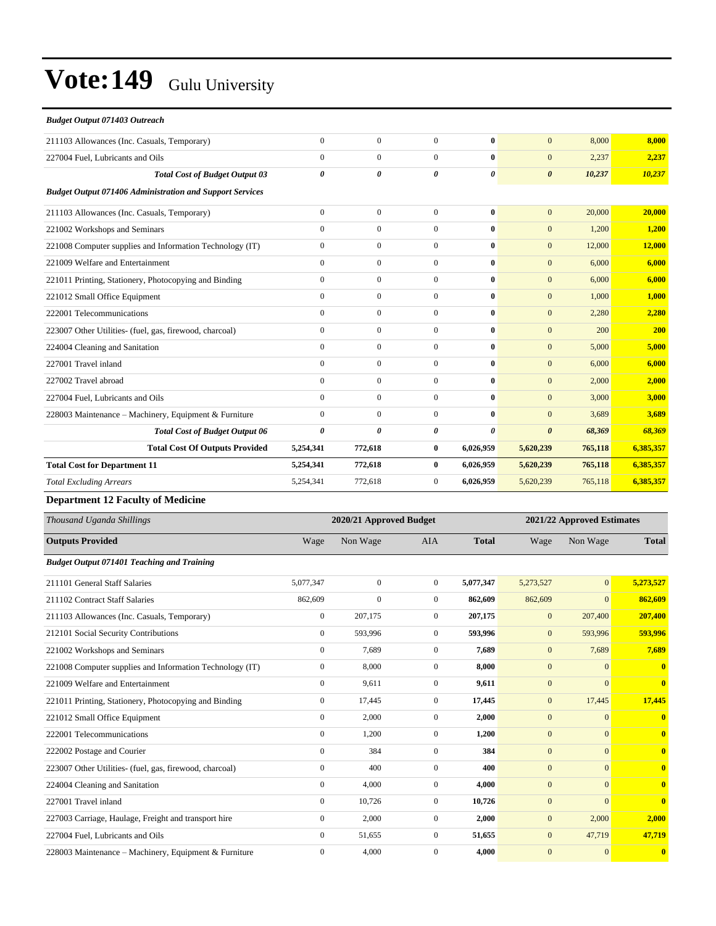| <b>Budget Output 071403 Outreach</b>                            |                       |                  |                |              |                       |         |           |
|-----------------------------------------------------------------|-----------------------|------------------|----------------|--------------|-----------------------|---------|-----------|
| 211103 Allowances (Inc. Casuals, Temporary)                     | $\mathbf{0}$          | $\overline{0}$   | $\overline{0}$ | $\bf{0}$     | $\overline{0}$        | 8,000   | 8,000     |
| 227004 Fuel, Lubricants and Oils                                | $\mathbf{0}$          | $\overline{0}$   | $\overline{0}$ | $\mathbf{0}$ | $\mathbf{0}$          | 2,237   | 2,237     |
| <b>Total Cost of Budget Output 03</b>                           | 0                     | 0                | 0              | 0            | $\boldsymbol{\theta}$ | 10,237  | 10,237    |
| <b>Budget Output 071406 Administration and Support Services</b> |                       |                  |                |              |                       |         |           |
| 211103 Allowances (Inc. Casuals, Temporary)                     | $\Omega$              | $\overline{0}$   | $\Omega$       | $\mathbf{0}$ | $\overline{0}$        | 20,000  | 20,000    |
| 221002 Workshops and Seminars                                   | $\mathbf{0}$          | $\overline{0}$   | $\mathbf{0}$   | $\mathbf{0}$ | $\mathbf{0}$          | 1,200   | 1,200     |
| 221008 Computer supplies and Information Technology (IT)        | $\overline{0}$        | $\overline{0}$   | $\overline{0}$ | $\mathbf{0}$ | $\mathbf{0}$          | 12,000  | 12,000    |
| 221009 Welfare and Entertainment                                | $\Omega$              | $\boldsymbol{0}$ | $\Omega$       | $\mathbf{0}$ | $\mathbf{0}$          | 6,000   | 6,000     |
| 221011 Printing, Stationery, Photocopying and Binding           | $\mathbf{0}$          | $\overline{0}$   | $\mathbf{0}$   | $\mathbf{0}$ | $\mathbf{0}$          | 6,000   | 6,000     |
| 221012 Small Office Equipment                                   | $\overline{0}$        | $\boldsymbol{0}$ | $\overline{0}$ | $\bf{0}$     | $\overline{0}$        | 1,000   | 1,000     |
| 222001 Telecommunications                                       | $\overline{0}$        | $\overline{0}$   | $\overline{0}$ | $\mathbf{0}$ | $\mathbf{0}$          | 2,280   | 2,280     |
| 223007 Other Utilities- (fuel, gas, firewood, charcoal)         | $\overline{0}$        | $\overline{0}$   | $\mathbf{0}$   | $\bf{0}$     | $\mathbf{0}$          | 200     | 200       |
| 224004 Cleaning and Sanitation                                  | $\Omega$              | $\boldsymbol{0}$ | $\overline{0}$ | $\bf{0}$     | $\overline{0}$        | 5,000   | 5,000     |
| 227001 Travel inland                                            | $\mathbf{0}$          | $\boldsymbol{0}$ | $\overline{0}$ | $\bf{0}$     | $\mathbf{0}$          | 6,000   | 6,000     |
| 227002 Travel abroad                                            | $\overline{0}$        | $\overline{0}$   | $\mathbf{0}$   | $\bf{0}$     | $\mathbf{0}$          | 2,000   | 2,000     |
| 227004 Fuel, Lubricants and Oils                                | $\Omega$              | $\overline{0}$   | $\Omega$       | $\mathbf{0}$ | $\Omega$              | 3,000   | 3,000     |
| 228003 Maintenance - Machinery, Equipment & Furniture           | $\Omega$              | $\overline{0}$   | $\overline{0}$ | $\mathbf{0}$ | $\overline{0}$        | 3,689   | 3,689     |
| <b>Total Cost of Budget Output 06</b>                           | $\boldsymbol{\theta}$ | 0                | 0              | 0            | $\boldsymbol{\theta}$ | 68,369  | 68,369    |
| <b>Total Cost Of Outputs Provided</b>                           | 5,254,341             | 772,618          | $\bf{0}$       | 6,026,959    | 5,620,239             | 765,118 | 6,385,357 |
| <b>Total Cost for Department 11</b>                             | 5,254,341             | 772,618          | $\bf{0}$       | 6,026,959    | 5,620,239             | 765,118 | 6,385,357 |
| <b>Total Excluding Arrears</b>                                  | 5,254,341             | 772,618          | $\overline{0}$ | 6,026,959    | 5,620,239             | 765,118 | 6,385,357 |
| $\sim$ 4.4 $\sim$<br>.                                          |                       |                  |                |              |                       |         |           |

#### **Department 12 Faculty of Medicine**

| Thousand Uganda Shillings                                | 2020/21 Approved Budget |                |                |              | 2021/22 Approved Estimates |                |                         |  |
|----------------------------------------------------------|-------------------------|----------------|----------------|--------------|----------------------------|----------------|-------------------------|--|
| <b>Outputs Provided</b>                                  | Wage                    | Non Wage       | <b>AIA</b>     | <b>Total</b> | Wage                       | Non Wage       | <b>Total</b>            |  |
| <b>Budget Output 071401 Teaching and Training</b>        |                         |                |                |              |                            |                |                         |  |
| 211101 General Staff Salaries                            | 5,077,347               | $\overline{0}$ | $\mathbf{0}$   | 5,077,347    | 5,273,527                  | $\overline{0}$ | 5,273,527               |  |
| 211102 Contract Staff Salaries                           | 862,609                 | $\overline{0}$ | $\overline{0}$ | 862,609      | 862,609                    | $\mathbf{0}$   | 862,609                 |  |
| 211103 Allowances (Inc. Casuals, Temporary)              | $\overline{0}$          | 207,175        | $\overline{0}$ | 207,175      | $\mathbf{0}$               | 207,400        | 207,400                 |  |
| 212101 Social Security Contributions                     | $\mathbf{0}$            | 593,996        | $\mathbf{0}$   | 593,996      | $\mathbf{0}$               | 593,996        | 593,996                 |  |
| 221002 Workshops and Seminars                            | $\mathbf{0}$            | 7,689          | $\overline{0}$ | 7,689        | $\mathbf{0}$               | 7,689          | 7,689                   |  |
| 221008 Computer supplies and Information Technology (IT) | $\mathbf{0}$            | 8,000          | $\Omega$       | 8,000        | $\mathbf{0}$               | $\overline{0}$ | $\mathbf{0}$            |  |
| 221009 Welfare and Entertainment                         | $\Omega$                | 9,611          | $\Omega$       | 9,611        | $\mathbf{0}$               | $\mathbf{0}$   | $\mathbf{0}$            |  |
| 221011 Printing, Stationery, Photocopying and Binding    | $\overline{0}$          | 17,445         | $\overline{0}$ | 17,445       | $\mathbf{0}$               | 17,445         | 17,445                  |  |
| 221012 Small Office Equipment                            | $\overline{0}$          | 2,000          | $\mathbf{0}$   | 2,000        | $\mathbf{0}$               | $\overline{0}$ | $\mathbf{0}$            |  |
| 222001 Telecommunications                                | $\mathbf{0}$            | 1,200          | $\overline{0}$ | 1,200        | $\mathbf{0}$               | $\mathbf{0}$   | $\overline{\mathbf{0}}$ |  |
| 222002 Postage and Courier                               | $\overline{0}$          | 384            | $\overline{0}$ | 384          | $\mathbf{0}$               | $\overline{0}$ | $\overline{\mathbf{0}}$ |  |
| 223007 Other Utilities- (fuel, gas, firewood, charcoal)  | $\mathbf{0}$            | 400            | $\mathbf{0}$   | 400          | $\mathbf{0}$               | $\overline{0}$ | $\mathbf{0}$            |  |
| 224004 Cleaning and Sanitation                           | $\overline{0}$          | 4,000          | $\overline{0}$ | 4,000        | $\mathbf{0}$               | $\overline{0}$ | $\mathbf{0}$            |  |
| 227001 Travel inland                                     | $\mathbf{0}$            | 10,726         | $\mathbf{0}$   | 10,726       | $\mathbf{0}$               | $\Omega$       | $\overline{0}$          |  |
| 227003 Carriage, Haulage, Freight and transport hire     | $\overline{0}$          | 2,000          | $\mathbf{0}$   | 2,000        | $\mathbf{0}$               | 2,000          | 2,000                   |  |
| 227004 Fuel, Lubricants and Oils                         | $\overline{0}$          | 51,655         | $\overline{0}$ | 51,655       | $\mathbf{0}$               | 47,719         | 47,719                  |  |
| 228003 Maintenance – Machinery, Equipment & Furniture    | $\mathbf{0}$            | 4,000          | $\mathbf{0}$   | 4,000        | $\mathbf{0}$               | $\mathbf{0}$   | $\overline{\mathbf{0}}$ |  |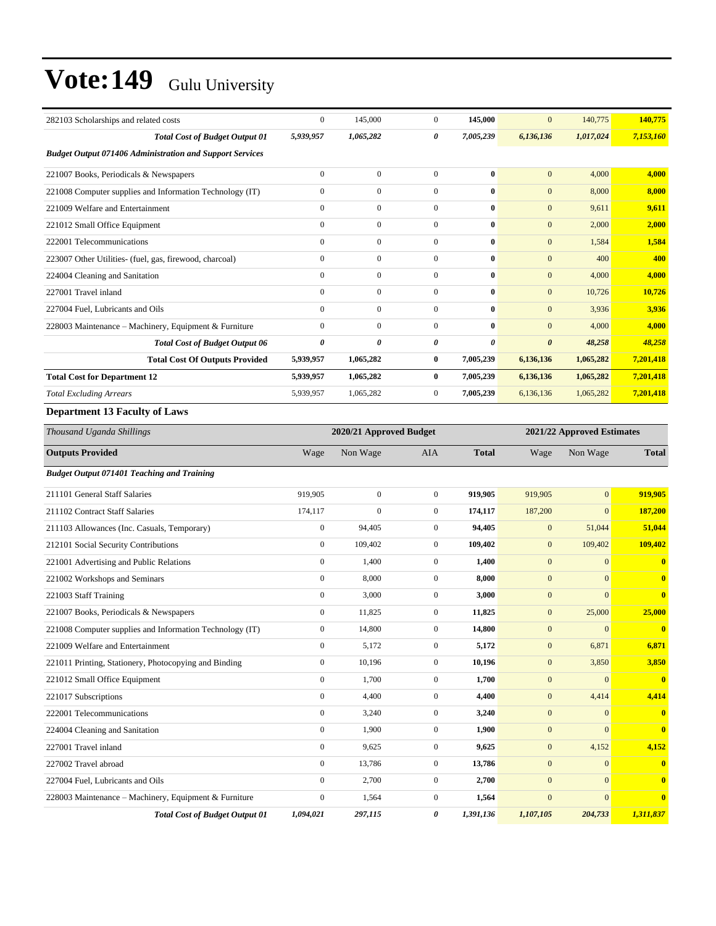| 282103 Scholarships and related costs                           | $\boldsymbol{0}$                                      | 145,000          | $\boldsymbol{0}$ | 145,000      | $\mathbf{0}$          | 140,775          | 140,775      |  |
|-----------------------------------------------------------------|-------------------------------------------------------|------------------|------------------|--------------|-----------------------|------------------|--------------|--|
| <b>Total Cost of Budget Output 01</b>                           | 5,939,957                                             | 1,065,282        | 0                | 7,005,239    | 6,136,136             | 1,017,024        | 7,153,160    |  |
| <b>Budget Output 071406 Administration and Support Services</b> |                                                       |                  |                  |              |                       |                  |              |  |
| 221007 Books, Periodicals & Newspapers                          | $\boldsymbol{0}$                                      | $\boldsymbol{0}$ | $\mathbf{0}$     | $\bf{0}$     | $\mathbf{0}$          | 4,000            | 4,000        |  |
| 221008 Computer supplies and Information Technology (IT)        | $\boldsymbol{0}$                                      | $\boldsymbol{0}$ | $\overline{0}$   | $\bf{0}$     | $\mathbf{0}$          | 8,000            | 8,000        |  |
| 221009 Welfare and Entertainment                                | $\mathbf{0}$                                          | $\boldsymbol{0}$ | $\boldsymbol{0}$ | $\bf{0}$     | $\boldsymbol{0}$      | 9,611            | 9,611        |  |
| 221012 Small Office Equipment                                   | $\mathbf{0}$                                          | $\boldsymbol{0}$ | $\boldsymbol{0}$ | $\bf{0}$     | $\mathbf{0}$          | 2,000            | 2,000        |  |
| 222001 Telecommunications                                       | $\mathbf{0}$                                          | $\boldsymbol{0}$ | $\boldsymbol{0}$ | $\bf{0}$     | $\mathbf{0}$          | 1,584            | 1,584        |  |
| 223007 Other Utilities- (fuel, gas, firewood, charcoal)         | $\boldsymbol{0}$                                      | $\boldsymbol{0}$ | $\overline{0}$   | $\bf{0}$     | $\mathbf{0}$          | 400              | 400          |  |
| 224004 Cleaning and Sanitation                                  | $\mathbf{0}$                                          | $\boldsymbol{0}$ | $\overline{0}$   | $\bf{0}$     | $\mathbf{0}$          | 4,000            | 4,000        |  |
| 227001 Travel inland                                            | $\mathbf{0}$                                          | $\boldsymbol{0}$ | $\boldsymbol{0}$ | $\bf{0}$     | $\mathbf{0}$          | 10,726           | 10,726       |  |
| 227004 Fuel, Lubricants and Oils                                | $\mathbf{0}$                                          | $\boldsymbol{0}$ | $\mathbf{0}$     | $\bf{0}$     | $\mathbf{0}$          | 3,936            | 3,936        |  |
| 228003 Maintenance - Machinery, Equipment & Furniture           | $\mathbf{0}$                                          | $\boldsymbol{0}$ | $\boldsymbol{0}$ | $\bf{0}$     | $\mathbf{0}$          | 4,000            | 4,000        |  |
| <b>Total Cost of Budget Output 06</b>                           | $\boldsymbol{\theta}$                                 | 0                | 0                | 0            | $\boldsymbol{\theta}$ | 48,258           | 48,258       |  |
| <b>Total Cost Of Outputs Provided</b>                           | 5,939,957                                             | 1,065,282        | 0                | 7,005,239    | 6,136,136             | 1,065,282        | 7,201,418    |  |
| <b>Total Cost for Department 12</b>                             | 5,939,957                                             | 1,065,282        | $\bf{0}$         | 7,005,239    | 6,136,136             | 1,065,282        | 7,201,418    |  |
| <b>Total Excluding Arrears</b>                                  | 5,939,957                                             | 1,065,282        | $\boldsymbol{0}$ | 7,005,239    | 6,136,136             | 1,065,282        | 7,201,418    |  |
| <b>Department 13 Faculty of Laws</b>                            |                                                       |                  |                  |              |                       |                  |              |  |
| Thousand Uganda Shillings                                       | 2020/21 Approved Budget<br>2021/22 Approved Estimates |                  |                  |              |                       |                  |              |  |
| <b>Outputs Provided</b>                                         | Wage                                                  | Non Wage         | AIA              | <b>Total</b> | Wage                  | Non Wage         | <b>Total</b> |  |
| <b>Budget Output 071401 Teaching and Training</b>               |                                                       |                  |                  |              |                       |                  |              |  |
| 211101 General Staff Salaries                                   | 919,905                                               | $\boldsymbol{0}$ | $\boldsymbol{0}$ | 919,905      | 919,905               | $\mathbf{0}$     | 919,905      |  |
| 211102 Contract Staff Salaries                                  | 174,117                                               | $\boldsymbol{0}$ | $\mathbf{0}$     | 174,117      | 187,200               | $\mathbf{0}$     | 187,200      |  |
| 211103 Allowances (Inc. Casuals, Temporary)                     | $\boldsymbol{0}$                                      | 94,405           | $\mathbf{0}$     | 94,405       | $\mathbf{0}$          | 51,044           | 51,044       |  |
| 212101 Social Security Contributions                            | $\boldsymbol{0}$                                      | 109,402          | $\boldsymbol{0}$ | 109,402      | $\mathbf{0}$          | 109,402          | 109,402      |  |
| 221001 Advertising and Public Relations                         | $\boldsymbol{0}$                                      | 1,400            | $\mathbf{0}$     | 1,400        | $\mathbf{0}$          | $\mathbf{0}$     | $\bf{0}$     |  |
| 221002 Workshops and Seminars                                   | $\boldsymbol{0}$                                      | 8,000            | $\mathbf{0}$     | 8,000        | $\mathbf{0}$          | $\mathbf{0}$     | $\bf{0}$     |  |
| 221003 Staff Training                                           | $\mathbf{0}$                                          | 3,000            | $\mathbf{0}$     | 3,000        | $\mathbf{0}$          | $\mathbf{0}$     | $\bf{0}$     |  |
| 221007 Books, Periodicals & Newspapers                          | $\boldsymbol{0}$                                      | 11,825           | $\mathbf{0}$     | 11,825       | $\mathbf{0}$          | 25,000           | 25,000       |  |
| 221008 Computer supplies and Information Technology (IT)        | $\boldsymbol{0}$                                      | 14,800           | $\boldsymbol{0}$ | 14,800       | $\boldsymbol{0}$      | $\boldsymbol{0}$ |              |  |
| 221009 Welfare and Entertainment                                | $\boldsymbol{0}$                                      | 5,172            | $\boldsymbol{0}$ | 5,172        | $\boldsymbol{0}$      | 6,871            | 6,871        |  |
| 221011 Printing, Stationery, Photocopying and Binding           | $\mathbf{0}$                                          | 10,196           | $\boldsymbol{0}$ | 10,196       | $\boldsymbol{0}$      | 3,850            | 3,850        |  |
|                                                                 |                                                       |                  |                  |              |                       |                  |              |  |
| 221012 Small Office Equipment                                   | $\mathbf{0}$                                          | 1,700            | $\boldsymbol{0}$ | 1,700        | $\boldsymbol{0}$      | $\mathbf{0}$     | $\mathbf{0}$ |  |
| 221017 Subscriptions                                            | $\boldsymbol{0}$                                      | 4,400            | $\boldsymbol{0}$ | 4,400        | $\boldsymbol{0}$      | 4,414            | 4,414        |  |

224004 Cleaning and Sanitation 0 1,900 0 **1,900** 0 0 **0** 227001 Travel inland 0 9,625 0 **9,625** 0 4,152 **4,152** 227002 Travel abroad 0 13,786 0 **13,786** 0 0 **0** 227004 Fuel, Lubricants and Oils 0 2,700 0 **2,700** 0 0 **0** 228003 Maintenance ±Machinery, Equipment & Furniture 0 1,564 0 **1,564** 0 0 **0**

*Total Cost of Budget Output 01 1,094,021 297,115 0 1,391,136 1,107,105 204,733 1,311,837*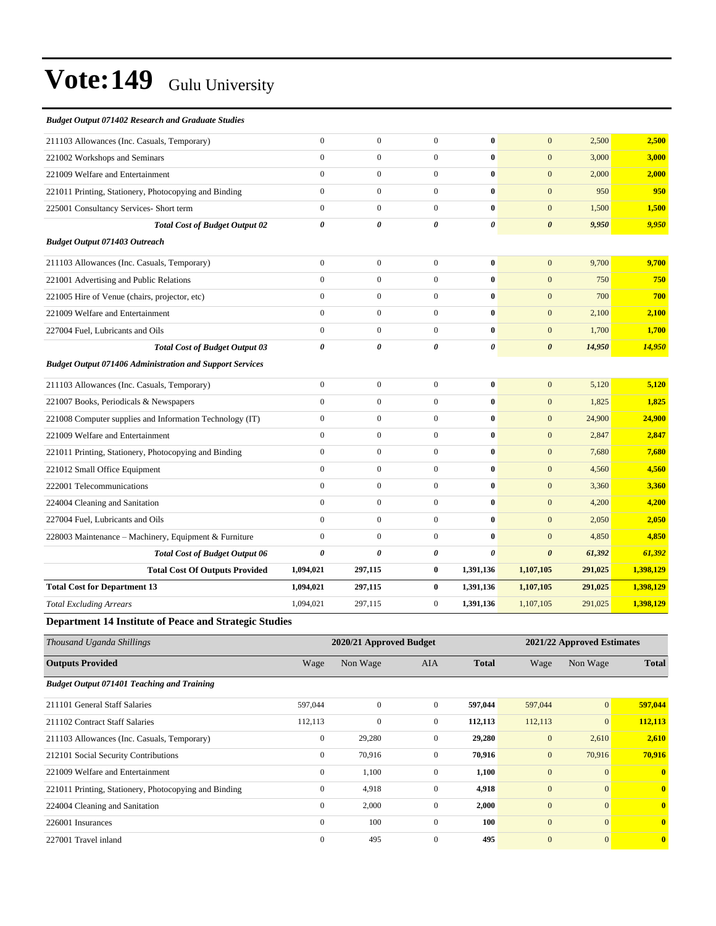| <b>Budget Output 071402 Research and Graduate Studies</b>       |                       |                       |                  |                       |                       |         |           |
|-----------------------------------------------------------------|-----------------------|-----------------------|------------------|-----------------------|-----------------------|---------|-----------|
| 211103 Allowances (Inc. Casuals, Temporary)                     | $\mathbf{0}$          | $\boldsymbol{0}$      | $\mathbf{0}$     | $\mathbf{0}$          | $\overline{0}$        | 2,500   | 2,500     |
| 221002 Workshops and Seminars                                   | $\mathbf{0}$          | $\boldsymbol{0}$      | $\mathbf 0$      | $\bf{0}$              | $\mathbf{0}$          | 3,000   | 3,000     |
| 221009 Welfare and Entertainment                                | $\mathbf{0}$          | $\boldsymbol{0}$      | $\mathbf{0}$     | $\bf{0}$              | $\overline{0}$        | 2,000   | 2,000     |
| 221011 Printing, Stationery, Photocopying and Binding           | $\mathbf{0}$          | $\mathbf{0}$          | $\overline{0}$   | $\bf{0}$              | $\mathbf{0}$          | 950     | 950       |
| 225001 Consultancy Services- Short term                         | $\mathbf{0}$          | $\mathbf{0}$          | $\mathbf{0}$     | $\bf{0}$              | $\overline{0}$        | 1,500   | 1,500     |
| <b>Total Cost of Budget Output 02</b>                           | $\boldsymbol{\theta}$ | 0                     | 0                | $\pmb{\theta}$        | $\boldsymbol{\theta}$ | 9,950   | 9,950     |
| <b>Budget Output 071403 Outreach</b>                            |                       |                       |                  |                       |                       |         |           |
| 211103 Allowances (Inc. Casuals, Temporary)                     | $\mathbf{0}$          | $\overline{0}$        | $\mathbf{0}$     | $\mathbf{0}$          | $\overline{0}$        | 9,700   | 9,700     |
| 221001 Advertising and Public Relations                         | $\mathbf{0}$          | $\boldsymbol{0}$      | $\mathbf{0}$     | $\bf{0}$              | $\mathbf{0}$          | 750     | 750       |
| 221005 Hire of Venue (chairs, projector, etc)                   | $\boldsymbol{0}$      | $\boldsymbol{0}$      | $\mathbf{0}$     | $\bf{0}$              | $\mathbf{0}$          | 700     | 700       |
| 221009 Welfare and Entertainment                                | $\mathbf{0}$          | $\boldsymbol{0}$      | $\overline{0}$   | $\bf{0}$              | $\mathbf{0}$          | 2,100   | 2,100     |
| 227004 Fuel, Lubricants and Oils                                | $\mathbf{0}$          | $\boldsymbol{0}$      | $\overline{0}$   | $\bf{0}$              | $\mathbf{0}$          | 1,700   | 1,700     |
| <b>Total Cost of Budget Output 03</b>                           | $\pmb{\theta}$        | $\boldsymbol{\theta}$ | 0                | $\boldsymbol{\theta}$ | $\boldsymbol{\theta}$ | 14,950  | 14,950    |
| <b>Budget Output 071406 Administration and Support Services</b> |                       |                       |                  |                       |                       |         |           |
| 211103 Allowances (Inc. Casuals, Temporary)                     | $\overline{0}$        | $\boldsymbol{0}$      | $\mathbf{0}$     | $\bf{0}$              | $\overline{0}$        | 5,120   | 5,120     |
| 221007 Books, Periodicals & Newspapers                          | $\mathbf{0}$          | $\boldsymbol{0}$      | $\mathbf{0}$     | $\bf{0}$              | $\mathbf{0}$          | 1,825   | 1,825     |
| 221008 Computer supplies and Information Technology (IT)        | $\mathbf{0}$          | $\mathbf{0}$          | $\mathbf{0}$     | $\bf{0}$              | $\mathbf{0}$          | 24,900  | 24,900    |
| 221009 Welfare and Entertainment                                | $\Omega$              | $\mathbf{0}$          | $\mathbf{0}$     | $\bf{0}$              | $\mathbf{0}$          | 2,847   | 2,847     |
| 221011 Printing, Stationery, Photocopying and Binding           | $\mathbf{0}$          | $\boldsymbol{0}$      | $\mathbf{0}$     | $\bf{0}$              | $\mathbf{0}$          | 7,680   | 7,680     |
| 221012 Small Office Equipment                                   | $\mathbf{0}$          | $\boldsymbol{0}$      | $\boldsymbol{0}$ | $\bf{0}$              | $\mathbf{0}$          | 4,560   | 4,560     |
| 222001 Telecommunications                                       | $\mathbf{0}$          | $\mathbf{0}$          | $\mathbf{0}$     | $\bf{0}$              | $\overline{0}$        | 3,360   | 3,360     |
| 224004 Cleaning and Sanitation                                  | $\mathbf{0}$          | $\boldsymbol{0}$      | $\boldsymbol{0}$ | $\bf{0}$              | $\mathbf{0}$          | 4,200   | 4,200     |
| 227004 Fuel, Lubricants and Oils                                | $\theta$              | $\overline{0}$        | $\mathbf{0}$     | $\bf{0}$              | $\overline{0}$        | 2,050   | 2,050     |
| 228003 Maintenance - Machinery, Equipment & Furniture           | $\mathbf{0}$          | $\boldsymbol{0}$      | $\mathbf{0}$     | $\bf{0}$              | $\mathbf{0}$          | 4,850   | 4,850     |
| <b>Total Cost of Budget Output 06</b>                           | $\boldsymbol{\theta}$ | 0                     | 0                | $\boldsymbol{\theta}$ | $\boldsymbol{\theta}$ | 61,392  | 61,392    |
| <b>Total Cost Of Outputs Provided</b>                           | 1,094,021             | 297,115               | $\bf{0}$         | 1,391,136             | 1,107,105             | 291,025 | 1,398,129 |
| <b>Total Cost for Department 13</b>                             | 1,094,021             | 297,115               | $\bf{0}$         | 1,391,136             | 1,107,105             | 291,025 | 1,398,129 |
| <b>Total Excluding Arrears</b>                                  | 1,094,021             | 297,115               | $\boldsymbol{0}$ | 1,391,136             | 1,107,105             | 291,025 | 1,398,129 |
| Department 14 Institute of Desse and Ctrategic Ctudies          |                       |                       |                  |                       |                       |         |           |

#### **Department 14 Institute of Peace and Strategic Studies**

| Thousand Uganda Shillings                             |              | 2020/21 Approved Budget |              | 2021/22 Approved Estimates |              |                 |                         |
|-------------------------------------------------------|--------------|-------------------------|--------------|----------------------------|--------------|-----------------|-------------------------|
| <b>Outputs Provided</b>                               | Wage         | Non Wage                | <b>AIA</b>   | <b>Total</b>               | Wage         | Non Wage        | <b>Total</b>            |
| <b>Budget Output 071401 Teaching and Training</b>     |              |                         |              |                            |              |                 |                         |
| 211101 General Staff Salaries                         | 597,044      | $\mathbf{0}$            | $\Omega$     | 597,044                    | 597,044      | $\vert 0 \vert$ | 597,044                 |
| 211102 Contract Staff Salaries                        | 112,113      | $\mathbf{0}$            | $\mathbf{0}$ | 112,113                    | 112,113      | $\overline{0}$  | 112,113                 |
| 211103 Allowances (Inc. Casuals, Temporary)           | $\mathbf{0}$ | 29,280                  | $\mathbf{0}$ | 29,280                     | $\mathbf{0}$ | 2,610           | 2,610                   |
| 212101 Social Security Contributions                  | $\mathbf{0}$ | 70,916                  | $\mathbf{0}$ | 70,916                     | $\mathbf{0}$ | 70,916          | 70,916                  |
| 221009 Welfare and Entertainment                      | $\mathbf{0}$ | 1,100                   | $\mathbf{0}$ | 1,100                      | $\mathbf{0}$ | $\Omega$        | $\mathbf{0}$            |
| 221011 Printing, Stationery, Photocopying and Binding | $\mathbf{0}$ | 4,918                   | $\mathbf{0}$ | 4,918                      | $\mathbf{0}$ | $\Omega$        | $\overline{0}$          |
| 224004 Cleaning and Sanitation                        | $\mathbf{0}$ | 2,000                   | $\mathbf{0}$ | 2,000                      | $\mathbf{0}$ | $\overline{0}$  | $\mathbf{0}$            |
| 226001 Insurances                                     | $\mathbf{0}$ | 100                     | $\mathbf{0}$ | 100                        | $\mathbf{0}$ | $\Omega$        | $\mathbf{0}$            |
| 227001 Travel inland                                  | $\Omega$     | 495                     | $\Omega$     | 495                        | $\mathbf{0}$ | $\overline{0}$  | $\overline{\mathbf{0}}$ |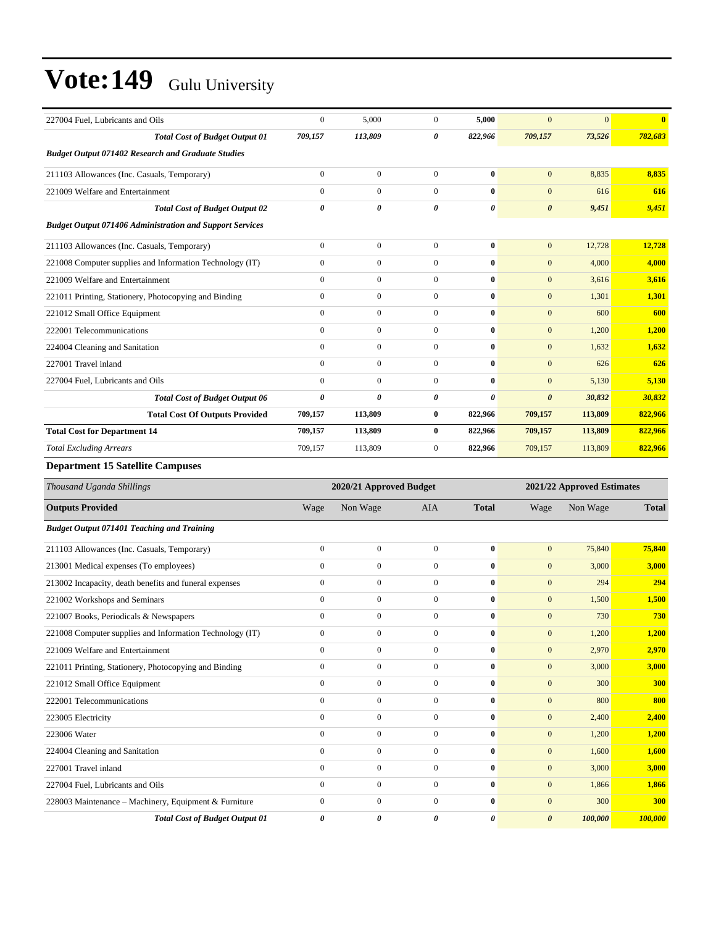| 227004 Fuel, Lubricants and Oils                                | $\Omega$              | 5,000          | $\Omega$              | 5,000        | $\Omega$              | $\Omega$ | $\mathbf{0}$ |
|-----------------------------------------------------------------|-----------------------|----------------|-----------------------|--------------|-----------------------|----------|--------------|
| <b>Total Cost of Budget Output 01</b>                           | 709,157               | 113,809        | 0                     | 822,966      | 709,157               | 73,526   | 782,683      |
| <b>Budget Output 071402 Research and Graduate Studies</b>       |                       |                |                       |              |                       |          |              |
| 211103 Allowances (Inc. Casuals, Temporary)                     | $\mathbf{0}$          | $\mathbf{0}$   | $\overline{0}$        | $\bf{0}$     | $\mathbf{0}$          | 8.835    | 8,835        |
| 221009 Welfare and Entertainment                                | $\Omega$              | $\overline{0}$ | $\Omega$              | 0            | $\mathbf{0}$          | 616      | 616          |
| <b>Total Cost of Budget Output 02</b>                           | $\boldsymbol{\theta}$ | 0              | $\boldsymbol{\theta}$ | 0            | $\boldsymbol{\theta}$ | 9,451    | 9,451        |
| <b>Budget Output 071406 Administration and Support Services</b> |                       |                |                       |              |                       |          |              |
| 211103 Allowances (Inc. Casuals, Temporary)                     | $\mathbf{0}$          | $\mathbf{0}$   | $\mathbf{0}$          | $\bf{0}$     | $\mathbf{0}$          | 12,728   | 12,728       |
| 221008 Computer supplies and Information Technology (IT)        | $\mathbf{0}$          | $\overline{0}$ | $\overline{0}$        | $\bf{0}$     | $\mathbf{0}$          | 4,000    | 4,000        |
| 221009 Welfare and Entertainment                                | $\Omega$              | $\Omega$       | $\Omega$              | 0            | $\mathbf{0}$          | 3,616    | 3,616        |
| 221011 Printing, Stationery, Photocopying and Binding           | $\Omega$              | $\Omega$       | $\Omega$              | $\bf{0}$     | $\mathbf{0}$          | 1,301    | 1,301        |
| 221012 Small Office Equipment                                   | $\Omega$              | $\mathbf{0}$   | $\Omega$              | $\mathbf{0}$ | $\mathbf{0}$          | 600      | 600          |
| 222001 Telecommunications                                       | $\mathbf{0}$          | $\overline{0}$ | $\mathbf{0}$          | 0            | $\mathbf{0}$          | 1,200    | 1,200        |
| 224004 Cleaning and Sanitation                                  | $\Omega$              | $\mathbf{0}$   | $\Omega$              | 0            | $\mathbf{0}$          | 1,632    | 1,632        |
| 227001 Travel inland                                            | $\Omega$              | $\overline{0}$ | $\Omega$              | 0            | $\mathbf{0}$          | 626      | 626          |
| 227004 Fuel, Lubricants and Oils                                | $\mathbf{0}$          | $\overline{0}$ | $\mathbf{0}$          | 0            | $\mathbf{0}$          | 5,130    | 5,130        |
| <b>Total Cost of Budget Output 06</b>                           | $\boldsymbol{\theta}$ | 0              | $\theta$              | 0            | $\boldsymbol{\theta}$ | 30,832   | 30,832       |
| <b>Total Cost Of Outputs Provided</b>                           | 709,157               | 113,809        | $\bf{0}$              | 822,966      | 709,157               | 113,809  | 822,966      |
| <b>Total Cost for Department 14</b>                             | 709,157               | 113,809        | $\bf{0}$              | 822,966      | 709,157               | 113,809  | 822,966      |
| <b>Total Excluding Arrears</b>                                  | 709,157               | 113,809        | $\overline{0}$        | 822,966      | 709,157               | 113,809  | 822,966      |
| <b>Department 15 Satellite Campuses</b>                         |                       |                |                       |              |                       |          |              |

| Thousand Uganda Shillings                                |                  | 2020/21 Approved Budget |                  |              |                       | 2021/22 Approved Estimates |              |  |
|----------------------------------------------------------|------------------|-------------------------|------------------|--------------|-----------------------|----------------------------|--------------|--|
| <b>Outputs Provided</b>                                  | Wage             | Non Wage                | <b>AIA</b>       | <b>Total</b> | Wage                  | Non Wage                   | <b>Total</b> |  |
| <b>Budget Output 071401 Teaching and Training</b>        |                  |                         |                  |              |                       |                            |              |  |
| 211103 Allowances (Inc. Casuals, Temporary)              | $\boldsymbol{0}$ | $\mathbf{0}$            | $\mathbf{0}$     | $\bf{0}$     | $\mathbf{0}$          | 75,840                     | 75,840       |  |
| 213001 Medical expenses (To employees)                   | $\mathbf{0}$     | $\overline{0}$          | $\mathbf{0}$     | $\bf{0}$     | $\mathbf{0}$          | 3,000                      | 3,000        |  |
| 213002 Incapacity, death benefits and funeral expenses   | $\mathbf{0}$     | $\mathbf{0}$            | $\mathbf{0}$     | $\bf{0}$     | $\mathbf{0}$          | 294                        | 294          |  |
| 221002 Workshops and Seminars                            | $\mathbf{0}$     | $\overline{0}$          | $\mathbf{0}$     | $\bf{0}$     | $\mathbf{0}$          | 1,500                      | 1,500        |  |
| 221007 Books, Periodicals & Newspapers                   | $\mathbf{0}$     | $\mathbf{0}$            | $\mathbf{0}$     | $\mathbf{0}$ | $\mathbf{0}$          | 730                        | 730          |  |
| 221008 Computer supplies and Information Technology (IT) | $\boldsymbol{0}$ | $\mathbf{0}$            | $\boldsymbol{0}$ | $\mathbf{0}$ | $\mathbf{0}$          | 1,200                      | 1,200        |  |
| 221009 Welfare and Entertainment                         | $\mathbf{0}$     | $\overline{0}$          | $\mathbf{0}$     | $\bf{0}$     | $\mathbf{0}$          | 2,970                      | 2,970        |  |
| 221011 Printing, Stationery, Photocopying and Binding    | $\mathbf{0}$     | $\mathbf{0}$            | $\mathbf{0}$     | $\bf{0}$     | $\mathbf{0}$          | 3,000                      | 3,000        |  |
| 221012 Small Office Equipment                            | $\mathbf{0}$     | $\overline{0}$          | $\Omega$         | $\bf{0}$     | $\mathbf{0}$          | 300                        | 300          |  |
| 222001 Telecommunications                                | $\mathbf{0}$     | $\mathbf{0}$            | $\mathbf{0}$     | $\mathbf{0}$ | $\mathbf{0}$          | 800                        | 800          |  |
| 223005 Electricity                                       | $\mathbf{0}$     | $\mathbf{0}$            | $\mathbf{0}$     | $\mathbf{0}$ | $\mathbf{0}$          | 2,400                      | 2,400        |  |
| 223006 Water                                             | $\mathbf{0}$     | $\overline{0}$          | $\mathbf{0}$     | $\bf{0}$     | $\mathbf{0}$          | 1,200                      | 1,200        |  |
| 224004 Cleaning and Sanitation                           | $\mathbf{0}$     | $\overline{0}$          | $\mathbf{0}$     | $\bf{0}$     | $\mathbf{0}$          | 1,600                      | 1,600        |  |
| 227001 Travel inland                                     | $\mathbf{0}$     | $\overline{0}$          | $\mathbf{0}$     | $\bf{0}$     | $\mathbf{0}$          | 3,000                      | 3,000        |  |
| 227004 Fuel, Lubricants and Oils                         | $\mathbf{0}$     | $\mathbf{0}$            | $\mathbf{0}$     | $\mathbf{0}$ | $\mathbf{0}$          | 1,866                      | 1,866        |  |
| 228003 Maintenance - Machinery, Equipment & Furniture    | $\boldsymbol{0}$ | $\mathbf{0}$            | $\boldsymbol{0}$ | $\bf{0}$     | $\mathbf{0}$          | 300                        | 300          |  |
| <b>Total Cost of Budget Output 01</b>                    | 0                | 0                       | 0                | 0            | $\boldsymbol{\theta}$ | 100,000                    | 100,000      |  |